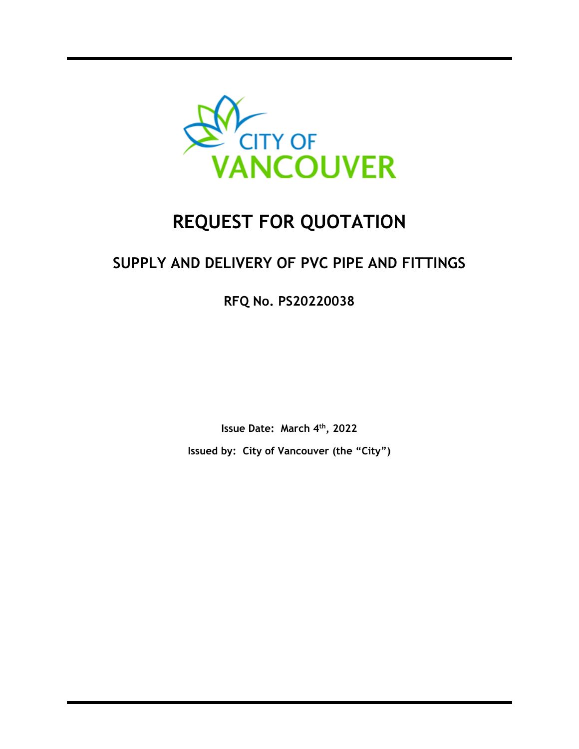

# **REQUEST FOR QUOTATION**

# **SUPPLY AND DELIVERY OF PVC PIPE AND FITTINGS**

**RFQ No. PS20220038** 

**Issue Date: March 4th, 2022 Issued by: City of Vancouver (the "City")**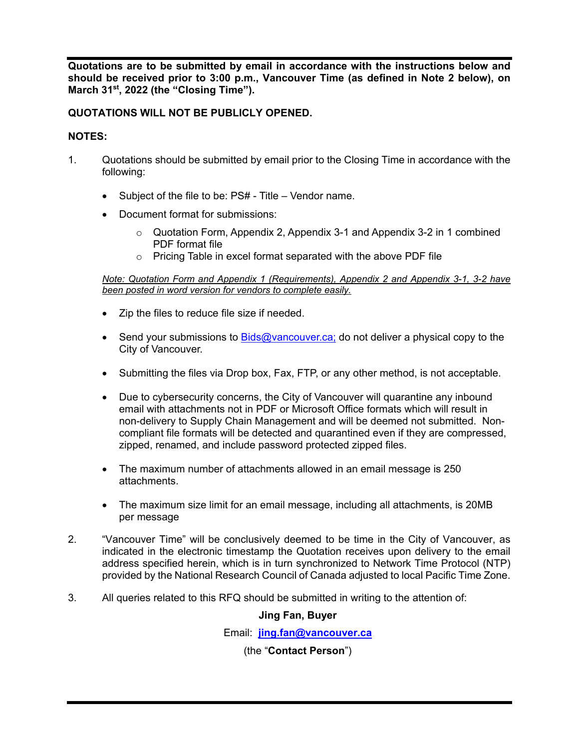**Quotations are to be submitted by email in accordance with the instructions below and should be received prior to 3:00 p.m., Vancouver Time (as defined in Note 2 below), on March 31st, 2022 (the "Closing Time").** 

# **QUOTATIONS WILL NOT BE PUBLICLY OPENED.**

# **NOTES:**

- 1. Quotations should be submitted by email prior to the Closing Time in accordance with the following:
	- Subject of the file to be: PS# Title Vendor name.
	- Document format for submissions:
		- $\circ$  Quotation Form, Appendix 2, Appendix 3-1 and Appendix 3-2 in 1 combined PDF format file
		- o Pricing Table in excel format separated with the above PDF file

*Note: Quotation Form and Appendix 1 (Requirements), Appendix 2 and Appendix 3-1, 3-2 have been posted in word version for vendors to complete easily.* 

- Zip the files to reduce file size if needed.
- Send your submissions to  $Bids@varcouver.ca$ ; do not deliver a physical copy to the City of Vancouver.
- Submitting the files via Drop box, Fax, FTP, or any other method, is not acceptable.
- Due to cybersecurity concerns, the City of Vancouver will quarantine any inbound email with attachments not in PDF or Microsoft Office formats which will result in non-delivery to Supply Chain Management and will be deemed not submitted. Noncompliant file formats will be detected and quarantined even if they are compressed, zipped, renamed, and include password protected zipped files.
- The maximum number of attachments allowed in an email message is 250 attachments.
- The maximum size limit for an email message, including all attachments, is 20MB per message
- 2. "Vancouver Time" will be conclusively deemed to be time in the City of Vancouver, as indicated in the electronic timestamp the Quotation receives upon delivery to the email address specified herein, which is in turn synchronized to Network Time Protocol (NTP) provided by the National Research Council of Canada adjusted to local Pacific Time Zone.
- 3. All queries related to this RFQ should be submitted in writing to the attention of:

# **Jing Fan, Buyer**

Email: **jing.fan@vancouver.ca** 

(the "**Contact Person**")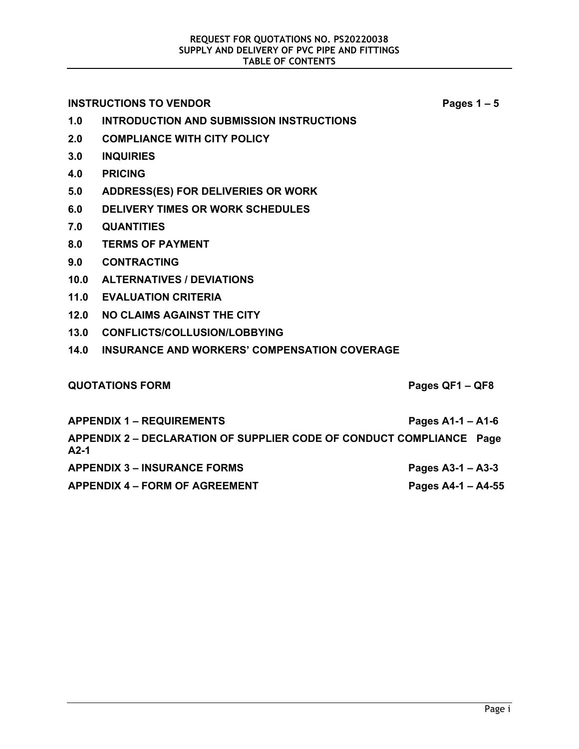**INSTRUCTIONS TO VENDOR Pages 1 – 5 1.0 INTRODUCTION AND SUBMISSION INSTRUCTIONS 2.0 COMPLIANCE WITH CITY POLICY 3.0 INQUIRIES 4.0 PRICING 5.0 ADDRESS(ES) FOR DELIVERIES OR WORK 6.0 DELIVERY TIMES OR WORK SCHEDULES 7.0 QUANTITIES 8.0 TERMS OF PAYMENT 9.0 CONTRACTING 10.0 ALTERNATIVES / DEVIATIONS 11.0 EVALUATION CRITERIA 12.0 NO CLAIMS AGAINST THE CITY 13.0 CONFLICTS/COLLUSION/LOBBYING 14.0 INSURANCE AND WORKERS' COMPENSATION COVERAGE QUOTATIONS FORM Pages QF1 – QF8 APPENDIX 1 – REQUIREMENTS Pages A1-1 – A1-6 APPENDIX 2 – DECLARATION OF SUPPLIER CODE OF CONDUCT COMPLIANCE Page A2-1**  APPENDIX 3 – INSURANCE FORMS Pages A3-1 – A3-3

APPENDIX 4 – FORM OF AGREEMENT **Pages A4-1 – A4-55**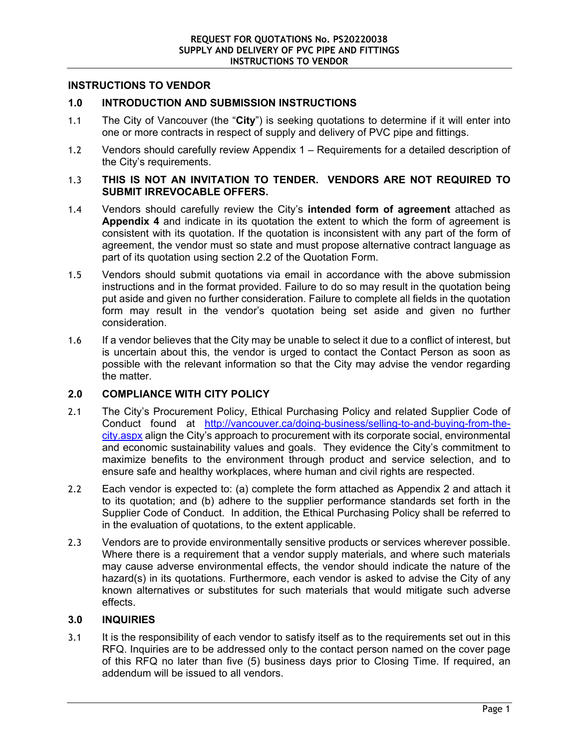#### **INSTRUCTIONS TO VENDOR**

#### **1.0 INTRODUCTION AND SUBMISSION INSTRUCTIONS**

- 1.1 The City of Vancouver (the "**City**") is seeking quotations to determine if it will enter into one or more contracts in respect of supply and delivery of PVC pipe and fittings.
- 1.2 Vendors should carefully review Appendix 1 Requirements for a detailed description of the City's requirements.

#### 1.3 **THIS IS NOT AN INVITATION TO TENDER. VENDORS ARE NOT REQUIRED TO SUBMIT IRREVOCABLE OFFERS.**

- 1.4 Vendors should carefully review the City's **intended form of agreement** attached as **Appendix 4** and indicate in its quotation the extent to which the form of agreement is consistent with its quotation. If the quotation is inconsistent with any part of the form of agreement, the vendor must so state and must propose alternative contract language as part of its quotation using section 2.2 of the Quotation Form.
- 1.5 Vendors should submit quotations via email in accordance with the above submission instructions and in the format provided. Failure to do so may result in the quotation being put aside and given no further consideration. Failure to complete all fields in the quotation form may result in the vendor's quotation being set aside and given no further consideration.
- 1.6 If a vendor believes that the City may be unable to select it due to a conflict of interest, but is uncertain about this, the vendor is urged to contact the Contact Person as soon as possible with the relevant information so that the City may advise the vendor regarding the matter.

# **2.0 COMPLIANCE WITH CITY POLICY**

- 2.1 The City's Procurement Policy, Ethical Purchasing Policy and related Supplier Code of Conduct found at http://vancouver.ca/doing-business/selling-to-and-buying-from-thecity.aspx align the City's approach to procurement with its corporate social, environmental and economic sustainability values and goals. They evidence the City's commitment to maximize benefits to the environment through product and service selection, and to ensure safe and healthy workplaces, where human and civil rights are respected.
- 2.2 Each vendor is expected to: (a) complete the form attached as Appendix 2 and attach it to its quotation; and (b) adhere to the supplier performance standards set forth in the Supplier Code of Conduct. In addition, the Ethical Purchasing Policy shall be referred to in the evaluation of quotations, to the extent applicable.
- 2.3 Vendors are to provide environmentally sensitive products or services wherever possible. Where there is a requirement that a vendor supply materials, and where such materials may cause adverse environmental effects, the vendor should indicate the nature of the hazard(s) in its quotations. Furthermore, each vendor is asked to advise the City of any known alternatives or substitutes for such materials that would mitigate such adverse effects.

# **3.0 INQUIRIES**

3.1 It is the responsibility of each vendor to satisfy itself as to the requirements set out in this RFQ. Inquiries are to be addressed only to the contact person named on the cover page of this RFQ no later than five (5) business days prior to Closing Time. If required, an addendum will be issued to all vendors.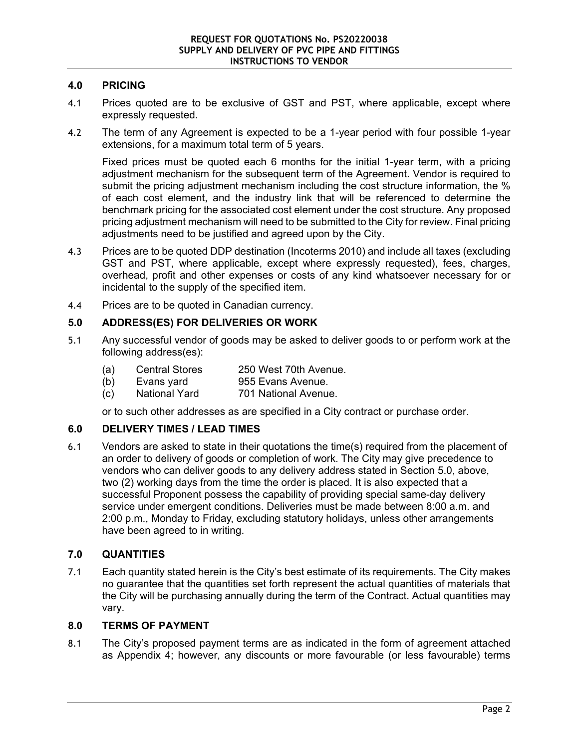# **4.0 PRICING**

- 4.1 Prices quoted are to be exclusive of GST and PST, where applicable, except where expressly requested.
- 4.2 The term of any Agreement is expected to be a 1-year period with four possible 1-year extensions, for a maximum total term of 5 years.

Fixed prices must be quoted each 6 months for the initial 1-year term, with a pricing adjustment mechanism for the subsequent term of the Agreement. Vendor is required to submit the pricing adjustment mechanism including the cost structure information, the % of each cost element, and the industry link that will be referenced to determine the benchmark pricing for the associated cost element under the cost structure. Any proposed pricing adjustment mechanism will need to be submitted to the City for review. Final pricing adjustments need to be justified and agreed upon by the City.

- 4.3 Prices are to be quoted DDP destination (Incoterms 2010) and include all taxes (excluding GST and PST, where applicable, except where expressly requested), fees, charges, overhead, profit and other expenses or costs of any kind whatsoever necessary for or incidental to the supply of the specified item.
- 4.4 Prices are to be quoted in Canadian currency.

# **5.0 ADDRESS(ES) FOR DELIVERIES OR WORK**

- 5.1 Any successful vendor of goods may be asked to deliver goods to or perform work at the following address(es):
	- (a) Central Stores 250 West 70th Avenue.<br>(b) Evans yard 955 Evans Avenue.
	- (b) Evans yard 955 Evans Avenue.
	- (c) National Yard 701 National Avenue.

or to such other addresses as are specified in a City contract or purchase order.

# **6.0 DELIVERY TIMES / LEAD TIMES**

6.1 Vendors are asked to state in their quotations the time(s) required from the placement of an order to delivery of goods or completion of work. The City may give precedence to vendors who can deliver goods to any delivery address stated in Section 5.0, above, two (2) working days from the time the order is placed. It is also expected that a successful Proponent possess the capability of providing special same-day delivery service under emergent conditions. Deliveries must be made between 8:00 a.m. and 2:00 p.m., Monday to Friday, excluding statutory holidays, unless other arrangements have been agreed to in writing.

# **7.0 QUANTITIES**

7.1 Each quantity stated herein is the City's best estimate of its requirements. The City makes no guarantee that the quantities set forth represent the actual quantities of materials that the City will be purchasing annually during the term of the Contract. Actual quantities may vary.

#### **8.0 TERMS OF PAYMENT**

8.1 The City's proposed payment terms are as indicated in the form of agreement attached as Appendix 4; however, any discounts or more favourable (or less favourable) terms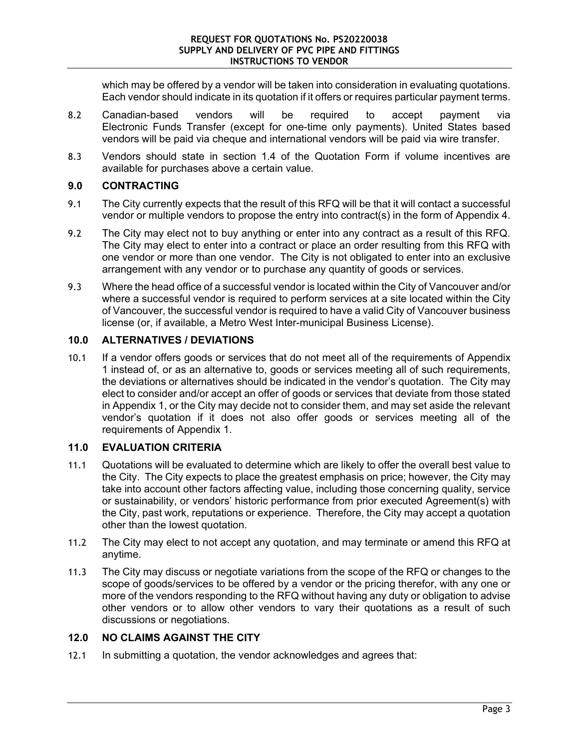which may be offered by a vendor will be taken into consideration in evaluating quotations. Each vendor should indicate in its quotation if it offers or requires particular payment terms.

- 8.2 Canadian-based vendors will be required to accept payment via Electronic Funds Transfer (except for one-time only payments). United States based vendors will be paid via cheque and international vendors will be paid via wire transfer.
- 8.3 Vendors should state in section 1.4 of the Quotation Form if volume incentives are available for purchases above a certain value.

# **9.0 CONTRACTING**

- 9.1 The City currently expects that the result of this RFQ will be that it will contact a successful vendor or multiple vendors to propose the entry into contract(s) in the form of Appendix 4.
- 9.2 The City may elect not to buy anything or enter into any contract as a result of this RFQ. The City may elect to enter into a contract or place an order resulting from this RFQ with one vendor or more than one vendor. The City is not obligated to enter into an exclusive arrangement with any vendor or to purchase any quantity of goods or services.
- 9.3 Where the head office of a successful vendor is located within the City of Vancouver and/or where a successful vendor is required to perform services at a site located within the City of Vancouver, the successful vendor is required to have a valid City of Vancouver business license (or, if available, a Metro West Inter-municipal Business License).

# **10.0 ALTERNATIVES / DEVIATIONS**

10.1 If a vendor offers goods or services that do not meet all of the requirements of Appendix 1 instead of, or as an alternative to, goods or services meeting all of such requirements, the deviations or alternatives should be indicated in the vendor's quotation. The City may elect to consider and/or accept an offer of goods or services that deviate from those stated in Appendix 1, or the City may decide not to consider them, and may set aside the relevant vendor's quotation if it does not also offer goods or services meeting all of the requirements of Appendix 1.

# **11.0 EVALUATION CRITERIA**

- 11.1 Quotations will be evaluated to determine which are likely to offer the overall best value to the City. The City expects to place the greatest emphasis on price; however, the City may take into account other factors affecting value, including those concerning quality, service or sustainability, or vendors' historic performance from prior executed Agreement(s) with the City, past work, reputations or experience. Therefore, the City may accept a quotation other than the lowest quotation.
- 11.2 The City may elect to not accept any quotation, and may terminate or amend this RFQ at anytime.
- 11.3 The City may discuss or negotiate variations from the scope of the RFQ or changes to the scope of goods/services to be offered by a vendor or the pricing therefor, with any one or more of the vendors responding to the RFQ without having any duty or obligation to advise other vendors or to allow other vendors to vary their quotations as a result of such discussions or negotiations.

# **12.0 NO CLAIMS AGAINST THE CITY**

12.1 In submitting a quotation, the vendor acknowledges and agrees that: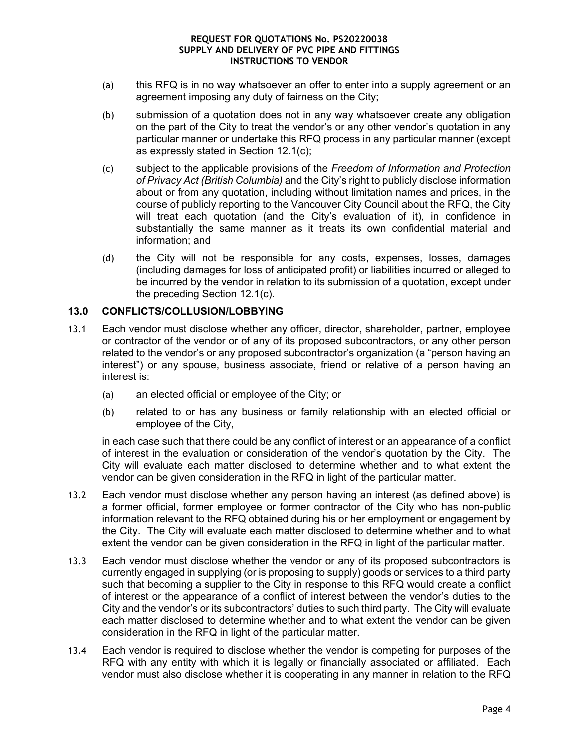- (a) this RFQ is in no way whatsoever an offer to enter into a supply agreement or an agreement imposing any duty of fairness on the City;
- (b) submission of a quotation does not in any way whatsoever create any obligation on the part of the City to treat the vendor's or any other vendor's quotation in any particular manner or undertake this RFQ process in any particular manner (except as expressly stated in Section 12.1(c);
- (c) subject to the applicable provisions of the *Freedom of Information and Protection of Privacy Act (British Columbia)* and the City's right to publicly disclose information about or from any quotation, including without limitation names and prices, in the course of publicly reporting to the Vancouver City Council about the RFQ, the City will treat each quotation (and the City's evaluation of it), in confidence in substantially the same manner as it treats its own confidential material and information; and
- (d) the City will not be responsible for any costs, expenses, losses, damages (including damages for loss of anticipated profit) or liabilities incurred or alleged to be incurred by the vendor in relation to its submission of a quotation, except under the preceding Section 12.1(c).

# **13.0 CONFLICTS/COLLUSION/LOBBYING**

- 13.1 Each vendor must disclose whether any officer, director, shareholder, partner, employee or contractor of the vendor or of any of its proposed subcontractors, or any other person related to the vendor's or any proposed subcontractor's organization (a "person having an interest") or any spouse, business associate, friend or relative of a person having an interest is:
	- (a) an elected official or employee of the City; or
	- (b) related to or has any business or family relationship with an elected official or employee of the City,

in each case such that there could be any conflict of interest or an appearance of a conflict of interest in the evaluation or consideration of the vendor's quotation by the City. The City will evaluate each matter disclosed to determine whether and to what extent the vendor can be given consideration in the RFQ in light of the particular matter.

- 13.2 Each vendor must disclose whether any person having an interest (as defined above) is a former official, former employee or former contractor of the City who has non-public information relevant to the RFQ obtained during his or her employment or engagement by the City. The City will evaluate each matter disclosed to determine whether and to what extent the vendor can be given consideration in the RFQ in light of the particular matter.
- 13.3 Each vendor must disclose whether the vendor or any of its proposed subcontractors is currently engaged in supplying (or is proposing to supply) goods or services to a third party such that becoming a supplier to the City in response to this RFQ would create a conflict of interest or the appearance of a conflict of interest between the vendor's duties to the City and the vendor's or its subcontractors' duties to such third party. The City will evaluate each matter disclosed to determine whether and to what extent the vendor can be given consideration in the RFQ in light of the particular matter.
- 13.4 Each vendor is required to disclose whether the vendor is competing for purposes of the RFQ with any entity with which it is legally or financially associated or affiliated. Each vendor must also disclose whether it is cooperating in any manner in relation to the RFQ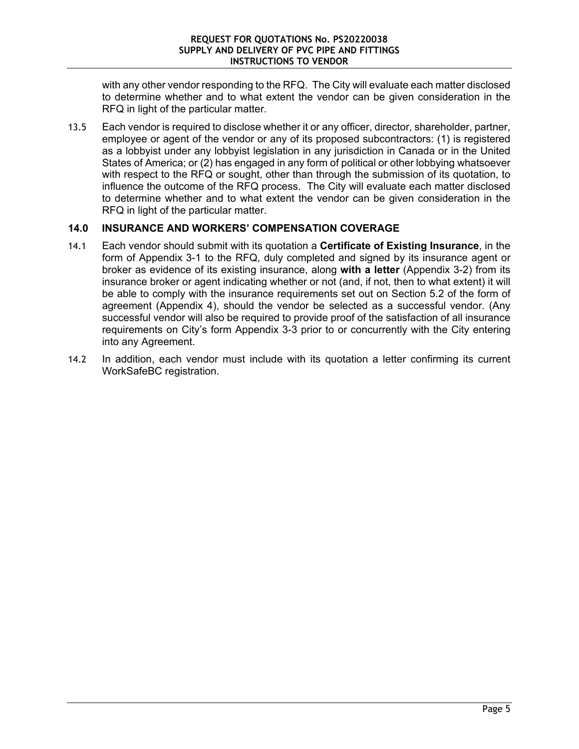with any other vendor responding to the RFQ. The City will evaluate each matter disclosed to determine whether and to what extent the vendor can be given consideration in the RFQ in light of the particular matter.

13.5 Each vendor is required to disclose whether it or any officer, director, shareholder, partner, employee or agent of the vendor or any of its proposed subcontractors: (1) is registered as a lobbyist under any lobbyist legislation in any jurisdiction in Canada or in the United States of America; or (2) has engaged in any form of political or other lobbying whatsoever with respect to the RFQ or sought, other than through the submission of its quotation, to influence the outcome of the RFQ process. The City will evaluate each matter disclosed to determine whether and to what extent the vendor can be given consideration in the RFQ in light of the particular matter.

# **14.0 INSURANCE AND WORKERS' COMPENSATION COVERAGE**

- 14.1 Each vendor should submit with its quotation a **Certificate of Existing Insurance**, in the form of Appendix 3-1 to the RFQ, duly completed and signed by its insurance agent or broker as evidence of its existing insurance, along **with a letter** (Appendix 3-2) from its insurance broker or agent indicating whether or not (and, if not, then to what extent) it will be able to comply with the insurance requirements set out on Section 5.2 of the form of agreement (Appendix 4), should the vendor be selected as a successful vendor. (Any successful vendor will also be required to provide proof of the satisfaction of all insurance requirements on City's form Appendix 3-3 prior to or concurrently with the City entering into any Agreement.
- 14.2 In addition, each vendor must include with its quotation a letter confirming its current WorkSafeBC registration.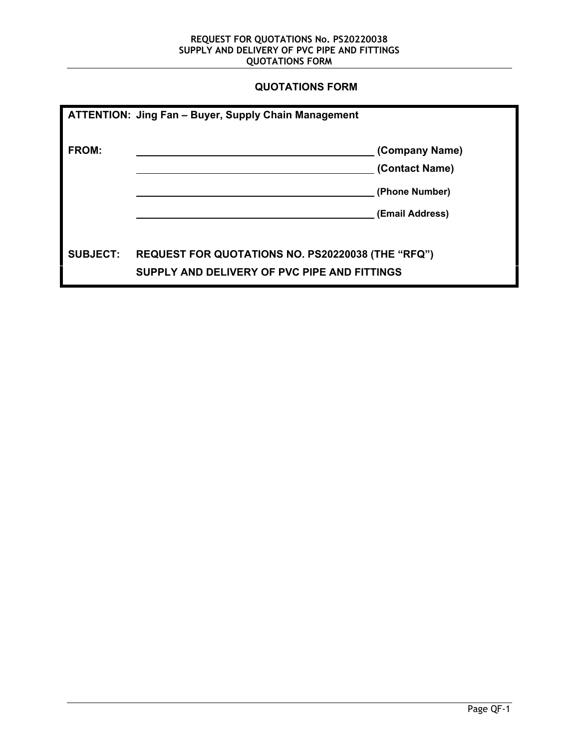# **QUOTATIONS FORM**

|                 | <b>ATTENTION: Jing Fan - Buyer, Supply Chain Management</b>                                       |                 |
|-----------------|---------------------------------------------------------------------------------------------------|-----------------|
| <b>FROM:</b>    |                                                                                                   | (Company Name)  |
|                 |                                                                                                   | (Contact Name)  |
|                 |                                                                                                   | (Phone Number)  |
|                 |                                                                                                   | (Email Address) |
| <b>SUBJECT:</b> | REQUEST FOR QUOTATIONS NO. PS20220038 (THE "RFQ")<br>SUPPLY AND DELIVERY OF PVC PIPE AND FITTINGS |                 |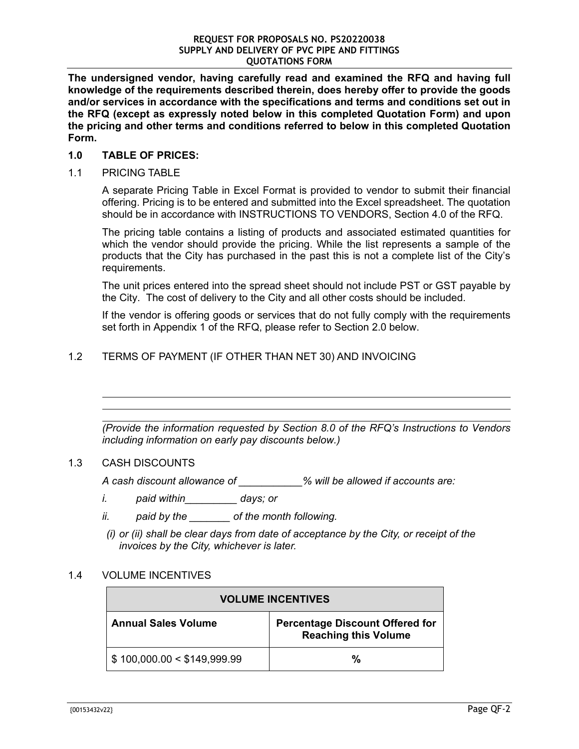**The undersigned vendor, having carefully read and examined the RFQ and having full knowledge of the requirements described therein, does hereby offer to provide the goods and/or services in accordance with the specifications and terms and conditions set out in the RFQ (except as expressly noted below in this completed Quotation Form) and upon the pricing and other terms and conditions referred to below in this completed Quotation Form.** 

#### **1.0 TABLE OF PRICES:**

1.1 PRICING TABLE

A separate Pricing Table in Excel Format is provided to vendor to submit their financial offering. Pricing is to be entered and submitted into the Excel spreadsheet. The quotation should be in accordance with INSTRUCTIONS TO VENDORS, Section 4.0 of the RFQ.

The pricing table contains a listing of products and associated estimated quantities for which the vendor should provide the pricing. While the list represents a sample of the products that the City has purchased in the past this is not a complete list of the City's requirements.

The unit prices entered into the spread sheet should not include PST or GST payable by the City. The cost of delivery to the City and all other costs should be included.

If the vendor is offering goods or services that do not fully comply with the requirements set forth in Appendix 1 of the RFQ, please refer to Section 2.0 below.

# 1.2 TERMS OF PAYMENT (IF OTHER THAN NET 30) AND INVOICING

*(Provide the information requested by Section 8.0 of the RFQ's Instructions to Vendors including information on early pay discounts below.)* 

#### 1.3 CASH DISCOUNTS

 $\overline{a}$  $\overline{a}$  $\overline{a}$ 

*A cash discount allowance of \_\_\_\_\_\_\_\_\_\_\_% will be allowed if accounts are:* 

- *i. paid within\_\_\_\_\_\_\_\_\_ days; or*
- *ii. paid by the \_\_\_\_\_\_\_ of the month following.*
- *(i) or (ii) shall be clear days from date of acceptance by the City, or receipt of the invoices by the City, whichever is later.*

#### 1.4 VOLUME INCENTIVES

| <b>VOLUME INCENTIVES</b>                   |                                                                       |  |  |
|--------------------------------------------|-----------------------------------------------------------------------|--|--|
| <b>Annual Sales Volume</b>                 | <b>Percentage Discount Offered for</b><br><b>Reaching this Volume</b> |  |  |
| $\frac{1}{2}$ \$ 100,000.00 < \$149,999.99 | %                                                                     |  |  |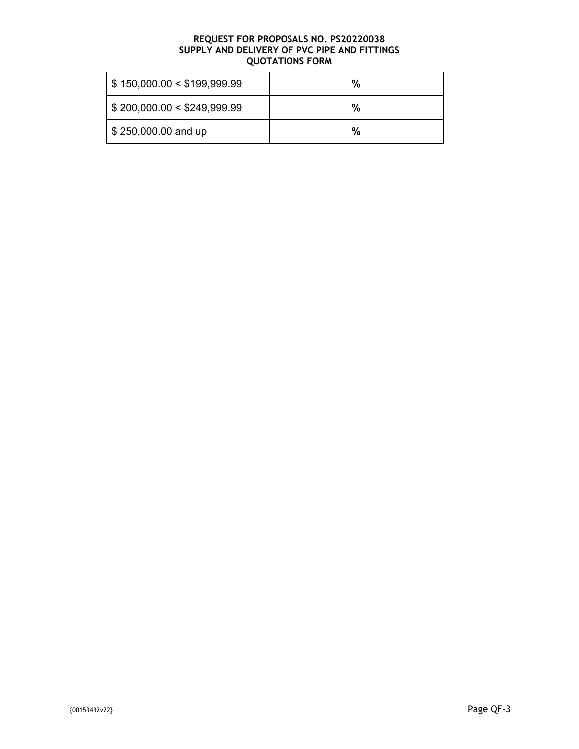| \$150,000.00 < \$199,999.99 | % |
|-----------------------------|---|
| \$200,000.00 < \$249,999.99 | % |
| \$250,000.00 and up         | % |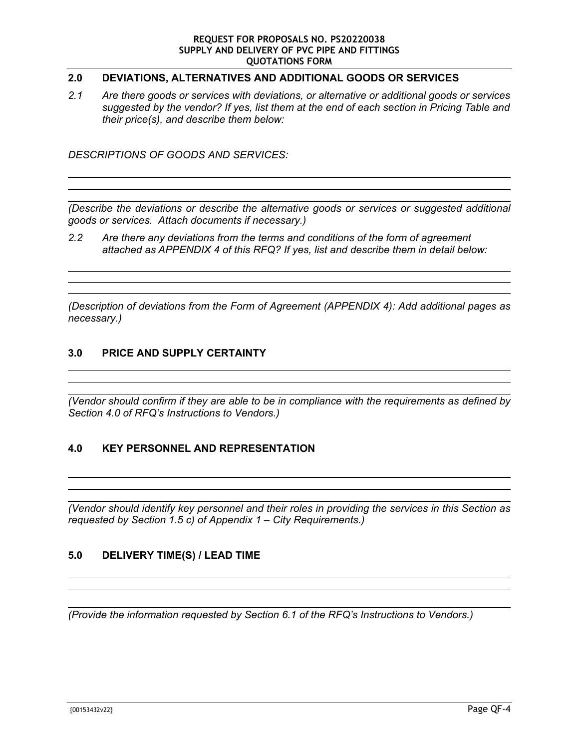# **2.0 DEVIATIONS, ALTERNATIVES AND ADDITIONAL GOODS OR SERVICES**

*2.1 Are there goods or services with deviations, or alternative or additional goods or services suggested by the vendor? If yes, list them at the end of each section in Pricing Table and their price(s), and describe them below:* 

*DESCRIPTIONS OF GOODS AND SERVICES:* 

 $\overline{a}$ 

 $\overline{a}$ 

 $\overline{a}$ 

 $\overline{a}$ 

 $\overline{a}$ 

 $\overline{a}$ 

 $\overline{a}$  $\overline{a}$ 

*(Describe the deviations or describe the alternative goods or services or suggested additional goods or services. Attach documents if necessary.)* 

*2.2 Are there any deviations from the terms and conditions of the form of agreement attached as APPENDIX 4 of this RFQ? If yes, list and describe them in detail below:* 

*(Description of deviations from the Form of Agreement (APPENDIX 4): Add additional pages as necessary.)* 

#### **3.0 PRICE AND SUPPLY CERTAINTY**

*(Vendor should confirm if they are able to be in compliance with the requirements as defined by Section 4.0 of RFQ's Instructions to Vendors.)* 

#### **4.0 KEY PERSONNEL AND REPRESENTATION**

*(Vendor should identify key personnel and their roles in providing the services in this Section as requested by Section 1.5 c) of Appendix 1 – City Requirements.)* 

#### **5.0 DELIVERY TIME(S) / LEAD TIME**

*(Provide the information requested by Section 6.1 of the RFQ's Instructions to Vendors.)*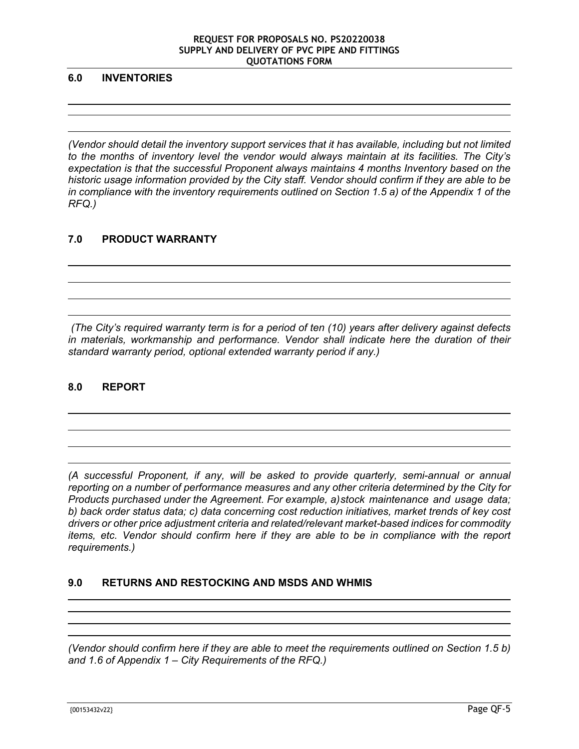#### **6.0 INVENTORIES**

 

 $\overline{a}$  $\overline{a}$ 

*(Vendor should detail the inventory support services that it has available, including but not limited to the months of inventory level the vendor would always maintain at its facilities. The City's expectation is that the successful Proponent always maintains 4 months Inventory based on the historic usage information provided by the City staff. Vendor should confirm if they are able to be in compliance with the inventory requirements outlined on Section 1.5 a) of the Appendix 1 of the RFQ.)* 

# **7.0 PRODUCT WARRANTY**

 *(The City's required warranty term is for a period of ten (10) years after delivery against defects in materials, workmanship and performance. Vendor shall indicate here the duration of their standard warranty period, optional extended warranty period if any.)* 

#### **8.0 REPORT**

*(A successful Proponent, if any, will be asked to provide quarterly, semi-annual or annual reporting on a number of performance measures and any other criteria determined by the City for Products purchased under the Agreement. For example, a) stock maintenance and usage data; b) back order status data; c) data concerning cost reduction initiatives, market trends of key cost drivers or other price adjustment criteria and related/relevant market-based indices for commodity items, etc. Vendor should confirm here if they are able to be in compliance with the report requirements.)* 

# **9.0 RETURNS AND RESTOCKING AND MSDS AND WHMIS**

*(Vendor should confirm here if they are able to meet the requirements outlined on Section 1.5 b) and 1.6 of Appendix 1 – City Requirements of the RFQ.)*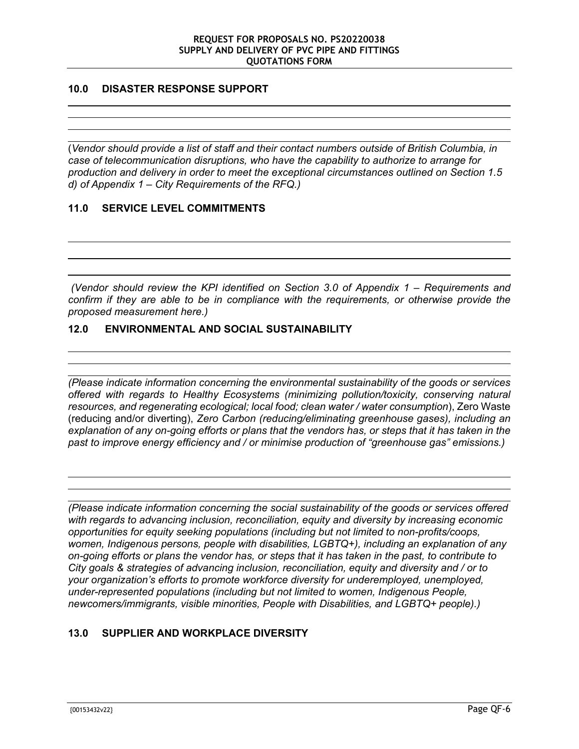# **10.0 DISASTER RESPONSE SUPPORT**

 $\overline{a}$ 

 $\overline{a}$ 

 $\overline{a}$ 

 $\overline{a}$ 

 $\overline{a}$ 

 $\overline{a}$ 

(*Vendor should provide a list of staff and their contact numbers outside of British Columbia, in case of telecommunication disruptions, who have the capability to authorize to arrange for production and delivery in order to meet the exceptional circumstances outlined on Section 1.5 d) of Appendix 1 – City Requirements of the RFQ.)* 

# **11.0 SERVICE LEVEL COMMITMENTS**

 *(Vendor should review the KPI identified on Section 3.0 of Appendix 1 – Requirements and confirm if they are able to be in compliance with the requirements, or otherwise provide the proposed measurement here.)* 

#### **12.0 ENVIRONMENTAL AND SOCIAL SUSTAINABILITY**

*(Please indicate information concerning the environmental sustainability of the goods or services offered with regards to Healthy Ecosystems (minimizing pollution/toxicity, conserving natural resources, and regenerating ecological; local food; clean water / water consumption*), Zero Waste (reducing and/or diverting), *Zero Carbon (reducing/eliminating greenhouse gases), including an explanation of any on-going efforts or plans that the vendors has, or steps that it has taken in the past to improve energy efficiency and / or minimise production of "greenhouse gas" emissions.)* 

*(Please indicate information concerning the social sustainability of the goods or services offered with regards to advancing inclusion, reconciliation, equity and diversity by increasing economic opportunities for equity seeking populations (including but not limited to non-profits/coops, women, Indigenous persons, people with disabilities, LGBTQ+), including an explanation of any on-going efforts or plans the vendor has, or steps that it has taken in the past, to contribute to City goals & strategies of advancing inclusion, reconciliation, equity and diversity and / or to your organization's efforts to promote workforce diversity for underemployed, unemployed, under-represented populations (including but not limited to women, Indigenous People, newcomers/immigrants, visible minorities, People with Disabilities, and LGBTQ+ people).)* 

# **13.0 SUPPLIER AND WORKPLACE DIVERSITY**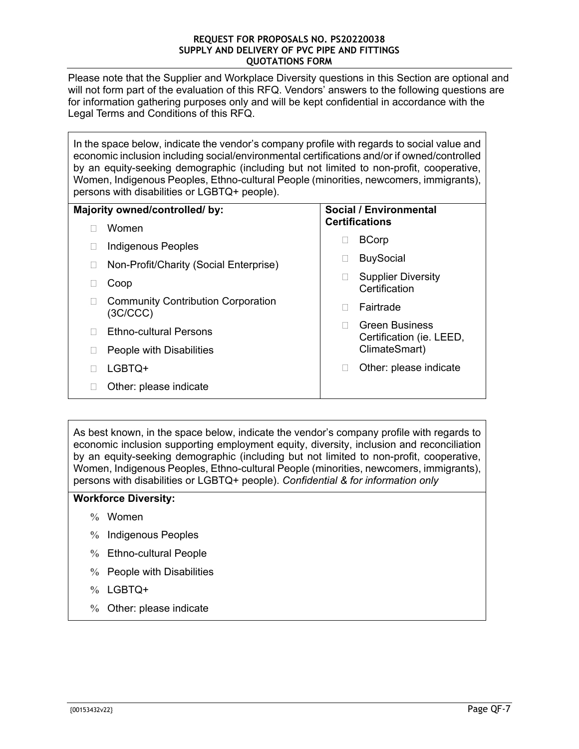Please note that the Supplier and Workplace Diversity questions in this Section are optional and will not form part of the evaluation of this RFQ. Vendors' answers to the following questions are for information gathering purposes only and will be kept confidential in accordance with the Legal Terms and Conditions of this RFQ.

In the space below, indicate the vendor's company profile with regards to social value and economic inclusion including social/environmental certifications and/or if owned/controlled by an equity-seeking demographic (including but not limited to non-profit, cooperative, Women, Indigenous Peoples, Ethno-cultural People (minorities, newcomers, immigrants), persons with disabilities or LGBTQ+ people).

| Majority owned/controlled/ by: |                                                       | Social / Environmental |                                                   |
|--------------------------------|-------------------------------------------------------|------------------------|---------------------------------------------------|
|                                | Women                                                 |                        | <b>Certifications</b>                             |
|                                | Indigenous Peoples                                    |                        | <b>BCorp</b>                                      |
|                                | Non-Profit/Charity (Social Enterprise)                |                        | <b>BuySocial</b>                                  |
|                                | Coop                                                  |                        | <b>Supplier Diversity</b><br>Certification        |
|                                | <b>Community Contribution Corporation</b><br>(3C/CCC) |                        | Fairtrade                                         |
|                                | <b>Ethno-cultural Persons</b>                         |                        | <b>Green Business</b><br>Certification (ie. LEED, |
|                                | People with Disabilities                              |                        | ClimateSmart)                                     |
|                                | LGBTQ+                                                |                        | Other: please indicate                            |
|                                | Other: please indicate                                |                        |                                                   |

As best known, in the space below, indicate the vendor's company profile with regards to economic inclusion supporting employment equity, diversity, inclusion and reconciliation by an equity-seeking demographic (including but not limited to non-profit, cooperative, Women, Indigenous Peoples, Ethno-cultural People (minorities, newcomers, immigrants), persons with disabilities or LGBTQ+ people). *Confidential & for information only*

#### **Workforce Diversity:**

- $%$  Women
- % Indigenous Peoples
- Ethno-cultural People
- $%$  People with Disabilities
- % LGBTQ+
- Other: please indicate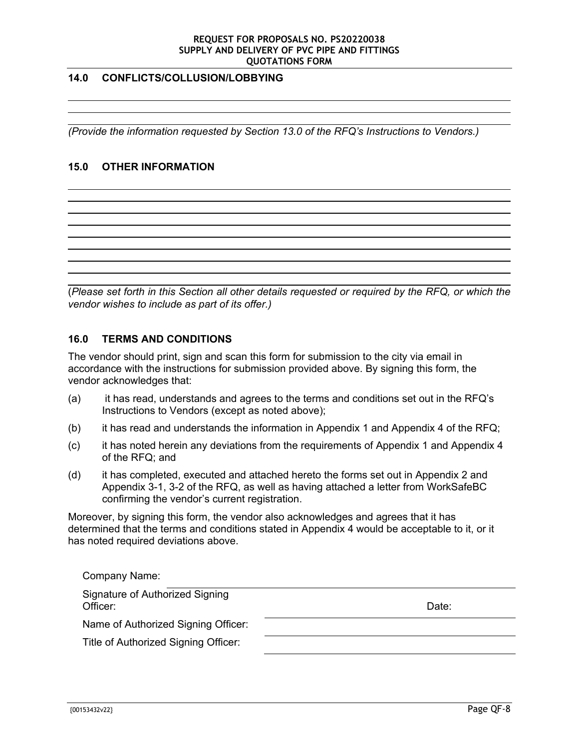#### **14.0 CONFLICTS/COLLUSION/LOBBYING**

*(Provide the information requested by Section 13.0 of the RFQ's Instructions to Vendors.)* 

# **15.0 OTHER INFORMATION**

 $\overline{a}$ 

 $\overline{a}$ 

 $\overline{a}$ 

 $\overline{a}$ 

(*Please set forth in this Section all other details requested or required by the RFQ, or which the vendor wishes to include as part of its offer.)* 

#### **16.0 TERMS AND CONDITIONS**

The vendor should print, sign and scan this form for submission to the city via email in accordance with the instructions for submission provided above. By signing this form, the vendor acknowledges that:

- (a) it has read, understands and agrees to the terms and conditions set out in the RFQ's Instructions to Vendors (except as noted above);
- (b) it has read and understands the information in Appendix 1 and Appendix 4 of the RFQ;
- (c) it has noted herein any deviations from the requirements of Appendix 1 and Appendix 4 of the RFQ; and
- (d) it has completed, executed and attached hereto the forms set out in Appendix 2 and Appendix 3-1, 3-2 of the RFQ, as well as having attached a letter from WorkSafeBC confirming the vendor's current registration.

Moreover, by signing this form, the vendor also acknowledges and agrees that it has determined that the terms and conditions stated in Appendix 4 would be acceptable to it, or it has noted required deviations above.

| Company Name:                               |       |
|---------------------------------------------|-------|
| Signature of Authorized Signing<br>Officer: | Date: |
| Name of Authorized Signing Officer:         |       |
| Title of Authorized Signing Officer:        |       |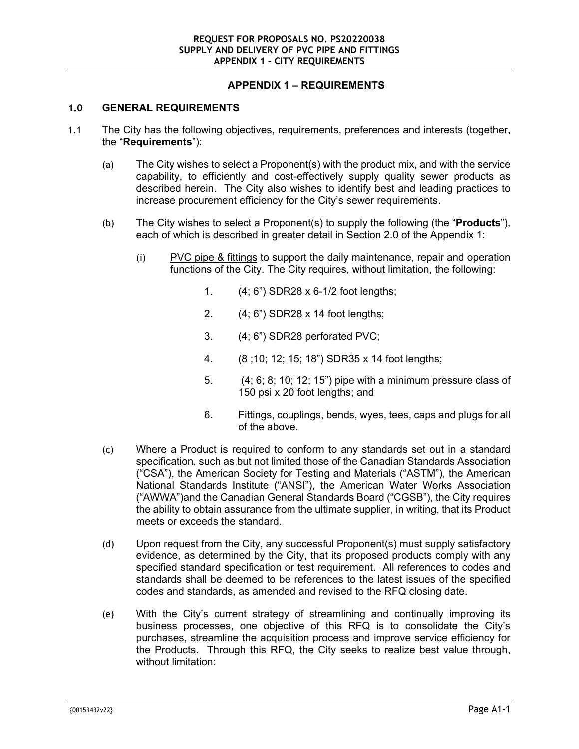# **APPENDIX 1 – REQUIREMENTS**

#### **1.0 GENERAL REQUIREMENTS**

- 1.1 The City has the following objectives, requirements, preferences and interests (together, the "**Requirements**"):
	- (a) The City wishes to select a Proponent(s) with the product mix, and with the service capability, to efficiently and cost-effectively supply quality sewer products as described herein. The City also wishes to identify best and leading practices to increase procurement efficiency for the City's sewer requirements.
	- (b) The City wishes to select a Proponent(s) to supply the following (the "**Products**"), each of which is described in greater detail in Section 2.0 of the Appendix 1:
		- (i) PVC pipe & fittings to support the daily maintenance, repair and operation functions of the City. The City requires, without limitation, the following:
			- 1. (4; 6") SDR28 x 6-1/2 foot lengths;
			- 2. (4; 6") SDR28 x 14 foot lengths;
			- 3. (4; 6") SDR28 perforated PVC;
			- 4. (8 ;10; 12; 15; 18") SDR35 x 14 foot lengths;
			- 5. (4; 6; 8; 10; 12; 15") pipe with a minimum pressure class of 150 psi x 20 foot lengths; and
			- 6. Fittings, couplings, bends, wyes, tees, caps and plugs for all of the above.
	- (c) Where a Product is required to conform to any standards set out in a standard specification, such as but not limited those of the Canadian Standards Association ("CSA"), the American Society for Testing and Materials ("ASTM"), the American National Standards Institute ("ANSI"), the American Water Works Association ("AWWA")and the Canadian General Standards Board ("CGSB"), the City requires the ability to obtain assurance from the ultimate supplier, in writing, that its Product meets or exceeds the standard.
	- (d) Upon request from the City, any successful Proponent(s) must supply satisfactory evidence, as determined by the City, that its proposed products comply with any specified standard specification or test requirement. All references to codes and standards shall be deemed to be references to the latest issues of the specified codes and standards, as amended and revised to the RFQ closing date.
	- (e) With the City's current strategy of streamlining and continually improving its business processes, one objective of this RFQ is to consolidate the City's purchases, streamline the acquisition process and improve service efficiency for the Products. Through this RFQ, the City seeks to realize best value through, without limitation: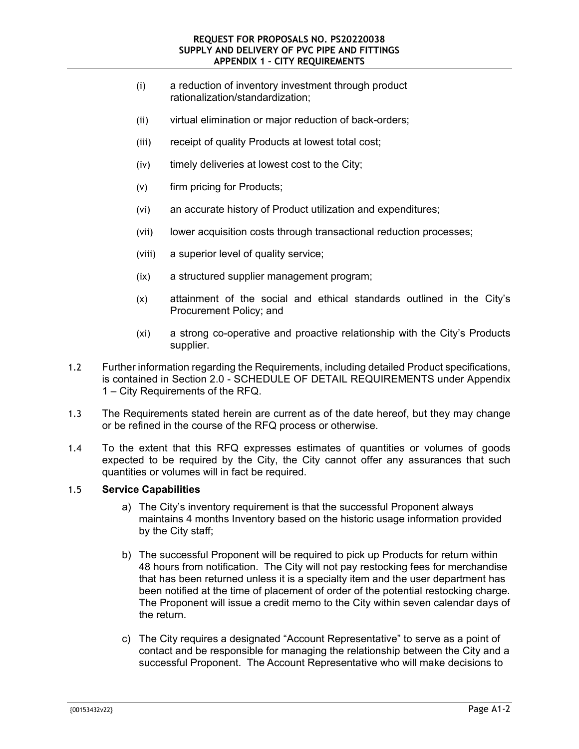- (i) a reduction of inventory investment through product rationalization/standardization;
- (ii) virtual elimination or major reduction of back-orders;
- (iii) receipt of quality Products at lowest total cost;
- (iv) timely deliveries at lowest cost to the City;
- (v) firm pricing for Products;
- (vi) an accurate history of Product utilization and expenditures;
- (vii) lower acquisition costs through transactional reduction processes;
- (viii) a superior level of quality service;
- (ix) a structured supplier management program;
- (x) attainment of the social and ethical standards outlined in the City's Procurement Policy; and
- (xi) a strong co-operative and proactive relationship with the City's Products supplier.
- 1.2 Further information regarding the Requirements, including detailed Product specifications, is contained in Section 2.0 - SCHEDULE OF DETAIL REQUIREMENTS under Appendix 1 – City Requirements of the RFQ.
- 1.3 The Requirements stated herein are current as of the date hereof, but they may change or be refined in the course of the RFQ process or otherwise.
- 1.4 To the extent that this RFQ expresses estimates of quantities or volumes of goods expected to be required by the City, the City cannot offer any assurances that such quantities or volumes will in fact be required.

#### 1.5 **Service Capabilities**

- a) The City's inventory requirement is that the successful Proponent always maintains 4 months Inventory based on the historic usage information provided by the City staff;
- b) The successful Proponent will be required to pick up Products for return within 48 hours from notification. The City will not pay restocking fees for merchandise that has been returned unless it is a specialty item and the user department has been notified at the time of placement of order of the potential restocking charge. The Proponent will issue a credit memo to the City within seven calendar days of the return.
- c) The City requires a designated "Account Representative" to serve as a point of contact and be responsible for managing the relationship between the City and a successful Proponent. The Account Representative who will make decisions to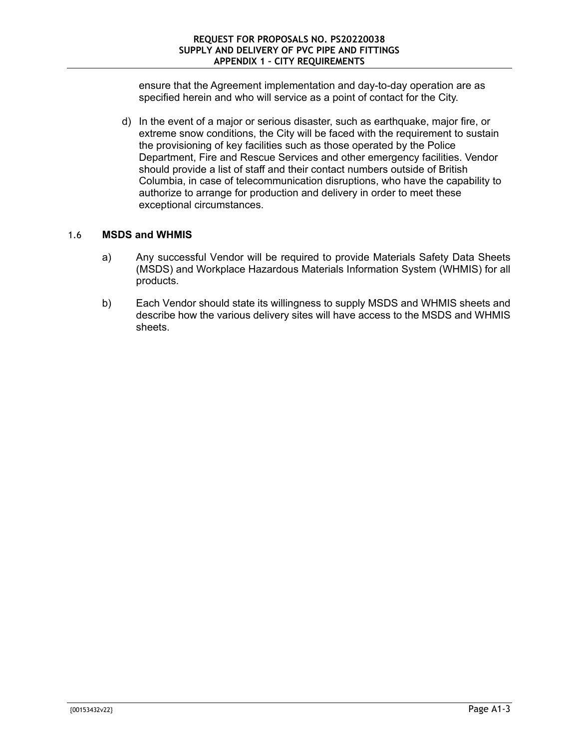ensure that the Agreement implementation and day-to-day operation are as specified herein and who will service as a point of contact for the City.

d) In the event of a major or serious disaster, such as earthquake, major fire, or extreme snow conditions, the City will be faced with the requirement to sustain the provisioning of key facilities such as those operated by the Police Department, Fire and Rescue Services and other emergency facilities. Vendor should provide a list of staff and their contact numbers outside of British Columbia, in case of telecommunication disruptions, who have the capability to authorize to arrange for production and delivery in order to meet these exceptional circumstances.

# 1.6 **MSDS and WHMIS**

- a) Any successful Vendor will be required to provide Materials Safety Data Sheets (MSDS) and Workplace Hazardous Materials Information System (WHMIS) for all products.
- b) Each Vendor should state its willingness to supply MSDS and WHMIS sheets and describe how the various delivery sites will have access to the MSDS and WHMIS sheets.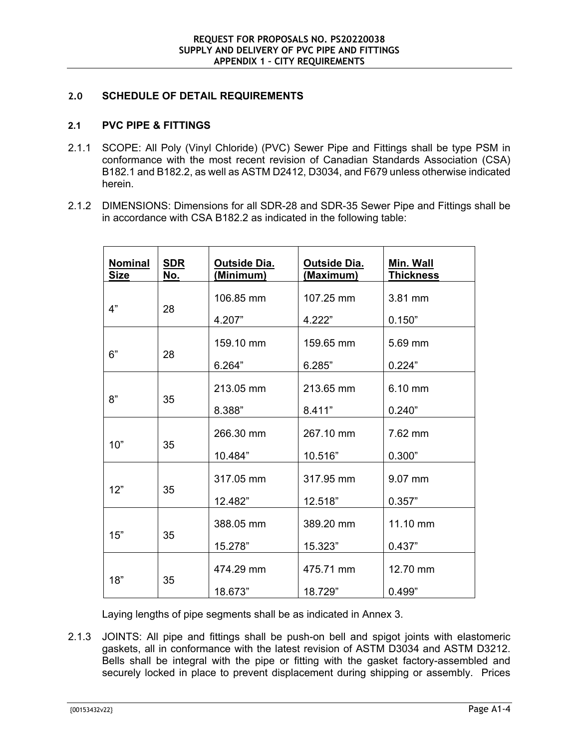#### **2.0 SCHEDULE OF DETAIL REQUIREMENTS**

#### **2.1 PVC PIPE & FITTINGS**

- 2.1.1 SCOPE: All Poly (Vinyl Chloride) (PVC) Sewer Pipe and Fittings shall be type PSM in conformance with the most recent revision of Canadian Standards Association (CSA) B182.1 and B182.2, as well as ASTM D2412, D3034, and F679 unless otherwise indicated herein.
- 2.1.2 DIMENSIONS: Dimensions for all SDR-28 and SDR-35 Sewer Pipe and Fittings shall be in accordance with CSA B182.2 as indicated in the following table:

| <b>Nominal</b><br><b>Size</b> | <b>SDR</b><br>No. | <b>Outside Dia.</b><br><u>(Minimum)</u> | <b>Outside Dia.</b><br>(Maximum) | Min. Wall<br><b>Thickness</b> |
|-------------------------------|-------------------|-----------------------------------------|----------------------------------|-------------------------------|
| 4"<br>28                      |                   | 106.85 mm                               | 107.25 mm                        | 3.81 mm                       |
|                               |                   | 4.207"                                  | 4.222"                           | 0.150"                        |
| 6"                            | 28                | 159.10 mm                               | 159.65 mm                        | 5.69 mm                       |
|                               |                   | 6.264"                                  | 6.285"                           | 0.224"                        |
| 8"                            | 35                | 213.05 mm                               | 213.65 mm                        | 6.10 mm                       |
|                               |                   | 8.388"                                  | 8.411"                           | 0.240"                        |
| 10"                           | 35                | 266.30 mm                               | 267.10 mm                        | 7.62 mm                       |
|                               |                   | 10.484"                                 | 10.516"                          | 0.300"                        |
| 12"                           | 35                | 317.05 mm                               | 317.95 mm                        | 9.07 mm                       |
|                               |                   | 12.482"                                 | 12.518"                          | 0.357"                        |
| 15"                           | 35                | 388.05 mm                               | 389.20 mm                        | 11.10 mm                      |
|                               |                   | 15.278"                                 | 15.323"                          | 0.437"                        |
| 18"                           | 35                | 474.29 mm                               | 475.71 mm                        | 12.70 mm                      |
|                               |                   | 18.673"                                 | 18.729"                          | 0.499"                        |

Laying lengths of pipe segments shall be as indicated in Annex 3.

2.1.3 JOINTS: All pipe and fittings shall be push-on bell and spigot joints with elastomeric gaskets, all in conformance with the latest revision of ASTM D3034 and ASTM D3212. Bells shall be integral with the pipe or fitting with the gasket factory-assembled and securely locked in place to prevent displacement during shipping or assembly. Prices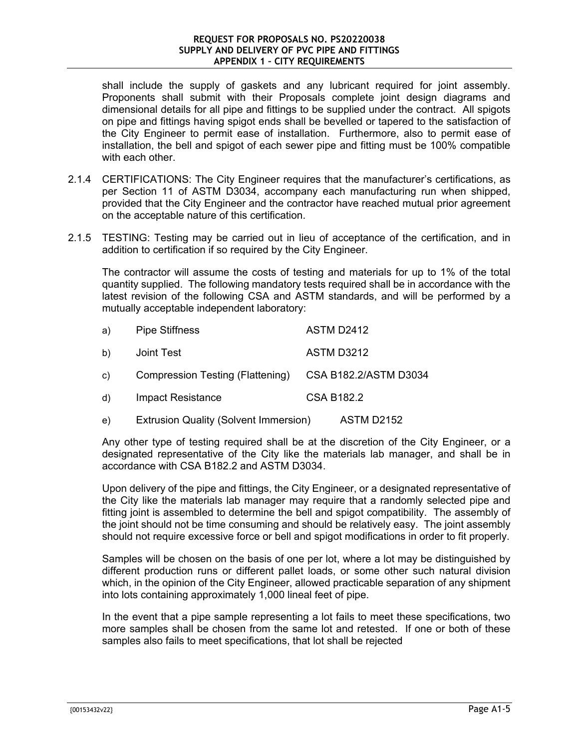shall include the supply of gaskets and any lubricant required for joint assembly. Proponents shall submit with their Proposals complete joint design diagrams and dimensional details for all pipe and fittings to be supplied under the contract. All spigots on pipe and fittings having spigot ends shall be bevelled or tapered to the satisfaction of the City Engineer to permit ease of installation. Furthermore, also to permit ease of installation, the bell and spigot of each sewer pipe and fitting must be 100% compatible with each other.

- 2.1.4 CERTIFICATIONS: The City Engineer requires that the manufacturer's certifications, as per Section 11 of ASTM D3034, accompany each manufacturing run when shipped, provided that the City Engineer and the contractor have reached mutual prior agreement on the acceptable nature of this certification.
- 2.1.5 TESTING: Testing may be carried out in lieu of acceptance of the certification, and in addition to certification if so required by the City Engineer.

The contractor will assume the costs of testing and materials for up to 1% of the total quantity supplied. The following mandatory tests required shall be in accordance with the latest revision of the following CSA and ASTM standards, and will be performed by a mutually acceptable independent laboratory:

| a)           | <b>Pipe Stiffness</b>                        | <b>ASTM D2412</b>     |
|--------------|----------------------------------------------|-----------------------|
| b)           | Joint Test                                   | <b>ASTM D3212</b>     |
| c)           | Compression Testing (Flattening)             | CSA B182.2/ASTM D3034 |
| $\mathsf{d}$ | <b>Impact Resistance</b>                     | <b>CSA B182.2</b>     |
| e)           | <b>Extrusion Quality (Solvent Immersion)</b> | ASTM D2152            |

Any other type of testing required shall be at the discretion of the City Engineer, or a designated representative of the City like the materials lab manager, and shall be in accordance with CSA B182.2 and ASTM D3034.

Upon delivery of the pipe and fittings, the City Engineer, or a designated representative of the City like the materials lab manager may require that a randomly selected pipe and fitting joint is assembled to determine the bell and spigot compatibility. The assembly of the joint should not be time consuming and should be relatively easy. The joint assembly should not require excessive force or bell and spigot modifications in order to fit properly.

Samples will be chosen on the basis of one per lot, where a lot may be distinguished by different production runs or different pallet loads, or some other such natural division which, in the opinion of the City Engineer, allowed practicable separation of any shipment into lots containing approximately 1,000 lineal feet of pipe.

In the event that a pipe sample representing a lot fails to meet these specifications, two more samples shall be chosen from the same lot and retested. If one or both of these samples also fails to meet specifications, that lot shall be rejected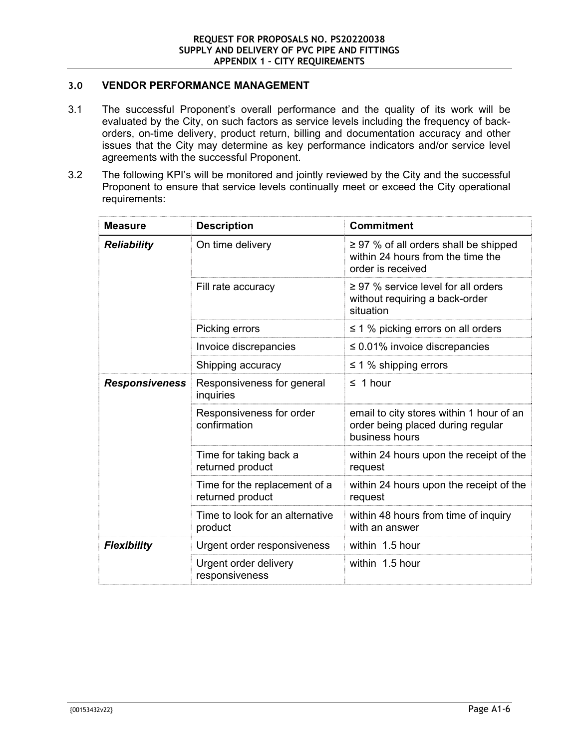# **3.0 VENDOR PERFORMANCE MANAGEMENT**

- 3.1 The successful Proponent's overall performance and the quality of its work will be evaluated by the City, on such factors as service levels including the frequency of backorders, on-time delivery, product return, billing and documentation accuracy and other issues that the City may determine as key performance indicators and/or service level agreements with the successful Proponent.
- 3.2 The following KPI's will be monitored and jointly reviewed by the City and the successful Proponent to ensure that service levels continually meet or exceed the City operational requirements:

| <b>Measure</b>        | <b>Description</b>                                | <b>Commitment</b>                                                                                    |
|-----------------------|---------------------------------------------------|------------------------------------------------------------------------------------------------------|
| <b>Reliability</b>    | On time delivery                                  | $\geq$ 97 % of all orders shall be shipped<br>within 24 hours from the time the<br>order is received |
|                       | Fill rate accuracy                                | $\geq$ 97 % service level for all orders<br>without requiring a back-order<br>situation              |
|                       | Picking errors                                    | $\leq$ 1 % picking errors on all orders                                                              |
|                       | Invoice discrepancies                             | $\leq 0.01\%$ invoice discrepancies                                                                  |
|                       | Shipping accuracy                                 | $\leq$ 1 % shipping errors                                                                           |
| <b>Responsiveness</b> | Responsiveness for general<br>inquiries           | $\leq 1$ hour                                                                                        |
|                       | Responsiveness for order<br>confirmation          | email to city stores within 1 hour of an<br>order being placed during regular<br>business hours      |
|                       | Time for taking back a<br>returned product        | within 24 hours upon the receipt of the<br>request                                                   |
|                       | Time for the replacement of a<br>returned product | within 24 hours upon the receipt of the<br>request                                                   |
|                       | Time to look for an alternative<br>product        | within 48 hours from time of inquiry<br>with an answer                                               |
| <b>Flexibility</b>    | Urgent order responsiveness                       | within 1.5 hour                                                                                      |
|                       | Urgent order delivery<br>responsiveness           | within 1.5 hour                                                                                      |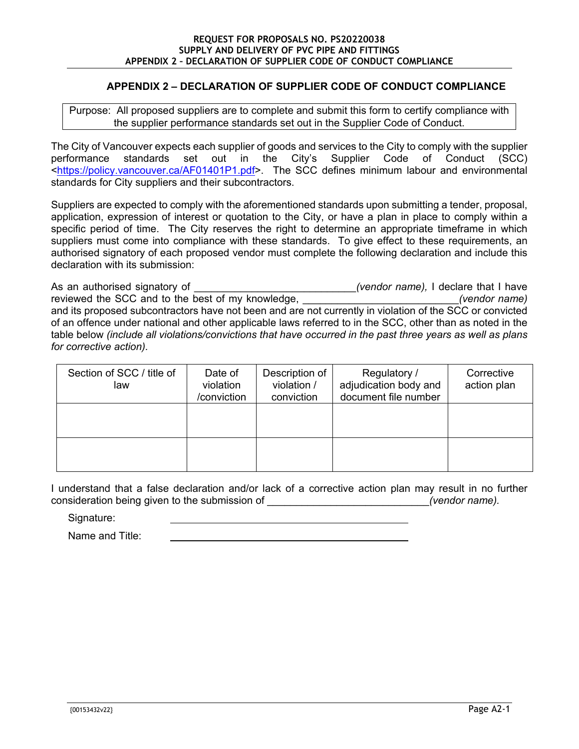# **APPENDIX 2 – DECLARATION OF SUPPLIER CODE OF CONDUCT COMPLIANCE**

Purpose: All proposed suppliers are to complete and submit this form to certify compliance with the supplier performance standards set out in the Supplier Code of Conduct.

The City of Vancouver expects each supplier of goods and services to the City to comply with the supplier performance standards set out in the City's Supplier Code of Conduct (SCC) <https://policy.vancouver.ca/AF01401P1.pdf>. The SCC defines minimum labour and environmental standards for City suppliers and their subcontractors.

Suppliers are expected to comply with the aforementioned standards upon submitting a tender, proposal, application, expression of interest or quotation to the City, or have a plan in place to comply within a specific period of time. The City reserves the right to determine an appropriate timeframe in which suppliers must come into compliance with these standards. To give effect to these requirements, an authorised signatory of each proposed vendor must complete the following declaration and include this declaration with its submission:

As an authorised signatory of **the same of the set of the set of the set of the set of the set of the set of the set of the set of the set of the set of the set of the set of the set of the set of the set of the set of the** reviewed the SCC and to the best of my knowledge, **the example of the set of the set of my knowledge**, *(vendor name)* and its proposed subcontractors have not been and are not currently in violation of the SCC or convicted of an offence under national and other applicable laws referred to in the SCC, other than as noted in the table below *(include all violations/convictions that have occurred in the past three years as well as plans for corrective action).* 

| Section of SCC / title of<br>law | Date of<br>violation<br>/conviction | Description of<br>violation /<br>conviction | Regulatory /<br>adjudication body and<br>document file number | Corrective<br>action plan |
|----------------------------------|-------------------------------------|---------------------------------------------|---------------------------------------------------------------|---------------------------|
|                                  |                                     |                                             |                                                               |                           |
|                                  |                                     |                                             |                                                               |                           |

I understand that a false declaration and/or lack of a corrective action plan may result in no further consideration being given to the submission of \_\_\_\_\_\_\_\_\_\_\_\_\_\_\_\_\_\_\_\_\_\_\_\_\_\_\_\_*(vendor name).* 

Signature:

Name and Title: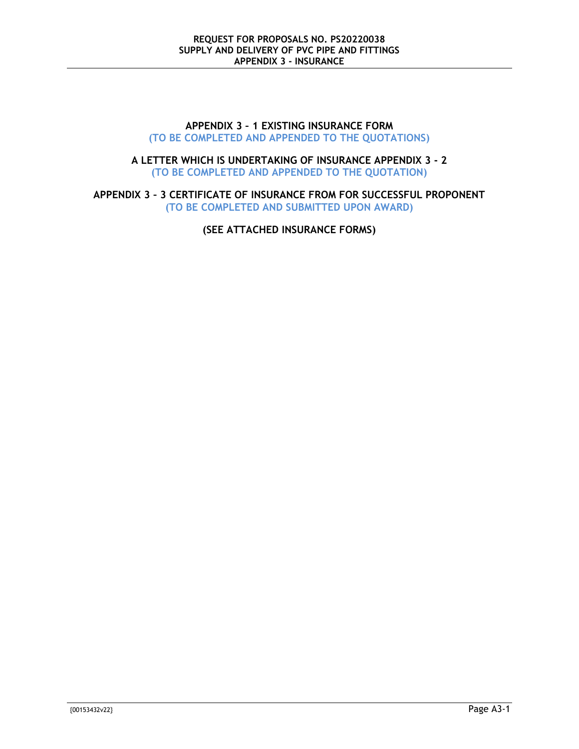#### **APPENDIX 3 – 1 EXISTING INSURANCE FORM (TO BE COMPLETED AND APPENDED TO THE QUOTATIONS)**

#### **A LETTER WHICH IS UNDERTAKING OF INSURANCE APPENDIX 3 - 2 (TO BE COMPLETED AND APPENDED TO THE QUOTATION)**

**APPENDIX 3 – 3 CERTIFICATE OF INSURANCE FROM FOR SUCCESSFUL PROPONENT (TO BE COMPLETED AND SUBMITTED UPON AWARD)**

**(SEE ATTACHED INSURANCE FORMS)**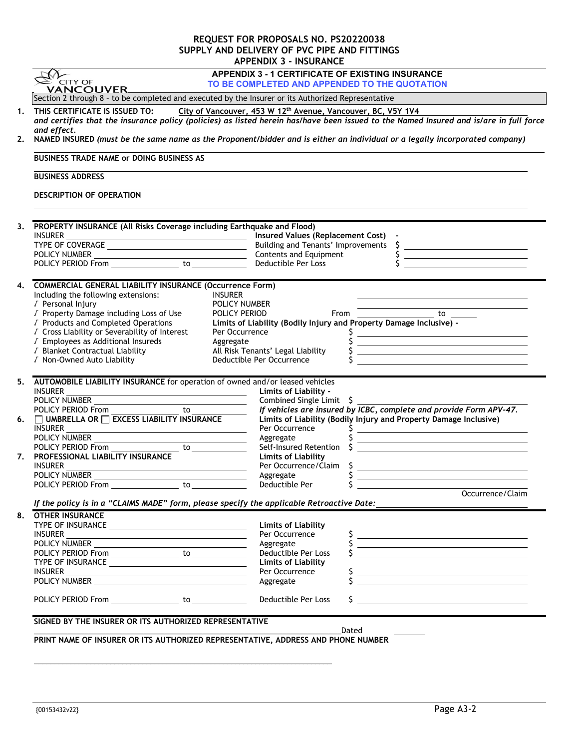#### **REQUEST FOR PROPOSALS NO. PS20220038 SUPPLY AND DELIVERY OF PVC PIPE AND FITTINGS APPENDIX 3 - INSURANCE**

| $\mathbb{E}$ CITY OF<br><b>VANCOUVER</b>                                                                                                                                                             |                                                                                                                                                                                                        |
|------------------------------------------------------------------------------------------------------------------------------------------------------------------------------------------------------|--------------------------------------------------------------------------------------------------------------------------------------------------------------------------------------------------------|
|                                                                                                                                                                                                      | TO BE COMPLETED AND APPENDED TO THE QUOTATION                                                                                                                                                          |
| Section 2 through 8 - to be completed and executed by the Insurer or its Authorized Representative                                                                                                   |                                                                                                                                                                                                        |
| THIS CERTIFICATE IS ISSUED TO:                                                                                                                                                                       | City of Vancouver, 453 W 12th Avenue, Vancouver, BC, V5Y 1V4<br>and certifies that the insurance policy (policies) as listed herein has/have been issued to the Named Insured and is/are in full force |
| and effect.                                                                                                                                                                                          | NAMED INSURED (must be the same name as the Proponent/bidder and is either an individual or a legally incorporated company)                                                                            |
| <b>BUSINESS TRADE NAME OF DOING BUSINESS AS</b>                                                                                                                                                      |                                                                                                                                                                                                        |
| <b>BUSINESS ADDRESS</b>                                                                                                                                                                              |                                                                                                                                                                                                        |
| DESCRIPTION OF OPERATION                                                                                                                                                                             |                                                                                                                                                                                                        |
| 3. PROPERTY INSURANCE (All Risks Coverage including Earthquake and Flood)                                                                                                                            |                                                                                                                                                                                                        |
|                                                                                                                                                                                                      |                                                                                                                                                                                                        |
|                                                                                                                                                                                                      | <u> Alexandria de la contenentación de la contenentación de la contenentación de la contenentación de la contene</u>                                                                                   |
|                                                                                                                                                                                                      | <u> 1989 - Johann Barbara, martin amerikan basar dan basa dan basa dalam basa dalam basa dalam basa dalam basa da</u>                                                                                  |
| TYPE OF COVERAGE<br>TYPE OF COVERAGE<br>POLICY NUMBER<br>POLICY PERIOD From  TOLICY PERIOD From  TOLICY PERIOD From  TOLICY PERIOD From  TOLICY PERIOD FROM  TOLICY PERIOD FROM   TOLICY PERIOD FROM | <u> 1989 - Johann Barbara, martin amerikan ba</u>                                                                                                                                                      |
| 4. COMMERCIAL GENERAL LIABILITY INSURANCE (Occurrence Form)                                                                                                                                          |                                                                                                                                                                                                        |
| <b>INSURER</b><br>Including the following extensions:                                                                                                                                                |                                                                                                                                                                                                        |
| √ Personal Injury                                                                                                                                                                                    | POLICY NUMBER                                                                                                                                                                                          |
| √ Property Damage including Loss of Use<br>POLICY PERIOD                                                                                                                                             | From $\overline{\qquad \qquad}$ to $\overline{\qquad \qquad}$                                                                                                                                          |
| √ Products and Completed Operations                                                                                                                                                                  | Limits of Liability (Bodily Injury and Property Damage Inclusive) -                                                                                                                                    |
| √ Cross Liability or Severability of Interest                                                                                                                                                        | Per Occurrence<br><u> Alexandria de la contrada de la contrada de la contrada de la contrada de la contrada de la contrada de la c</u>                                                                 |
| √ Employees as Additional Insureds<br>Aggregate                                                                                                                                                      | <u> 1988 - Andrea Brand, amerikansk politik (</u>                                                                                                                                                      |
| J Blanket Contractual Liability                                                                                                                                                                      | All Risk Tenants' Legal Liability<br><u> Alexandria de la contrada de la contrada de la contrada de la contrada de la contrada de la contrada de la c</u>                                              |
| √ Non-Owned Auto Liability                                                                                                                                                                           | Deductible Per Occurrence<br><u> 1989 - Andrea Stadt Britain, amerikansk politiker (</u>                                                                                                               |
|                                                                                                                                                                                                      |                                                                                                                                                                                                        |
| 5. AUTOMOBILE LIABILITY INSURANCE for operation of owned and/or leased vehicles                                                                                                                      |                                                                                                                                                                                                        |
| <b>INSURER</b><br><u> 1989 - Johann Barnett, fransk politik (d. 1989)</u>                                                                                                                            | Limits of Liability -                                                                                                                                                                                  |
| POLICY NUMBER                                                                                                                                                                                        | Combined Single Limit $\oint$<br>If vehicles are insured by ICBC, complete and provide Form APV-47.                                                                                                    |
| POLICY PERIOD From<br>□ UMBRELLA OR □ EXCESS LIABILITY INSURANCE                                                                                                                                     |                                                                                                                                                                                                        |
|                                                                                                                                                                                                      | Limits of Liability (Bodily Injury and Property Damage Inclusive)                                                                                                                                      |
| INSURER<br><u> 1989 - Jan Samuel Barbara, margaret eta idazlea (h. 1989).</u>                                                                                                                        | Per Occurrence<br>S<br><u> Alexandria de la contrada de la contrada de la contrada de la contrada de la contrada de la contrada de la c</u>                                                            |
|                                                                                                                                                                                                      | Aggregate<br><u> 1989 - Johann Barnett, fransk politiker (d. 1989)</u>                                                                                                                                 |
|                                                                                                                                                                                                      | Self-Insured Retention \$                                                                                                                                                                              |
|                                                                                                                                                                                                      |                                                                                                                                                                                                        |
|                                                                                                                                                                                                      | <b>Limits of Liability</b>                                                                                                                                                                             |
|                                                                                                                                                                                                      | Per Occurrence/Claim<br><u> 1989 - Johann Barn, mars eta bainar eta industrial eta erromana eta erromana eta erromana eta erromana eta e</u>                                                           |
|                                                                                                                                                                                                      | Aggregate                                                                                                                                                                                              |
|                                                                                                                                                                                                      | Deductible Per<br>Occurrence/Claim                                                                                                                                                                     |
|                                                                                                                                                                                                      | If the policy is in a "CLAIMS MADE" form, please specify the applicable Retroactive Date: ____________________                                                                                         |
| 7. PROFESSIONAL LIABILITY INSURANCE<br><b>INSURER</b><br>POLICY NUMBER<br><b>OTHER INSURANCE</b>                                                                                                     |                                                                                                                                                                                                        |
|                                                                                                                                                                                                      | <b>Limits of Liability</b>                                                                                                                                                                             |
|                                                                                                                                                                                                      | Per Occurrence                                                                                                                                                                                         |
|                                                                                                                                                                                                      | $\frac{1}{2}$<br>Aggregate                                                                                                                                                                             |
|                                                                                                                                                                                                      | <u> Alexandria de la contrada de la contrada de la contrada de la contrada de la contrada de la contrada de la c</u><br>Deductible Per Loss                                                            |
|                                                                                                                                                                                                      | <b>Limits of Liability</b>                                                                                                                                                                             |
|                                                                                                                                                                                                      | Per Occurrence                                                                                                                                                                                         |
|                                                                                                                                                                                                      | Aggregate<br><u> 1989 - Johann Barn, amerikansk politiker (</u>                                                                                                                                        |
|                                                                                                                                                                                                      | Deductible Per Loss                                                                                                                                                                                    |
|                                                                                                                                                                                                      |                                                                                                                                                                                                        |
|                                                                                                                                                                                                      |                                                                                                                                                                                                        |
| INSURER<br>SIGNED BY THE INSURER OR ITS AUTHORIZED REPRESENTATIVE<br>PRINT NAME OF INSURER OR ITS AUTHORIZED REPRESENTATIVE, ADDRESS AND PHONE NUMBER                                                | Dated                                                                                                                                                                                                  |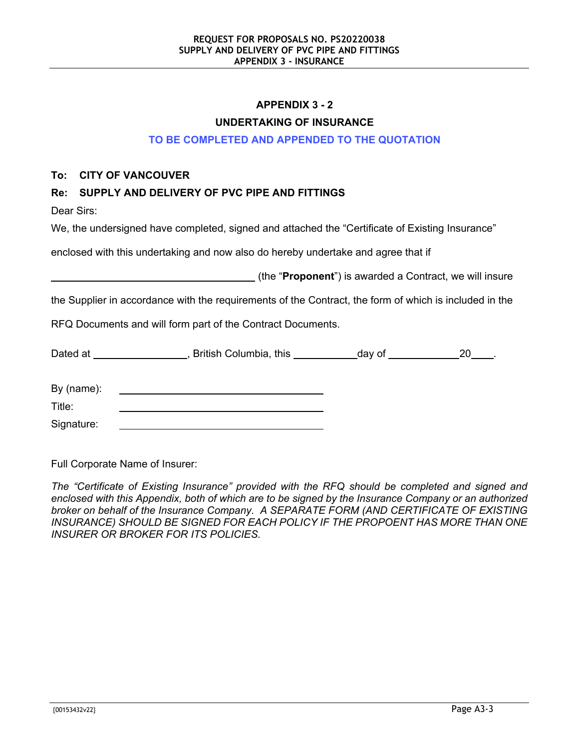# **APPENDIX 3 - 2**

#### **UNDERTAKING OF INSURANCE**

#### **TO BE COMPLETED AND APPENDED TO THE QUOTATION**

#### **To: CITY OF VANCOUVER**

# **Re: SUPPLY AND DELIVERY OF PVC PIPE AND FITTINGS**

Dear Sirs:

We, the undersigned have completed, signed and attached the "Certificate of Existing Insurance"

enclosed with this undertaking and now also do hereby undertake and agree that if

(the "**Proponent**") is awarded a Contract, we will insure

the Supplier in accordance with the requirements of the Contract, the form of which is included in the

RFQ Documents and will form part of the Contract Documents.

| Dated at   | British Columbia, this | day of | 20 |
|------------|------------------------|--------|----|
| By (name): |                        |        |    |
| Title:     |                        |        |    |

Signature:

Full Corporate Name of Insurer:

*The "Certificate of Existing Insurance" provided with the RFQ should be completed and signed and enclosed with this Appendix, both of which are to be signed by the Insurance Company or an authorized broker on behalf of the Insurance Company. A SEPARATE FORM (AND CERTIFICATE OF EXISTING*  **INSURANCE) SHOULD BE SIGNED FOR EACH POLICY IF THE PROPOENT HAS MORE THAN ONE** *INSURER OR BROKER FOR ITS POLICIES.*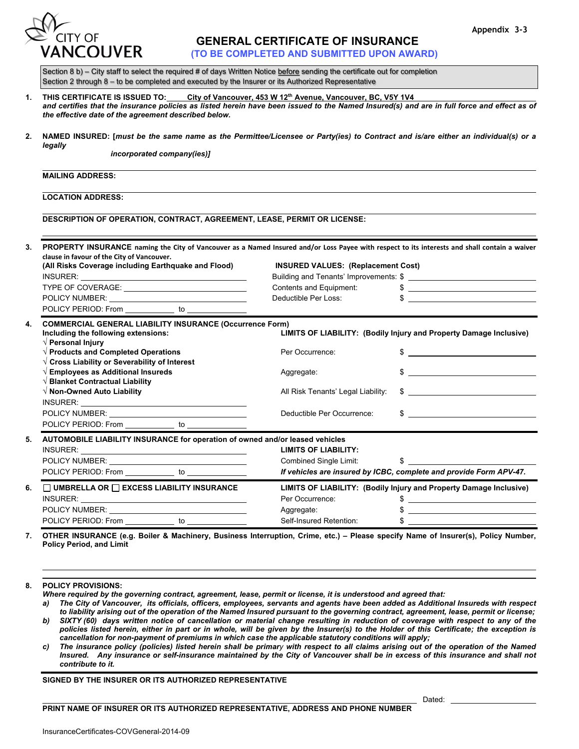



# **GENERAL CERTIFICATE OF INSURANCE**

 **(TO BE COMPLETED AND SUBMITTED UPON AWARD)** 

Section 8 b) - City staff to select the required # of days Written Notice before sending the certificate out for completion Section 2 through 8 – to be completed and executed by the Insurer or its Authorized Representative

| THIS CERTIFICATE IS ISSUED TO:                                                                                                             | City of Vancouver, 453 W 12 <sup>th</sup> Avenue, Vancouver, BC, V5Y 1V4 |  |  |
|--------------------------------------------------------------------------------------------------------------------------------------------|--------------------------------------------------------------------------|--|--|
| and certifies that the insurance policies as listed herein have been issued to the Named Insured(s) and are in full force and effect as of |                                                                          |  |  |
| the effective date of the agreement described below.                                                                                       |                                                                          |  |  |

**2. NAMED INSURED: [***must be the same name as the Permittee/Licensee or Party(ies) to Contract and is/are either an individual(s) or a legally*

*incorporated company(ies)]*

#### **MAILING ADDRESS:**

**LOCATION ADDRESS:**

**DESCRIPTION OF OPERATION, CONTRACT, AGREEMENT, LEASE, PERMIT OR LICENSE:** 

|  | clause in favour of the City of Vancouver.<br>(All Risks Coverage including Earthquake and Flood) |  | <b>INSURED VALUES: (Replacement Cost)</b><br>Building and Tenants' Improvements: \$ |  |
|--|---------------------------------------------------------------------------------------------------|--|-------------------------------------------------------------------------------------|--|
|  |                                                                                                   |  |                                                                                     |  |
|  | TYPE OF COVERAGE: THE STATE OF STATE STATES.                                                      |  | Contents and Equipment:                                                             |  |
|  | POLICY NUMBER: <u>_______________________________</u>                                             |  | Deductible Per Loss:                                                                |  |
|  | POLICY PERIOD: From _____________ to ______________                                               |  |                                                                                     |  |

| 4. | <b>COMMERCIAL GENERAL LIABILITY INSURANCE (Occurrence Form)</b><br>Including the following extensions:<br>$\sqrt{}$ Personal Injury                                                                                           |  | LIMITS OF LIABILITY: (Bodily Injury and Property Damage Inclusive) |                                                                                                                                                                                                                                                                                                                     |  |
|----|-------------------------------------------------------------------------------------------------------------------------------------------------------------------------------------------------------------------------------|--|--------------------------------------------------------------------|---------------------------------------------------------------------------------------------------------------------------------------------------------------------------------------------------------------------------------------------------------------------------------------------------------------------|--|
|    | $\sqrt{2}$ Products and Completed Operations                                                                                                                                                                                  |  | Per Occurrence:                                                    |                                                                                                                                                                                                                                                                                                                     |  |
|    | $\sqrt{2}$ Cross Liability or Severability of Interest<br>$\sqrt{2}$ Employees as Additional Insureds<br>$\sqrt{}$ Blanket Contractual Liability                                                                              |  | Aggregate:                                                         | $\frac{1}{2}$ $\frac{1}{2}$ $\frac{1}{2}$ $\frac{1}{2}$ $\frac{1}{2}$ $\frac{1}{2}$ $\frac{1}{2}$ $\frac{1}{2}$ $\frac{1}{2}$ $\frac{1}{2}$ $\frac{1}{2}$ $\frac{1}{2}$ $\frac{1}{2}$ $\frac{1}{2}$ $\frac{1}{2}$ $\frac{1}{2}$ $\frac{1}{2}$ $\frac{1}{2}$ $\frac{1}{2}$ $\frac{1}{2}$ $\frac{1}{2}$ $\frac{1}{2}$ |  |
|    | $\sqrt{}$ Non-Owned Auto Liability                                                                                                                                                                                            |  |                                                                    | All Risk Tenants' Legal Liability: \$                                                                                                                                                                                                                                                                               |  |
|    |                                                                                                                                                                                                                               |  | Deductible Per Occurrence:                                         |                                                                                                                                                                                                                                                                                                                     |  |
|    | POLICY PERIOD: From _____________ to ______________                                                                                                                                                                           |  |                                                                    |                                                                                                                                                                                                                                                                                                                     |  |
| 5. | AUTOMOBILE LIABILITY INSURANCE for operation of owned and/or leased vehicles                                                                                                                                                  |  |                                                                    |                                                                                                                                                                                                                                                                                                                     |  |
|    |                                                                                                                                                                                                                               |  | <b>LIMITS OF LIABILITY:</b>                                        |                                                                                                                                                                                                                                                                                                                     |  |
|    |                                                                                                                                                                                                                               |  |                                                                    | Combined Single Limit: \$                                                                                                                                                                                                                                                                                           |  |
|    | POLICY PERIOD: From to to the to the to the to the to the to the to the to the to the to the to the to the to the to the to the to the to the to the to the to the to the to the to the to the to the to the to the to the to |  |                                                                    | If vehicles are insured by ICBC, complete and provide Form APV-47.                                                                                                                                                                                                                                                  |  |
| 6. | $\Box$ UMBRELLA OR $\Box$ EXCESS LIABILITY INSURANCE                                                                                                                                                                          |  | LIMITS OF LIABILITY: (Bodily Injury and Property Damage Inclusive) |                                                                                                                                                                                                                                                                                                                     |  |
|    |                                                                                                                                                                                                                               |  | Per Occurrence:                                                    | $\frac{1}{2}$ $\frac{1}{2}$ $\frac{1}{2}$ $\frac{1}{2}$ $\frac{1}{2}$ $\frac{1}{2}$ $\frac{1}{2}$ $\frac{1}{2}$ $\frac{1}{2}$ $\frac{1}{2}$ $\frac{1}{2}$ $\frac{1}{2}$ $\frac{1}{2}$ $\frac{1}{2}$ $\frac{1}{2}$ $\frac{1}{2}$ $\frac{1}{2}$ $\frac{1}{2}$ $\frac{1}{2}$ $\frac{1}{2}$ $\frac{1}{2}$ $\frac{1}{2}$ |  |
|    | POLICY NUMBER: University POLICY NUMBER:                                                                                                                                                                                      |  | Aggregate:                                                         |                                                                                                                                                                                                                                                                                                                     |  |
|    | POLICY PERIOD: From to                                                                                                                                                                                                        |  | Self-Insured Retention:                                            |                                                                                                                                                                                                                                                                                                                     |  |

**7. OTHER INSURANCE (e.g. Boiler & Machinery, Business Interruption, Crime, etc.) – Please specify Name of Insurer(s), Policy Number, Policy Period, and Limit**

#### **8. POLICY PROVISIONS:**

*Where required by the governing contract, agreement, lease, permit or license, it is understood and agreed that:*

- *a) The City of Vancouver, its officials, officers, employees, servants and agents have been added as Additional Insureds with respect to liability arising out of the operation of the Named Insured pursuant to the governing contract, agreement, lease, permit or license; b) SIXTY (60) days written notice of cancellation or material change resulting in reduction of coverage with respect to any of the policies listed herein, either in part or in whole, will be given by the Insurer(s) to the Holder of this Certificate; the exception is cancellation for non-payment of premiums in which case the applicable statutory conditions will apply;*
- *c) The insurance policy (policies) listed herein shall be primary with respect to all claims arising out of the operation of the Named Insured. Any insurance or self-insurance maintained by the City of Vancouver shall be in excess of this insurance and shall not contribute to it.*

**SIGNED BY THE INSURER OR ITS AUTHORIZED REPRESENTATIVE** 

Dated:

#### **PRINT NAME OF INSURER OR ITS AUTHORIZED REPRESENTATIVE, ADDRESS AND PHONE NUMBER**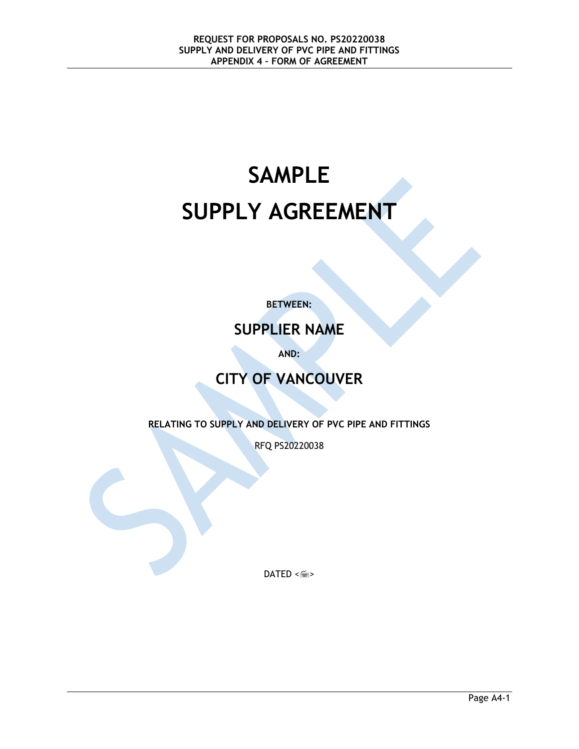# **SAMPLE SUPPLY AGREEMENT**

**BETWEEN:** 

# **SUPPLIER NAME**

**AND:** 

# **CITY OF VANCOUVER**

**RELATING TO SUPPLY AND DELIVERY OF PVC PIPE AND FITTINGS** 

RFQ PS20220038

 $DATED \leq m$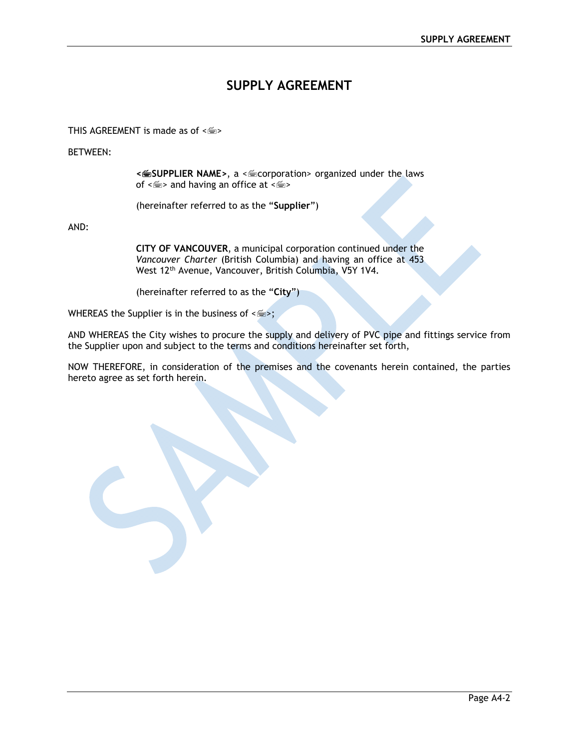# **SUPPLY AGREEMENT**

THIS AGREEMENT is made as of  $\leq m$ 

BETWEEN:

**<SUPPLIER NAME>**, a <corporation> organized under the laws of  $\leq$  and having an office at  $\leq$   $\leq$  >

(hereinafter referred to as the "**Supplier**")

AND:

**CITY OF VANCOUVER**, a municipal corporation continued under the *Vancouver Charter* (British Columbia) and having an office at 453 West 12th Avenue, Vancouver, British Columbia, V5Y 1V4.

(hereinafter referred to as the "**City**")

WHEREAS the Supplier is in the business of  $\leq$   $\leq$  >;

AND WHEREAS the City wishes to procure the supply and delivery of PVC pipe and fittings service from the Supplier upon and subject to the terms and conditions hereinafter set forth,

NOW THEREFORE, in consideration of the premises and the covenants herein contained, the parties hereto agree as set forth herein.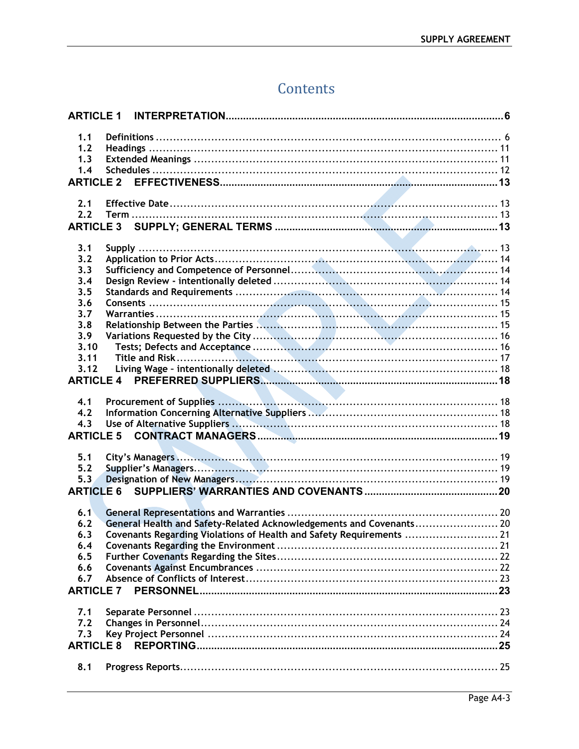# Contents

| <b>ARTICLE 1</b> |                                                                      |
|------------------|----------------------------------------------------------------------|
| 1.1              |                                                                      |
| 1.2              |                                                                      |
| 1.3              |                                                                      |
| 1.4              |                                                                      |
| <b>ARTICLE 2</b> |                                                                      |
|                  |                                                                      |
| 2.1              |                                                                      |
| 2.2              |                                                                      |
| <b>ARTICLE 3</b> |                                                                      |
|                  |                                                                      |
| 3.1              |                                                                      |
| 3.2              |                                                                      |
| 3.3              |                                                                      |
| 3.4              |                                                                      |
| 3.5              |                                                                      |
| 3.6              |                                                                      |
| 3.7              |                                                                      |
| 3.8              |                                                                      |
| 3.9              |                                                                      |
| 3.10             |                                                                      |
| 3.11             |                                                                      |
|                  |                                                                      |
| 3.12             |                                                                      |
| <b>ARTICLE 4</b> |                                                                      |
|                  |                                                                      |
| 4.1              |                                                                      |
| 4.2              |                                                                      |
| 4.3              |                                                                      |
| <b>ARTICLE 5</b> |                                                                      |
|                  |                                                                      |
| 5.1              |                                                                      |
| 5.2              |                                                                      |
| 5.3              |                                                                      |
| <b>ARTICLE 6</b> |                                                                      |
|                  |                                                                      |
| 6.1              |                                                                      |
| 6.2              | General Health and Safety-Related Acknowledgements and Covenants 20  |
| 6.3              | Covenants Regarding Violations of Health and Safety Requirements  21 |
| 6.4              |                                                                      |
| 6.5              |                                                                      |
| 6.6              |                                                                      |
| 6.7              |                                                                      |
| <b>ARTICLE 7</b> |                                                                      |
|                  |                                                                      |
| 7.1              |                                                                      |
| 7.2              |                                                                      |
| 7.3              |                                                                      |
| <b>ARTICLE 8</b> |                                                                      |
|                  |                                                                      |
| 8.1              |                                                                      |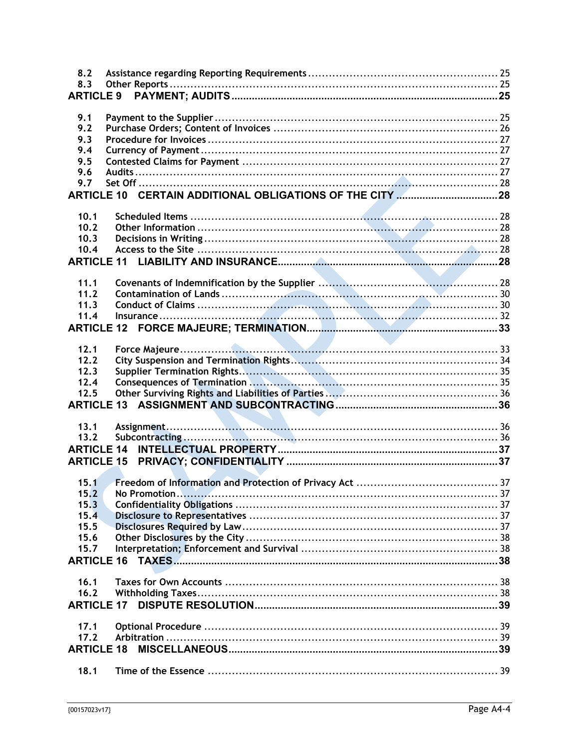| 8.2<br>8.3        |  |
|-------------------|--|
| <b>ARTICLE 9</b>  |  |
|                   |  |
| 9.1               |  |
| 9.2               |  |
| 9.3               |  |
| 9.4               |  |
| 9.5               |  |
| 9.6               |  |
| 9.7               |  |
|                   |  |
|                   |  |
| 10.1              |  |
| 10.2              |  |
| 10.3              |  |
| 10.4              |  |
| <b>ARTICLE 11</b> |  |
|                   |  |
| 11.1              |  |
| 11.2              |  |
| 11.3              |  |
| 11.4              |  |
| <b>ARTICLE 12</b> |  |
|                   |  |
| 12.1              |  |
| 12.2              |  |
| 12.3              |  |
| 12.4              |  |
| 12.5              |  |
|                   |  |
|                   |  |
| 13.1              |  |
| 13.2              |  |
| <b>ARTICLE 14</b> |  |
|                   |  |
|                   |  |
| 15.1              |  |
| 15.2              |  |
| 15.3              |  |
| 15.4              |  |
| 15.5              |  |
| 15.6              |  |
| 15.7              |  |
| <b>ARTICLE 16</b> |  |
|                   |  |
| 16.1              |  |
| 16.2              |  |
| <b>ARTICLE 17</b> |  |
|                   |  |
| 17.1              |  |
| 17.2              |  |
| <b>ARTICLE 18</b> |  |
|                   |  |
| 18.1              |  |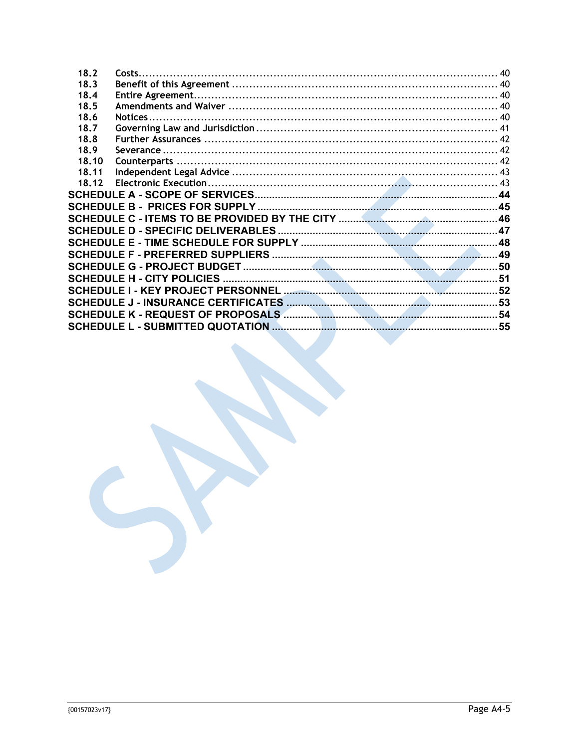| 18.2  | Costs |     |
|-------|-------|-----|
| 18.3  |       |     |
| 18.4  |       |     |
| 18.5  |       |     |
| 18.6  |       |     |
| 18.7  |       |     |
| 18.8  |       |     |
| 18.9  |       |     |
| 18.10 |       |     |
| 18.11 |       |     |
| 18.12 |       |     |
|       |       |     |
|       |       |     |
|       |       |     |
|       |       |     |
|       |       |     |
|       |       |     |
|       |       |     |
|       |       |     |
|       |       |     |
|       |       |     |
|       |       | .54 |
|       |       |     |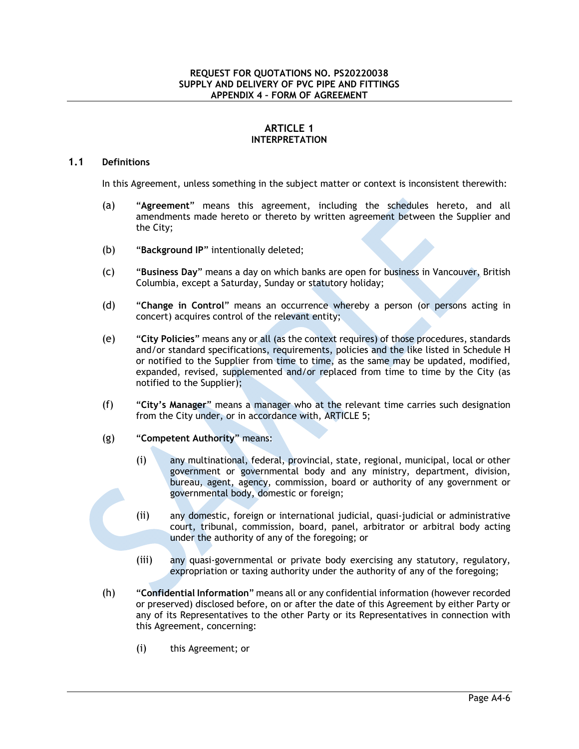# **ARTICLE 1 INTERPRETATION**

#### **1.1 Definitions**

In this Agreement, unless something in the subject matter or context is inconsistent therewith:

- (a) "**Agreement**" means this agreement, including the schedules hereto, and all amendments made hereto or thereto by written agreement between the Supplier and the City;
- (b) "**Background IP**" intentionally deleted;
- (c) "**Business Day**" means a day on which banks are open for business in Vancouver, British Columbia, except a Saturday, Sunday or statutory holiday;
- (d) "**Change in Control**" means an occurrence whereby a person (or persons acting in concert) acquires control of the relevant entity;
- (e) "**City Policies**" means any or all (as the context requires) of those procedures, standards and/or standard specifications, requirements, policies and the like listed in Schedule H or notified to the Supplier from time to time, as the same may be updated, modified, expanded, revised, supplemented and/or replaced from time to time by the City (as notified to the Supplier);
- (f) "**City's Manager**" means a manager who at the relevant time carries such designation from the City under, or in accordance with, ARTICLE 5;
- (g) "**Competent Authority**" means:
	- (i) any multinational, federal, provincial, state, regional, municipal, local or other government or governmental body and any ministry, department, division, bureau, agent, agency, commission, board or authority of any government or governmental body, domestic or foreign;
	- (ii) any domestic, foreign or international judicial, quasi-judicial or administrative court, tribunal, commission, board, panel, arbitrator or arbitral body acting under the authority of any of the foregoing; or
	- (iii) any quasi-governmental or private body exercising any statutory, regulatory, expropriation or taxing authority under the authority of any of the foregoing;
- (h) "**Confidential Information**" means all or any confidential information (however recorded or preserved) disclosed before, on or after the date of this Agreement by either Party or any of its Representatives to the other Party or its Representatives in connection with this Agreement, concerning:
	- (i) this Agreement; or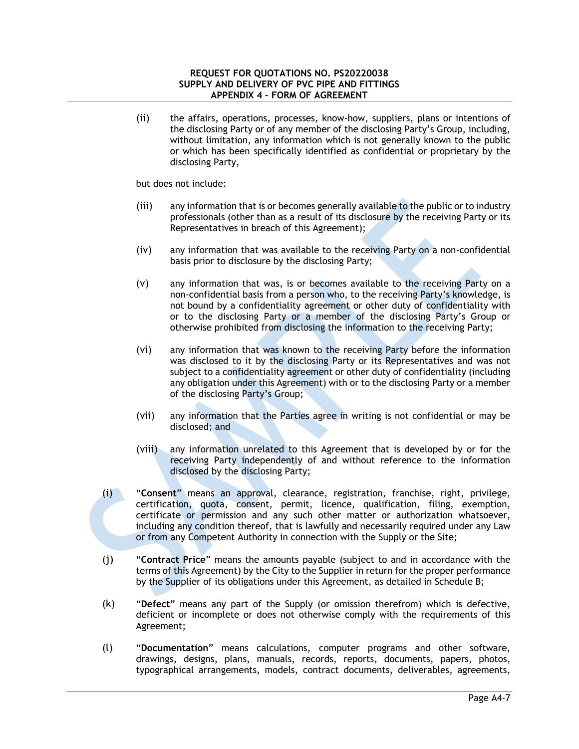(ii) the affairs, operations, processes, know-how, suppliers, plans or intentions of the disclosing Party or of any member of the disclosing Party's Group, including, without limitation, any information which is not generally known to the public or which has been specifically identified as confidential or proprietary by the disclosing Party,

but does not include:

- (iii) any information that is or becomes generally available to the public or to industry professionals (other than as a result of its disclosure by the receiving Party or its Representatives in breach of this Agreement);
- (iv) any information that was available to the receiving Party on a non-confidential basis prior to disclosure by the disclosing Party;
- (v) any information that was, is or becomes available to the receiving Party on a non-confidential basis from a person who, to the receiving Party's knowledge, is not bound by a confidentiality agreement or other duty of confidentiality with or to the disclosing Party or a member of the disclosing Party's Group or otherwise prohibited from disclosing the information to the receiving Party;
- (vi) any information that was known to the receiving Party before the information was disclosed to it by the disclosing Party or its Representatives and was not subject to a confidentiality agreement or other duty of confidentiality (including any obligation under this Agreement) with or to the disclosing Party or a member of the disclosing Party's Group;
- (vii) any information that the Parties agree in writing is not confidential or may be disclosed; and
- (viii) any information unrelated to this Agreement that is developed by or for the receiving Party independently of and without reference to the information disclosed by the disclosing Party;
- (i) "**Consent**" means an approval, clearance, registration, franchise, right, privilege, certification, quota, consent, permit, licence, qualification, filing, exemption, certificate or permission and any such other matter or authorization whatsoever, including any condition thereof, that is lawfully and necessarily required under any Law or from any Competent Authority in connection with the Supply or the Site;
- (j) "**Contract Price**" means the amounts payable (subject to and in accordance with the terms of this Agreement) by the City to the Supplier in return for the proper performance by the Supplier of its obligations under this Agreement, as detailed in Schedule B;
- (k) "**Defect**" means any part of the Supply (or omission therefrom) which is defective, deficient or incomplete or does not otherwise comply with the requirements of this Agreement;
- (l) "**Documentation**" means calculations, computer programs and other software, drawings, designs, plans, manuals, records, reports, documents, papers, photos, typographical arrangements, models, contract documents, deliverables, agreements,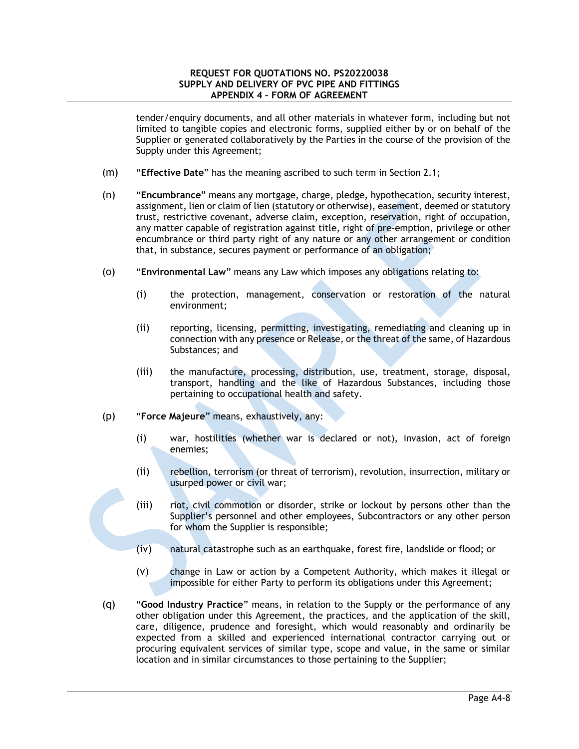#### **REQUEST FOR QUOTATIONS NO. PS20220038 SUPPLY AND DELIVERY OF PVC PIPE AND FITTINGS APPENDIX 4 – FORM OF AGREEMENT**

tender/enquiry documents, and all other materials in whatever form, including but not limited to tangible copies and electronic forms, supplied either by or on behalf of the Supplier or generated collaboratively by the Parties in the course of the provision of the Supply under this Agreement;

- (m) "**Effective Date**" has the meaning ascribed to such term in Section 2.1;
- (n) "**Encumbrance**" means any mortgage, charge, pledge, hypothecation, security interest, assignment, lien or claim of lien (statutory or otherwise), easement, deemed or statutory trust, restrictive covenant, adverse claim, exception, reservation, right of occupation, any matter capable of registration against title, right of pre-emption, privilege or other encumbrance or third party right of any nature or any other arrangement or condition that, in substance, secures payment or performance of an obligation;
- (o) "**Environmental Law**" means any Law which imposes any obligations relating to:
	- (i) the protection, management, conservation or restoration of the natural environment;
	- (ii) reporting, licensing, permitting, investigating, remediating and cleaning up in connection with any presence or Release, or the threat of the same, of Hazardous Substances; and
	- (iii) the manufacture, processing, distribution, use, treatment, storage, disposal, transport, handling and the like of Hazardous Substances, including those pertaining to occupational health and safety.
- (p) "**Force Majeure**" means, exhaustively, any:
	- (i) war, hostilities (whether war is declared or not), invasion, act of foreign enemies;
	- (ii) rebellion, terrorism (or threat of terrorism), revolution, insurrection, military or usurped power or civil war;
	- (iii) riot, civil commotion or disorder, strike or lockout by persons other than the Supplier's personnel and other employees, Subcontractors or any other person for whom the Supplier is responsible;
	- (iv) natural catastrophe such as an earthquake, forest fire, landslide or flood; or
	- (v) change in Law or action by a Competent Authority, which makes it illegal or impossible for either Party to perform its obligations under this Agreement;
- (q) "**Good Industry Practice**" means, in relation to the Supply or the performance of any other obligation under this Agreement, the practices, and the application of the skill, care, diligence, prudence and foresight, which would reasonably and ordinarily be expected from a skilled and experienced international contractor carrying out or procuring equivalent services of similar type, scope and value, in the same or similar location and in similar circumstances to those pertaining to the Supplier;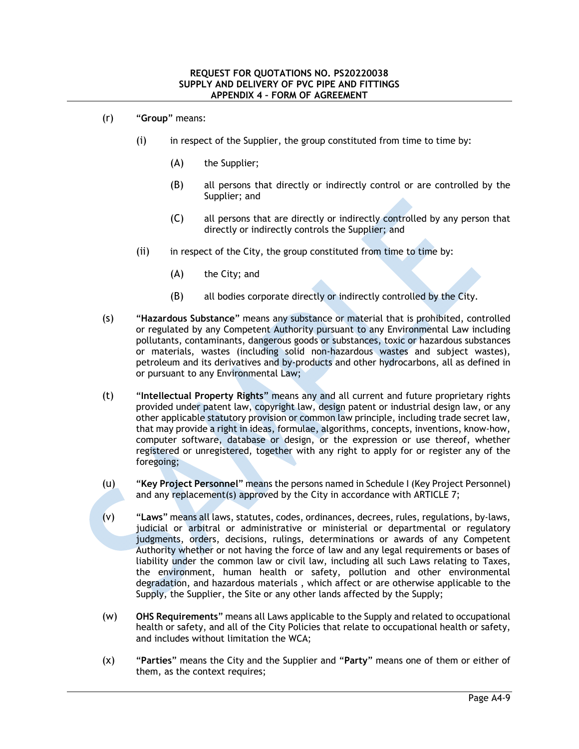- (r) "**Group**" means:
	- (i) in respect of the Supplier, the group constituted from time to time by:
		- (A) the Supplier;
		- (B) all persons that directly or indirectly control or are controlled by the Supplier; and
		- (C) all persons that are directly or indirectly controlled by any person that directly or indirectly controls the Supplier; and
	- $(i)$  in respect of the City, the group constituted from time to time by:
		- (A) the City; and
		- (B) all bodies corporate directly or indirectly controlled by the City.
- (s) "**Hazardous Substance**" means any substance or material that is prohibited, controlled or regulated by any Competent Authority pursuant to any Environmental Law including pollutants, contaminants, dangerous goods or substances, toxic or hazardous substances or materials, wastes (including solid non-hazardous wastes and subject wastes), petroleum and its derivatives and by-products and other hydrocarbons, all as defined in or pursuant to any Environmental Law;
- (t) "**Intellectual Property Rights**" means any and all current and future proprietary rights provided under patent law, copyright law, design patent or industrial design law, or any other applicable statutory provision or common law principle, including trade secret law, that may provide a right in ideas, formulae, algorithms, concepts, inventions, know-how, computer software, database or design, or the expression or use thereof, whether registered or unregistered, together with any right to apply for or register any of the foregoing;
- (u) "**Key Project Personnel**" means the persons named in Schedule I (Key Project Personnel) and any replacement(s) approved by the City in accordance with ARTICLE 7;
- (v) "**Laws**" means all laws, statutes, codes, ordinances, decrees, rules, regulations, by-laws, judicial or arbitral or administrative or ministerial or departmental or regulatory judgments, orders, decisions, rulings, determinations or awards of any Competent Authority whether or not having the force of law and any legal requirements or bases of liability under the common law or civil law, including all such Laws relating to Taxes, the environment, human health or safety, pollution and other environmental degradation, and hazardous materials , which affect or are otherwise applicable to the Supply, the Supplier, the Site or any other lands affected by the Supply;
- (w) **OHS Requirements**" means all Laws applicable to the Supply and related to occupational health or safety, and all of the City Policies that relate to occupational health or safety, and includes without limitation the WCA;
- (x) "**Parties**" means the City and the Supplier and "**Party**" means one of them or either of them, as the context requires;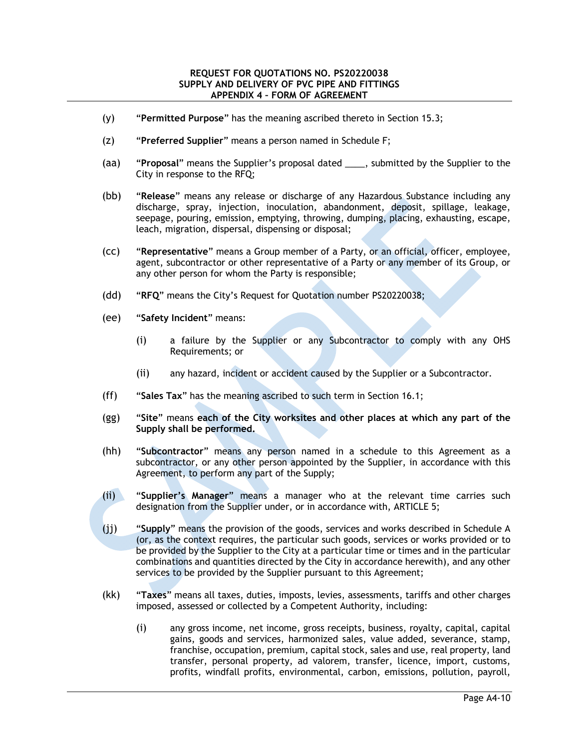- (y) "**Permitted Purpose**" has the meaning ascribed thereto in Section 15.3;
- (z) "**Preferred Supplier**" means a person named in Schedule F;
- (aa) "**Proposal**" means the Supplier's proposal dated \_\_\_\_, submitted by the Supplier to the City in response to the RFQ;
- (bb) "**Release**" means any release or discharge of any Hazardous Substance including any discharge, spray, injection, inoculation, abandonment, deposit, spillage, leakage, seepage, pouring, emission, emptying, throwing, dumping, placing, exhausting, escape, leach, migration, dispersal, dispensing or disposal;
- (cc) "**Representative**" means a Group member of a Party, or an official, officer, employee, agent, subcontractor or other representative of a Party or any member of its Group, or any other person for whom the Party is responsible;
- (dd) "**RFQ**" means the City's Request for Quotation number PS20220038;
- (ee) "**Safety Incident**" means:
	- (i) a failure by the Supplier or any Subcontractor to comply with any OHS Requirements; or
	- (ii) any hazard, incident or accident caused by the Supplier or a Subcontractor.
- (ff) "**Sales Tax**" has the meaning ascribed to such term in Section 16.1;
- (gg) "**Site**" means **each of the City worksites and other places at which any part of the Supply shall be performed.**
- (hh) "**Subcontractor**" means any person named in a schedule to this Agreement as a subcontractor, or any other person appointed by the Supplier, in accordance with this Agreement, to perform any part of the Supply;
- (ii) "**Supplier's Manager**" means a manager who at the relevant time carries such designation from the Supplier under, or in accordance with, ARTICLE 5;
- (jj) "**Supply**" means the provision of the goods, services and works described in Schedule A (or, as the context requires, the particular such goods, services or works provided or to be provided by the Supplier to the City at a particular time or times and in the particular combinations and quantities directed by the City in accordance herewith), and any other services to be provided by the Supplier pursuant to this Agreement;
- (kk) "**Taxes**" means all taxes, duties, imposts, levies, assessments, tariffs and other charges imposed, assessed or collected by a Competent Authority, including:
	- (i) any gross income, net income, gross receipts, business, royalty, capital, capital gains, goods and services, harmonized sales, value added, severance, stamp, franchise, occupation, premium, capital stock, sales and use, real property, land transfer, personal property, ad valorem, transfer, licence, import, customs, profits, windfall profits, environmental, carbon, emissions, pollution, payroll,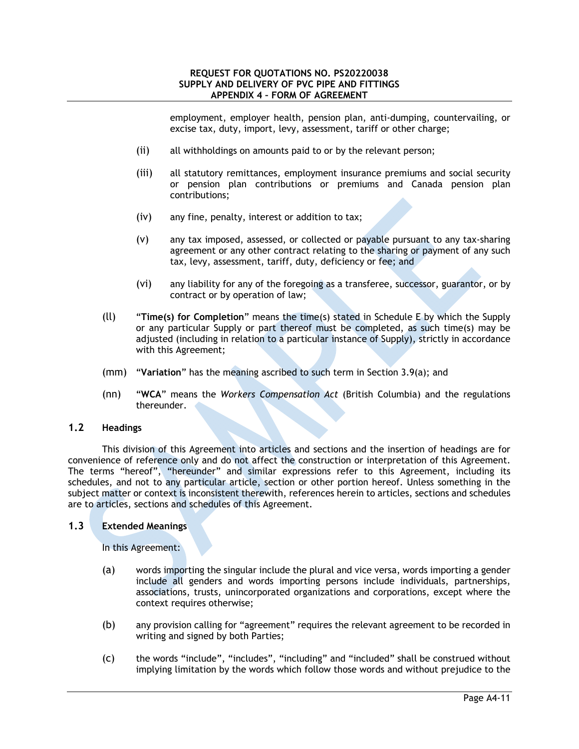employment, employer health, pension plan, anti-dumping, countervailing, or excise tax, duty, import, levy, assessment, tariff or other charge;

- (ii) all withholdings on amounts paid to or by the relevant person;
- (iii) all statutory remittances, employment insurance premiums and social security or pension plan contributions or premiums and Canada pension plan contributions;
- (iv) any fine, penalty, interest or addition to tax;
- (v) any tax imposed, assessed, or collected or payable pursuant to any tax-sharing agreement or any other contract relating to the sharing or payment of any such tax, levy, assessment, tariff, duty, deficiency or fee; and
- (vi) any liability for any of the foregoing as a transferee, successor, guarantor, or by contract or by operation of law;
- (ll) "**Time(s) for Completion**" means the time(s) stated in Schedule E by which the Supply or any particular Supply or part thereof must be completed, as such time(s) may be adjusted (including in relation to a particular instance of Supply), strictly in accordance with this Agreement;
- (mm) "**Variation**" has the meaning ascribed to such term in Section 3.9(a); and
- (nn) "**WCA**" means the *Workers Compensation Act* (British Columbia) and the regulations thereunder.

## **1.2 Headings**

This division of this Agreement into articles and sections and the insertion of headings are for convenience of reference only and do not affect the construction or interpretation of this Agreement. The terms "hereof", "hereunder" and similar expressions refer to this Agreement, including its schedules, and not to any particular article, section or other portion hereof. Unless something in the subject matter or context is inconsistent therewith, references herein to articles, sections and schedules are to articles, sections and schedules of this Agreement.

# **1.3 Extended Meanings**

In this Agreement:

- (a) words importing the singular include the plural and vice versa, words importing a gender include all genders and words importing persons include individuals, partnerships, associations, trusts, unincorporated organizations and corporations, except where the context requires otherwise;
- (b) any provision calling for "agreement" requires the relevant agreement to be recorded in writing and signed by both Parties;
- (c) the words "include", "includes", "including" and "included" shall be construed without implying limitation by the words which follow those words and without prejudice to the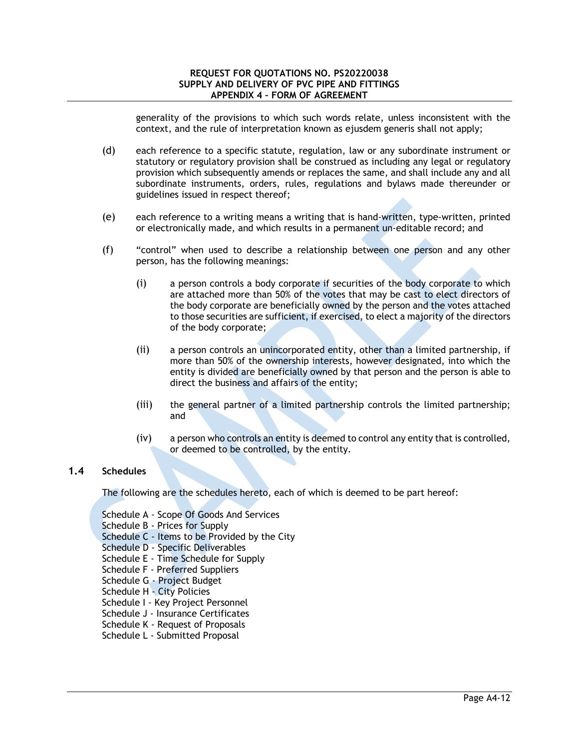generality of the provisions to which such words relate, unless inconsistent with the context, and the rule of interpretation known as ejusdem generis shall not apply;

- (d) each reference to a specific statute, regulation, law or any subordinate instrument or statutory or regulatory provision shall be construed as including any legal or regulatory provision which subsequently amends or replaces the same, and shall include any and all subordinate instruments, orders, rules, regulations and bylaws made thereunder or guidelines issued in respect thereof;
- (e) each reference to a writing means a writing that is hand-written, type-written, printed or electronically made, and which results in a permanent un-editable record; and
- (f) "control" when used to describe a relationship between one person and any other person, has the following meanings:
	- (i) a person controls a body corporate if securities of the body corporate to which are attached more than 50% of the votes that may be cast to elect directors of the body corporate are beneficially owned by the person and the votes attached to those securities are sufficient, if exercised, to elect a majority of the directors of the body corporate;
	- (ii) a person controls an unincorporated entity, other than a limited partnership, if more than 50% of the ownership interests, however designated, into which the entity is divided are beneficially owned by that person and the person is able to direct the business and affairs of the entity;
	- (iii) the general partner of a limited partnership controls the limited partnership; and
	- (iv) a person who controls an entity is deemed to control any entity that is controlled, or deemed to be controlled, by the entity.

# **1.4 Schedules**

The following are the schedules hereto, each of which is deemed to be part hereof:

Schedule A - Scope Of Goods And Services

Schedule B - Prices for Supply

Schedule C - Items to be Provided by the City

Schedule D - Specific Deliverables

- Schedule E Time Schedule for Supply
- Schedule F Preferred Suppliers
- Schedule G Project Budget

Schedule H - City Policies

- Schedule I Key Project Personnel
- Schedule J Insurance Certificates
- Schedule K Request of Proposals
- Schedule L Submitted Proposal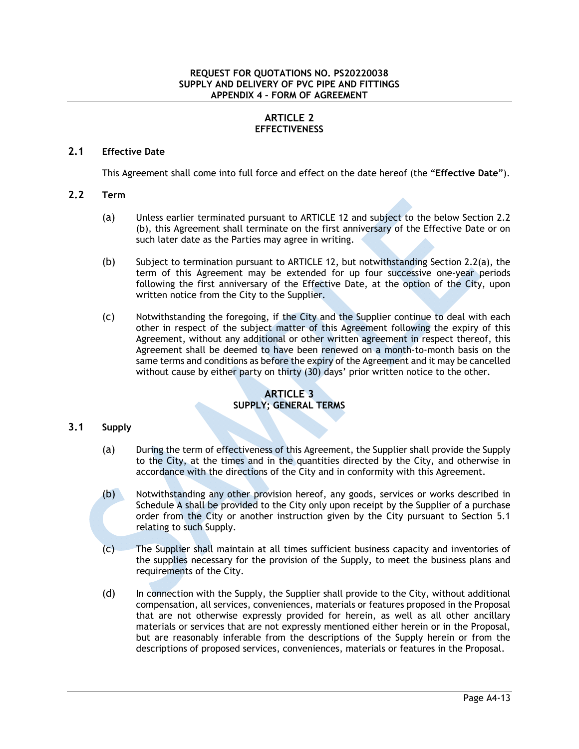# **ARTICLE 2 EFFECTIVENESS**

# **2.1 Effective Date**

This Agreement shall come into full force and effect on the date hereof (the "**Effective Date**").

# **2.2 Term**

- (a) Unless earlier terminated pursuant to ARTICLE 12 and subject to the below Section 2.2 (b), this Agreement shall terminate on the first anniversary of the Effective Date or on such later date as the Parties may agree in writing.
- (b) Subject to termination pursuant to ARTICLE 12, but notwithstanding Section 2.2(a), the term of this Agreement may be extended for up four successive one-year periods following the first anniversary of the Effective Date, at the option of the City, upon written notice from the City to the Supplier.
- (c) Notwithstanding the foregoing, if the City and the Supplier continue to deal with each other in respect of the subject matter of this Agreement following the expiry of this Agreement, without any additional or other written agreement in respect thereof, this Agreement shall be deemed to have been renewed on a month-to-month basis on the same terms and conditions as before the expiry of the Agreement and it may be cancelled without cause by either party on thirty (30) days' prior written notice to the other.

### **ARTICLE 3 SUPPLY; GENERAL TERMS**

# **3.1 Supply**

- (a) During the term of effectiveness of this Agreement, the Supplier shall provide the Supply to the City, at the times and in the quantities directed by the City, and otherwise in accordance with the directions of the City and in conformity with this Agreement.
- (b) Notwithstanding any other provision hereof, any goods, services or works described in Schedule A shall be provided to the City only upon receipt by the Supplier of a purchase order from the City or another instruction given by the City pursuant to Section 5.1 relating to such Supply.
- (c) The Supplier shall maintain at all times sufficient business capacity and inventories of the supplies necessary for the provision of the Supply, to meet the business plans and requirements of the City.
- (d) In connection with the Supply, the Supplier shall provide to the City, without additional compensation, all services, conveniences, materials or features proposed in the Proposal that are not otherwise expressly provided for herein, as well as all other ancillary materials or services that are not expressly mentioned either herein or in the Proposal, but are reasonably inferable from the descriptions of the Supply herein or from the descriptions of proposed services, conveniences, materials or features in the Proposal.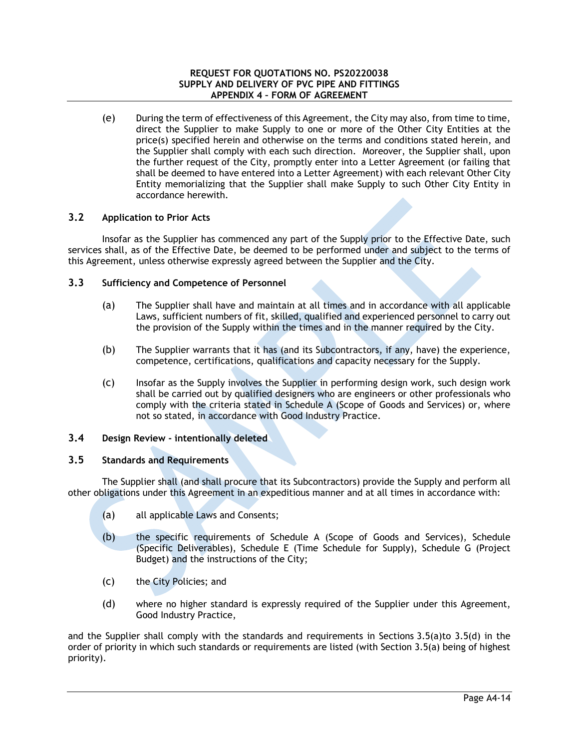(e) During the term of effectiveness of this Agreement, the City may also, from time to time, direct the Supplier to make Supply to one or more of the Other City Entities at the price(s) specified herein and otherwise on the terms and conditions stated herein, and the Supplier shall comply with each such direction. Moreover, the Supplier shall, upon the further request of the City, promptly enter into a Letter Agreement (or failing that shall be deemed to have entered into a Letter Agreement) with each relevant Other City Entity memorializing that the Supplier shall make Supply to such Other City Entity in accordance herewith.

# **3.2 Application to Prior Acts**

Insofar as the Supplier has commenced any part of the Supply prior to the Effective Date, such services shall, as of the Effective Date, be deemed to be performed under and subject to the terms of this Agreement, unless otherwise expressly agreed between the Supplier and the City.

# **3.3 Sufficiency and Competence of Personnel**

- (a) The Supplier shall have and maintain at all times and in accordance with all applicable Laws, sufficient numbers of fit, skilled, qualified and experienced personnel to carry out the provision of the Supply within the times and in the manner required by the City.
- (b) The Supplier warrants that it has (and its Subcontractors, if any, have) the experience, competence, certifications, qualifications and capacity necessary for the Supply.
- (c) Insofar as the Supply involves the Supplier in performing design work, such design work shall be carried out by qualified designers who are engineers or other professionals who comply with the criteria stated in Schedule A (Scope of Goods and Services) or, where not so stated, in accordance with Good Industry Practice.

# **3.4 Design Review - intentionally deleted**

# **3.5 Standards and Requirements**

The Supplier shall (and shall procure that its Subcontractors) provide the Supply and perform all other obligations under this Agreement in an expeditious manner and at all times in accordance with:

- (a) all applicable Laws and Consents;
- (b) the specific requirements of Schedule A (Scope of Goods and Services), Schedule (Specific Deliverables), Schedule E (Time Schedule for Supply), Schedule G (Project Budget) and the instructions of the City;
- (c) the City Policies; and
- (d) where no higher standard is expressly required of the Supplier under this Agreement, Good Industry Practice,

and the Supplier shall comply with the standards and requirements in Sections 3.5(a)to 3.5(d) in the order of priority in which such standards or requirements are listed (with Section 3.5(a) being of highest priority).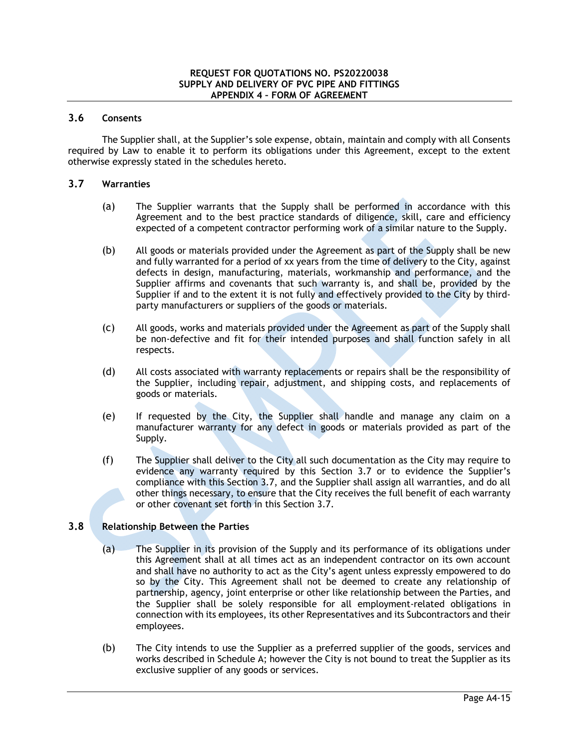## **3.6 Consents**

The Supplier shall, at the Supplier's sole expense, obtain, maintain and comply with all Consents required by Law to enable it to perform its obligations under this Agreement, except to the extent otherwise expressly stated in the schedules hereto.

### **3.7 Warranties**

- (a) The Supplier warrants that the Supply shall be performed in accordance with this Agreement and to the best practice standards of diligence, skill, care and efficiency expected of a competent contractor performing work of a similar nature to the Supply.
- (b) All goods or materials provided under the Agreement as part of the Supply shall be new and fully warranted for a period of xx years from the time of delivery to the City, against defects in design, manufacturing, materials, workmanship and performance, and the Supplier affirms and covenants that such warranty is, and shall be, provided by the Supplier if and to the extent it is not fully and effectively provided to the City by thirdparty manufacturers or suppliers of the goods or materials.
- (c) All goods, works and materials provided under the Agreement as part of the Supply shall be non-defective and fit for their intended purposes and shall function safely in all respects.
- (d) All costs associated with warranty replacements or repairs shall be the responsibility of the Supplier, including repair, adjustment, and shipping costs, and replacements of goods or materials.
- (e) If requested by the City, the Supplier shall handle and manage any claim on a manufacturer warranty for any defect in goods or materials provided as part of the Supply.
- (f) The Supplier shall deliver to the City all such documentation as the City may require to evidence any warranty required by this Section 3.7 or to evidence the Supplier's compliance with this Section 3.7, and the Supplier shall assign all warranties, and do all other things necessary, to ensure that the City receives the full benefit of each warranty or other covenant set forth in this Section 3.7.

# **3.8 Relationship Between the Parties**

- (a) The Supplier in its provision of the Supply and its performance of its obligations under this Agreement shall at all times act as an independent contractor on its own account and shall have no authority to act as the City's agent unless expressly empowered to do so by the City. This Agreement shall not be deemed to create any relationship of partnership, agency, joint enterprise or other like relationship between the Parties, and the Supplier shall be solely responsible for all employment-related obligations in connection with its employees, its other Representatives and its Subcontractors and their employees.
- (b) The City intends to use the Supplier as a preferred supplier of the goods, services and works described in Schedule A; however the City is not bound to treat the Supplier as its exclusive supplier of any goods or services.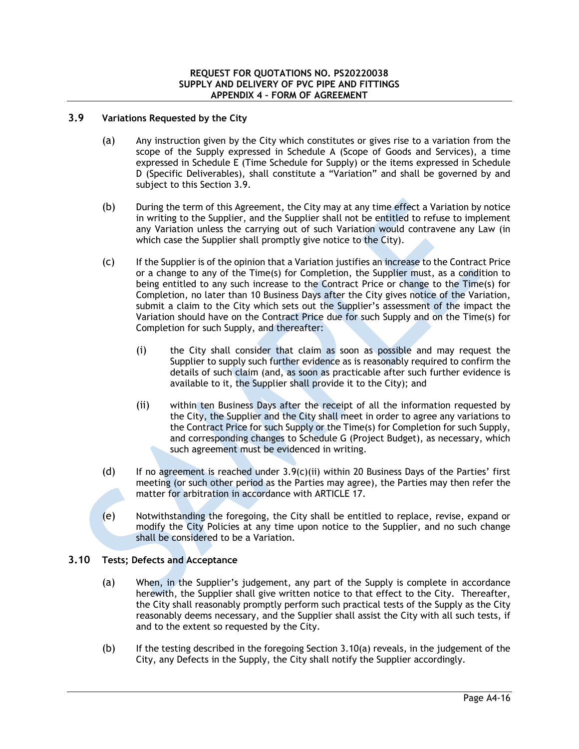## **3.9 Variations Requested by the City**

- (a) Any instruction given by the City which constitutes or gives rise to a variation from the scope of the Supply expressed in Schedule A (Scope of Goods and Services), a time expressed in Schedule E (Time Schedule for Supply) or the items expressed in Schedule D (Specific Deliverables), shall constitute a "Variation" and shall be governed by and subject to this Section 3.9.
- (b) During the term of this Agreement, the City may at any time effect a Variation by notice in writing to the Supplier, and the Supplier shall not be entitled to refuse to implement any Variation unless the carrying out of such Variation would contravene any Law (in which case the Supplier shall promptly give notice to the City).
- (c) If the Supplier is of the opinion that a Variation justifies an increase to the Contract Price or a change to any of the Time(s) for Completion, the Supplier must, as a condition to being entitled to any such increase to the Contract Price or change to the Time(s) for Completion, no later than 10 Business Days after the City gives notice of the Variation, submit a claim to the City which sets out the Supplier's assessment of the impact the Variation should have on the Contract Price due for such Supply and on the Time(s) for Completion for such Supply, and thereafter:
	- (i) the City shall consider that claim as soon as possible and may request the Supplier to supply such further evidence as is reasonably required to confirm the details of such claim (and, as soon as practicable after such further evidence is available to it, the Supplier shall provide it to the City); and
	- (ii) within ten Business Days after the receipt of all the information requested by the City, the Supplier and the City shall meet in order to agree any variations to the Contract Price for such Supply or the Time(s) for Completion for such Supply, and corresponding changes to Schedule G (Project Budget), as necessary, which such agreement must be evidenced in writing.
- (d) If no agreement is reached under  $3.9(c)$ (ii) within 20 Business Days of the Parties' first meeting (or such other period as the Parties may agree), the Parties may then refer the matter for arbitration in accordance with ARTICLE 17.
- (e) Notwithstanding the foregoing, the City shall be entitled to replace, revise, expand or modify the City Policies at any time upon notice to the Supplier, and no such change shall be considered to be a Variation.

# **3.10 Tests; Defects and Acceptance**

- (a) When, in the Supplier's judgement, any part of the Supply is complete in accordance herewith, the Supplier shall give written notice to that effect to the City. Thereafter, the City shall reasonably promptly perform such practical tests of the Supply as the City reasonably deems necessary, and the Supplier shall assist the City with all such tests, if and to the extent so requested by the City.
- (b) If the testing described in the foregoing Section 3.10(a) reveals, in the judgement of the City, any Defects in the Supply, the City shall notify the Supplier accordingly.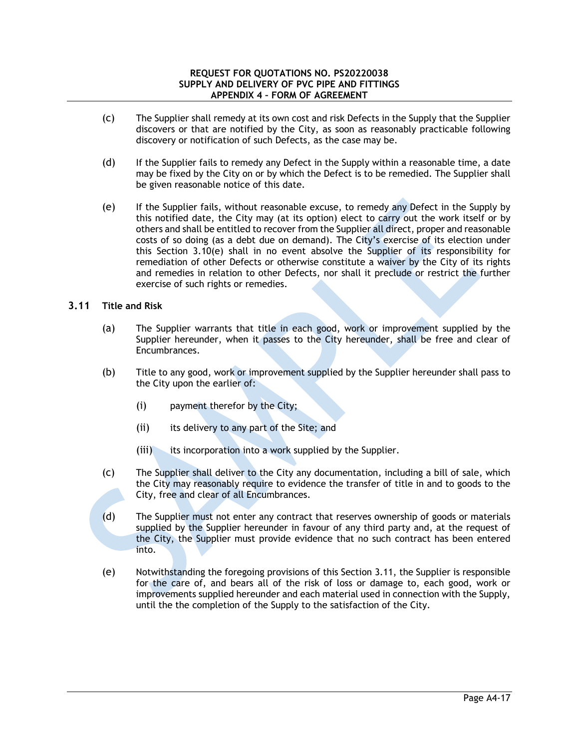- (c) The Supplier shall remedy at its own cost and risk Defects in the Supply that the Supplier discovers or that are notified by the City, as soon as reasonably practicable following discovery or notification of such Defects, as the case may be.
- (d) If the Supplier fails to remedy any Defect in the Supply within a reasonable time, a date may be fixed by the City on or by which the Defect is to be remedied. The Supplier shall be given reasonable notice of this date.
- (e) If the Supplier fails, without reasonable excuse, to remedy any Defect in the Supply by this notified date, the City may (at its option) elect to carry out the work itself or by others and shall be entitled to recover from the Supplier all direct, proper and reasonable costs of so doing (as a debt due on demand). The City's exercise of its election under this Section 3.10(e) shall in no event absolve the Supplier of its responsibility for remediation of other Defects or otherwise constitute a waiver by the City of its rights and remedies in relation to other Defects, nor shall it preclude or restrict the further exercise of such rights or remedies.

# **3.11 Title and Risk**

- (a) The Supplier warrants that title in each good, work or improvement supplied by the Supplier hereunder, when it passes to the City hereunder, shall be free and clear of Encumbrances.
- (b) Title to any good, work or improvement supplied by the Supplier hereunder shall pass to the City upon the earlier of:
	- (i) payment therefor by the City;
	- (ii) its delivery to any part of the Site; and
	- (iii) its incorporation into a work supplied by the Supplier.
- (c) The Supplier shall deliver to the City any documentation, including a bill of sale, which the City may reasonably require to evidence the transfer of title in and to goods to the City, free and clear of all Encumbrances.
- (d) The Supplier must not enter any contract that reserves ownership of goods or materials supplied by the Supplier hereunder in favour of any third party and, at the request of the City, the Supplier must provide evidence that no such contract has been entered into.
- (e) Notwithstanding the foregoing provisions of this Section 3.11, the Supplier is responsible for the care of, and bears all of the risk of loss or damage to, each good, work or improvements supplied hereunder and each material used in connection with the Supply, until the the completion of the Supply to the satisfaction of the City.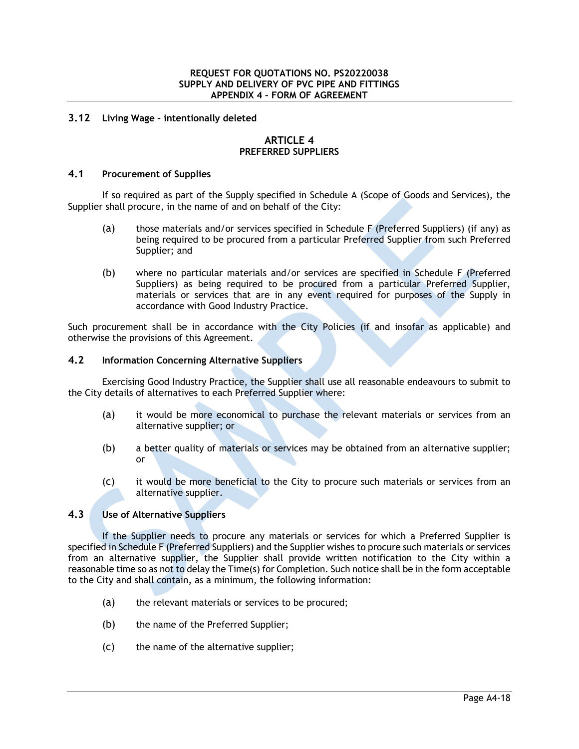## **3.12 Living Wage – intentionally deleted**

### **ARTICLE 4 PREFERRED SUPPLIERS**

### **4.1 Procurement of Supplies**

If so required as part of the Supply specified in Schedule A (Scope of Goods and Services), the Supplier shall procure, in the name of and on behalf of the City:

- (a) those materials and/or services specified in Schedule F (Preferred Suppliers) (if any) as being required to be procured from a particular Preferred Supplier from such Preferred Supplier; and
- (b) where no particular materials and/or services are specified in Schedule F (Preferred Suppliers) as being required to be procured from a particular Preferred Supplier, materials or services that are in any event required for purposes of the Supply in accordance with Good Industry Practice.

Such procurement shall be in accordance with the City Policies (if and insofar as applicable) and otherwise the provisions of this Agreement.

## **4.2 Information Concerning Alternative Suppliers**

Exercising Good Industry Practice, the Supplier shall use all reasonable endeavours to submit to the City details of alternatives to each Preferred Supplier where:

- (a) it would be more economical to purchase the relevant materials or services from an alternative supplier; or
- (b) a better quality of materials or services may be obtained from an alternative supplier; or
- (c) it would be more beneficial to the City to procure such materials or services from an alternative supplier.

# **4.3 Use of Alternative Suppliers**

If the Supplier needs to procure any materials or services for which a Preferred Supplier is specified in Schedule F (Preferred Suppliers) and the Supplier wishes to procure such materials or services from an alternative supplier, the Supplier shall provide written notification to the City within a reasonable time so as not to delay the Time(s) for Completion. Such notice shall be in the form acceptable to the City and shall contain, as a minimum, the following information:

- (a) the relevant materials or services to be procured;
- (b) the name of the Preferred Supplier;
- (c) the name of the alternative supplier;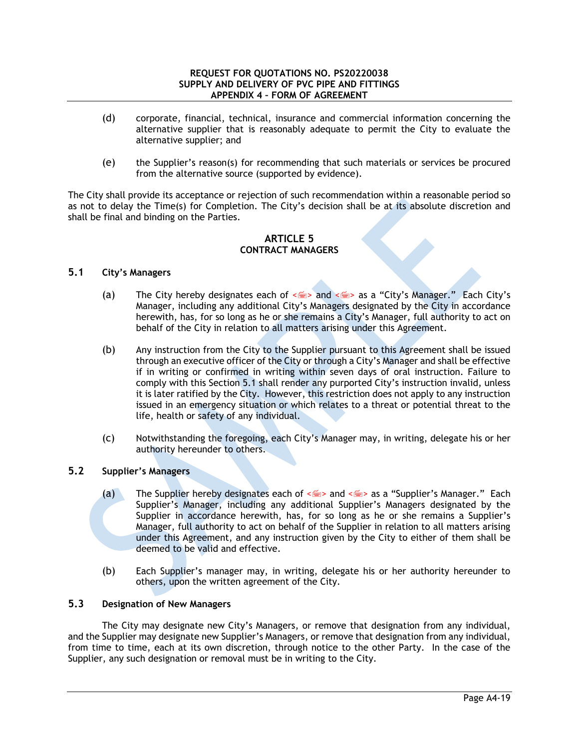- (d) corporate, financial, technical, insurance and commercial information concerning the alternative supplier that is reasonably adequate to permit the City to evaluate the alternative supplier; and
- (e) the Supplier's reason(s) for recommending that such materials or services be procured from the alternative source (supported by evidence).

The City shall provide its acceptance or rejection of such recommendation within a reasonable period so as not to delay the Time(s) for Completion. The City's decision shall be at its absolute discretion and shall be final and binding on the Parties.

## **ARTICLE 5 CONTRACT MANAGERS**

## **5.1 City's Managers**

- (a) The City hereby designates each of  $\leq$  and  $\leq$  as a "City's Manager." Each City's Manager, including any additional City's Managers designated by the City in accordance herewith, has, for so long as he or she remains a City's Manager, full authority to act on behalf of the City in relation to all matters arising under this Agreement.
- (b) Any instruction from the City to the Supplier pursuant to this Agreement shall be issued through an executive officer of the City or through a City's Manager and shall be effective if in writing or confirmed in writing within seven days of oral instruction. Failure to comply with this Section 5.1 shall render any purported City's instruction invalid, unless it is later ratified by the City. However, this restriction does not apply to any instruction issued in an emergency situation or which relates to a threat or potential threat to the life, health or safety of any individual.
- (c) Notwithstanding the foregoing, each City's Manager may, in writing, delegate his or her authority hereunder to others.

# **5.2 Supplier's Managers**

- (a) The Supplier hereby designates each of  $\leq$  and  $\leq$  as a "Supplier's Manager." Each Supplier's Manager, including any additional Supplier's Managers designated by the Supplier in accordance herewith, has, for so long as he or she remains a Supplier's Manager, full authority to act on behalf of the Supplier in relation to all matters arising under this Agreement, and any instruction given by the City to either of them shall be deemed to be valid and effective.
- (b) Each Supplier's manager may, in writing, delegate his or her authority hereunder to others, upon the written agreement of the City.

# **5.3 Designation of New Managers**

The City may designate new City's Managers, or remove that designation from any individual, and the Supplier may designate new Supplier's Managers, or remove that designation from any individual, from time to time, each at its own discretion, through notice to the other Party. In the case of the Supplier, any such designation or removal must be in writing to the City.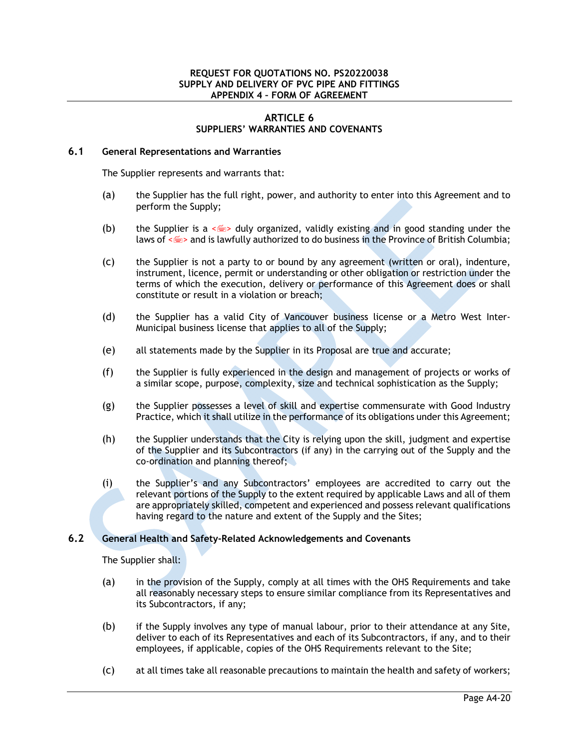## **ARTICLE 6 SUPPLIERS' WARRANTIES AND COVENANTS**

### **6.1 General Representations and Warranties**

The Supplier represents and warrants that:

- (a) the Supplier has the full right, power, and authority to enter into this Agreement and to perform the Supply;
- (b) the Supplier is a  $\leq$  duly organized, validly existing and in good standing under the laws of  $\leq$  > and is lawfully authorized to do business in the Province of British Columbia;
- (c) the Supplier is not a party to or bound by any agreement (written or oral), indenture, instrument, licence, permit or understanding or other obligation or restriction under the terms of which the execution, delivery or performance of this Agreement does or shall constitute or result in a violation or breach;
- (d) the Supplier has a valid City of Vancouver business license or a Metro West Inter-Municipal business license that applies to all of the Supply;
- (e) all statements made by the Supplier in its Proposal are true and accurate;
- (f) the Supplier is fully experienced in the design and management of projects or works of a similar scope, purpose, complexity, size and technical sophistication as the Supply;
- (g) the Supplier possesses a level of skill and expertise commensurate with Good Industry Practice, which it shall utilize in the performance of its obligations under this Agreement;
- (h) the Supplier understands that the City is relying upon the skill, judgment and expertise of the Supplier and its Subcontractors (if any) in the carrying out of the Supply and the co-ordination and planning thereof;
- (i) the Supplier's and any Subcontractors' employees are accredited to carry out the relevant portions of the Supply to the extent required by applicable Laws and all of them are appropriately skilled, competent and experienced and possess relevant qualifications having regard to the nature and extent of the Supply and the Sites;

# **6.2 General Health and Safety-Related Acknowledgements and Covenants**

The Supplier shall:

- (a) in the provision of the Supply, comply at all times with the OHS Requirements and take all reasonably necessary steps to ensure similar compliance from its Representatives and its Subcontractors, if any;
- (b) if the Supply involves any type of manual labour, prior to their attendance at any Site, deliver to each of its Representatives and each of its Subcontractors, if any, and to their employees, if applicable, copies of the OHS Requirements relevant to the Site;
- (c) at all times take all reasonable precautions to maintain the health and safety of workers;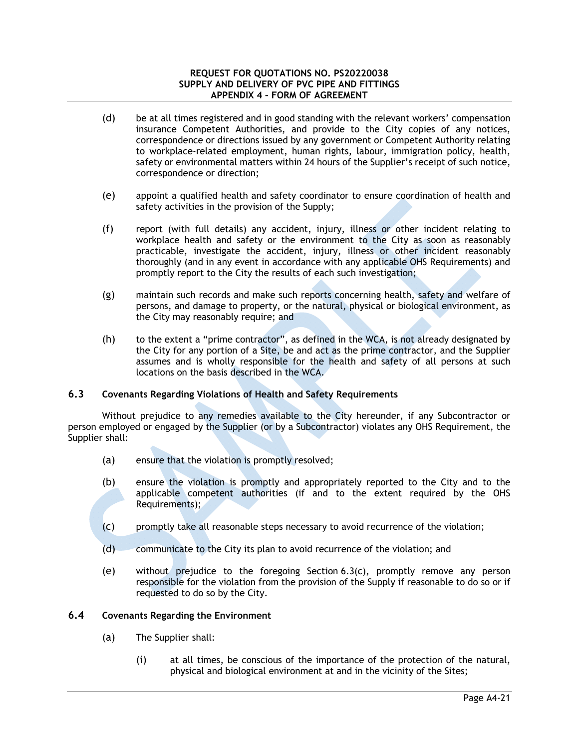- (d) be at all times registered and in good standing with the relevant workers' compensation insurance Competent Authorities, and provide to the City copies of any notices, correspondence or directions issued by any government or Competent Authority relating to workplace-related employment, human rights, labour, immigration policy, health, safety or environmental matters within 24 hours of the Supplier's receipt of such notice, correspondence or direction;
- (e) appoint a qualified health and safety coordinator to ensure coordination of health and safety activities in the provision of the Supply;
- (f) report (with full details) any accident, injury, illness or other incident relating to workplace health and safety or the environment to the City as soon as reasonably practicable, investigate the accident, injury, illness or other incident reasonably thoroughly (and in any event in accordance with any applicable OHS Requirements) and promptly report to the City the results of each such investigation;
- (g) maintain such records and make such reports concerning health, safety and welfare of persons, and damage to property, or the natural, physical or biological environment, as the City may reasonably require; and
- (h) to the extent a "prime contractor", as defined in the WCA, is not already designated by the City for any portion of a Site, be and act as the prime contractor, and the Supplier assumes and is wholly responsible for the health and safety of all persons at such locations on the basis described in the WCA.

# **6.3 Covenants Regarding Violations of Health and Safety Requirements**

Without prejudice to any remedies available to the City hereunder, if any Subcontractor or person employed or engaged by the Supplier (or by a Subcontractor) violates any OHS Requirement, the Supplier shall:

- (a) ensure that the violation is promptly resolved;
- (b) ensure the violation is promptly and appropriately reported to the City and to the applicable competent authorities (if and to the extent required by the OHS Requirements);
- (c) promptly take all reasonable steps necessary to avoid recurrence of the violation;
- (d) communicate to the City its plan to avoid recurrence of the violation; and
- (e) without prejudice to the foregoing Section 6.3(c), promptly remove any person responsible for the violation from the provision of the Supply if reasonable to do so or if requested to do so by the City.

## **6.4 Covenants Regarding the Environment**

- (a) The Supplier shall:
	- (i) at all times, be conscious of the importance of the protection of the natural, physical and biological environment at and in the vicinity of the Sites;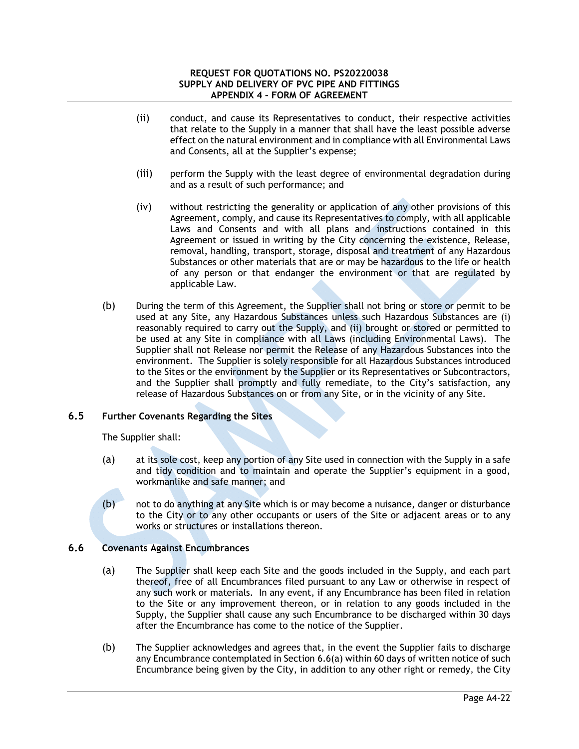- (ii) conduct, and cause its Representatives to conduct, their respective activities that relate to the Supply in a manner that shall have the least possible adverse effect on the natural environment and in compliance with all Environmental Laws and Consents, all at the Supplier's expense;
- (iii) perform the Supply with the least degree of environmental degradation during and as a result of such performance; and
- (iv) without restricting the generality or application of any other provisions of this Agreement, comply, and cause its Representatives to comply, with all applicable Laws and Consents and with all plans and instructions contained in this Agreement or issued in writing by the City concerning the existence, Release, removal, handling, transport, storage, disposal and treatment of any Hazardous Substances or other materials that are or may be hazardous to the life or health of any person or that endanger the environment or that are regulated by applicable Law.
- (b) During the term of this Agreement, the Supplier shall not bring or store or permit to be used at any Site, any Hazardous Substances unless such Hazardous Substances are (i) reasonably required to carry out the Supply, and (ii) brought or stored or permitted to be used at any Site in compliance with all Laws (including Environmental Laws). The Supplier shall not Release nor permit the Release of any Hazardous Substances into the environment. The Supplier is solely responsible for all Hazardous Substances introduced to the Sites or the environment by the Supplier or its Representatives or Subcontractors, and the Supplier shall promptly and fully remediate, to the City's satisfaction, any release of Hazardous Substances on or from any Site, or in the vicinity of any Site.

# **6.5 Further Covenants Regarding the Sites**

The Supplier shall:

- (a) at its sole cost, keep any portion of any Site used in connection with the Supply in a safe and tidy condition and to maintain and operate the Supplier's equipment in a good, workmanlike and safe manner; and
- (b) not to do anything at any Site which is or may become a nuisance, danger or disturbance to the City or to any other occupants or users of the Site or adjacent areas or to any works or structures or installations thereon.

# **6.6 Covenants Against Encumbrances**

- (a) The Supplier shall keep each Site and the goods included in the Supply, and each part thereof, free of all Encumbrances filed pursuant to any Law or otherwise in respect of any such work or materials. In any event, if any Encumbrance has been filed in relation to the Site or any improvement thereon, or in relation to any goods included in the Supply, the Supplier shall cause any such Encumbrance to be discharged within 30 days after the Encumbrance has come to the notice of the Supplier.
- (b) The Supplier acknowledges and agrees that, in the event the Supplier fails to discharge any Encumbrance contemplated in Section 6.6(a) within 60 days of written notice of such Encumbrance being given by the City, in addition to any other right or remedy, the City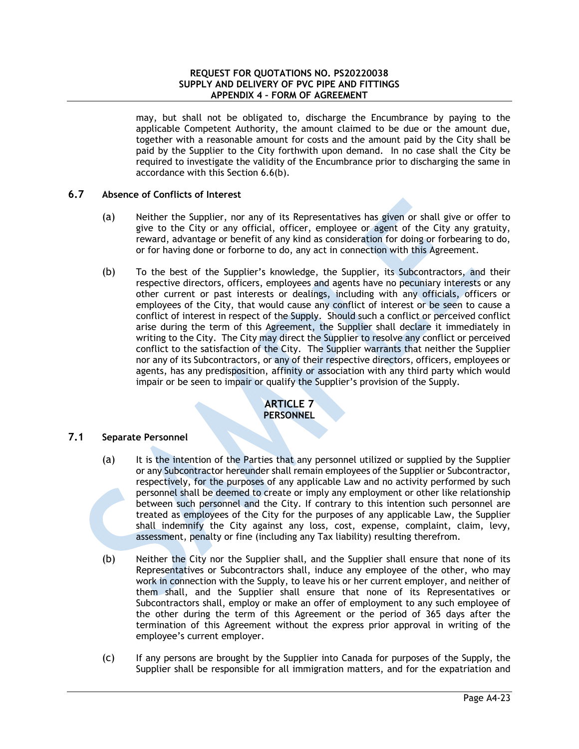may, but shall not be obligated to, discharge the Encumbrance by paying to the applicable Competent Authority, the amount claimed to be due or the amount due, together with a reasonable amount for costs and the amount paid by the City shall be paid by the Supplier to the City forthwith upon demand. In no case shall the City be required to investigate the validity of the Encumbrance prior to discharging the same in accordance with this Section 6.6(b).

# **6.7 Absence of Conflicts of Interest**

- (a) Neither the Supplier, nor any of its Representatives has given or shall give or offer to give to the City or any official, officer, employee or agent of the City any gratuity, reward, advantage or benefit of any kind as consideration for doing or forbearing to do, or for having done or forborne to do, any act in connection with this Agreement.
- (b) To the best of the Supplier's knowledge, the Supplier, its Subcontractors, and their respective directors, officers, employees and agents have no pecuniary interests or any other current or past interests or dealings, including with any officials, officers or employees of the City, that would cause any conflict of interest or be seen to cause a conflict of interest in respect of the Supply. Should such a conflict or perceived conflict arise during the term of this Agreement, the Supplier shall declare it immediately in writing to the City. The City may direct the Supplier to resolve any conflict or perceived conflict to the satisfaction of the City. The Supplier warrants that neither the Supplier nor any of its Subcontractors, or any of their respective directors, officers, employees or agents, has any predisposition, affinity or association with any third party which would impair or be seen to impair or qualify the Supplier's provision of the Supply.

## **ARTICLE 7 PERSONNEL**

# **7.1 Separate Personnel**

- (a) It is the intention of the Parties that any personnel utilized or supplied by the Supplier or any Subcontractor hereunder shall remain employees of the Supplier or Subcontractor, respectively, for the purposes of any applicable Law and no activity performed by such personnel shall be deemed to create or imply any employment or other like relationship between such personnel and the City. If contrary to this intention such personnel are treated as employees of the City for the purposes of any applicable Law, the Supplier shall indemnify the City against any loss, cost, expense, complaint, claim, levy, assessment, penalty or fine (including any Tax liability) resulting therefrom.
- (b) Neither the City nor the Supplier shall, and the Supplier shall ensure that none of its Representatives or Subcontractors shall, induce any employee of the other, who may work in connection with the Supply, to leave his or her current employer, and neither of them shall, and the Supplier shall ensure that none of its Representatives or Subcontractors shall, employ or make an offer of employment to any such employee of the other during the term of this Agreement or the period of 365 days after the termination of this Agreement without the express prior approval in writing of the employee's current employer.
- (c) If any persons are brought by the Supplier into Canada for purposes of the Supply, the Supplier shall be responsible for all immigration matters, and for the expatriation and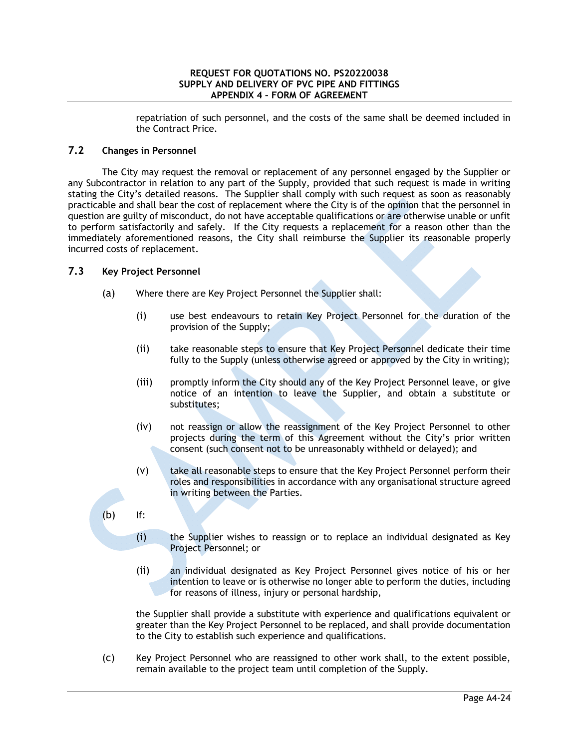repatriation of such personnel, and the costs of the same shall be deemed included in the Contract Price.

## **7.2 Changes in Personnel**

The City may request the removal or replacement of any personnel engaged by the Supplier or any Subcontractor in relation to any part of the Supply, provided that such request is made in writing stating the City's detailed reasons. The Supplier shall comply with such request as soon as reasonably practicable and shall bear the cost of replacement where the City is of the opinion that the personnel in question are guilty of misconduct, do not have acceptable qualifications or are otherwise unable or unfit to perform satisfactorily and safely. If the City requests a replacement for a reason other than the immediately aforementioned reasons, the City shall reimburse the Supplier its reasonable properly incurred costs of replacement.

## **7.3 Key Project Personnel**

- (a) Where there are Key Project Personnel the Supplier shall:
	- (i) use best endeavours to retain Key Project Personnel for the duration of the provision of the Supply;
	- (ii) take reasonable steps to ensure that Key Project Personnel dedicate their time fully to the Supply (unless otherwise agreed or approved by the City in writing);
	- (iii) promptly inform the City should any of the Key Project Personnel leave, or give notice of an intention to leave the Supplier, and obtain a substitute or substitutes;
	- (iv) not reassign or allow the reassignment of the Key Project Personnel to other projects during the term of this Agreement without the City's prior written consent (such consent not to be unreasonably withheld or delayed); and
	- (v) take all reasonable steps to ensure that the Key Project Personnel perform their roles and responsibilities in accordance with any organisational structure agreed in writing between the Parties.
- (b) If:
	- (i) the Supplier wishes to reassign or to replace an individual designated as Key Project Personnel; or
	- (ii) an individual designated as Key Project Personnel gives notice of his or her intention to leave or is otherwise no longer able to perform the duties, including for reasons of illness, injury or personal hardship,

the Supplier shall provide a substitute with experience and qualifications equivalent or greater than the Key Project Personnel to be replaced, and shall provide documentation to the City to establish such experience and qualifications.

(c) Key Project Personnel who are reassigned to other work shall, to the extent possible, remain available to the project team until completion of the Supply.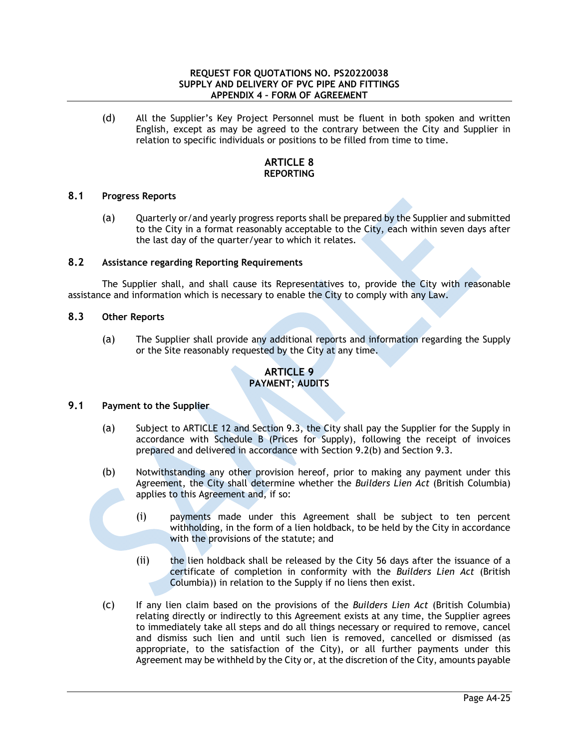(d) All the Supplier's Key Project Personnel must be fluent in both spoken and written English, except as may be agreed to the contrary between the City and Supplier in relation to specific individuals or positions to be filled from time to time.

# **ARTICLE 8 REPORTING**

## **8.1 Progress Reports**

(a) Quarterly or/and yearly progress reports shall be prepared by the Supplier and submitted to the City in a format reasonably acceptable to the City, each within seven days after the last day of the quarter/year to which it relates.

## **8.2 Assistance regarding Reporting Requirements**

The Supplier shall, and shall cause its Representatives to, provide the City with reasonable assistance and information which is necessary to enable the City to comply with any Law.

## **8.3 Other Reports**

(a) The Supplier shall provide any additional reports and information regarding the Supply or the Site reasonably requested by the City at any time.

# **ARTICLE 9 PAYMENT; AUDITS**

# **9.1 Payment to the Supplier**

- (a) Subject to ARTICLE 12 and Section 9.3, the City shall pay the Supplier for the Supply in accordance with Schedule B (Prices for Supply), following the receipt of invoices prepared and delivered in accordance with Section 9.2(b) and Section 9.3.
- (b) Notwithstanding any other provision hereof, prior to making any payment under this Agreement, the City shall determine whether the *Builders Lien Act* (British Columbia) applies to this Agreement and, if so:
	- (i) payments made under this Agreement shall be subject to ten percent withholding, in the form of a lien holdback, to be held by the City in accordance with the provisions of the statute; and
	- (ii) the lien holdback shall be released by the City 56 days after the issuance of a certificate of completion in conformity with the *Builders Lien Act* (British Columbia)) in relation to the Supply if no liens then exist.
- (c) If any lien claim based on the provisions of the *Builders Lien Act* (British Columbia) relating directly or indirectly to this Agreement exists at any time, the Supplier agrees to immediately take all steps and do all things necessary or required to remove, cancel and dismiss such lien and until such lien is removed, cancelled or dismissed (as appropriate, to the satisfaction of the City), or all further payments under this Agreement may be withheld by the City or, at the discretion of the City, amounts payable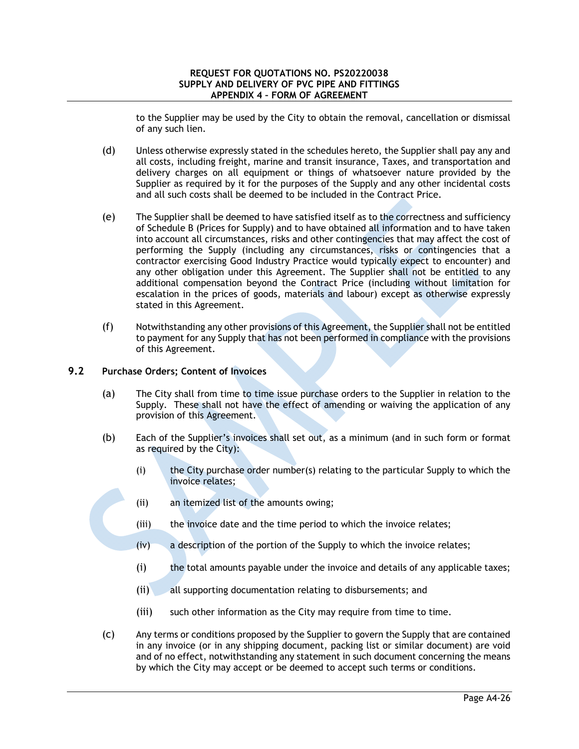to the Supplier may be used by the City to obtain the removal, cancellation or dismissal of any such lien.

- (d) Unless otherwise expressly stated in the schedules hereto, the Supplier shall pay any and all costs, including freight, marine and transit insurance, Taxes, and transportation and delivery charges on all equipment or things of whatsoever nature provided by the Supplier as required by it for the purposes of the Supply and any other incidental costs and all such costs shall be deemed to be included in the Contract Price.
- (e) The Supplier shall be deemed to have satisfied itself as to the correctness and sufficiency of Schedule B (Prices for Supply) and to have obtained all information and to have taken into account all circumstances, risks and other contingencies that may affect the cost of performing the Supply (including any circumstances, risks or contingencies that a contractor exercising Good Industry Practice would typically expect to encounter) and any other obligation under this Agreement. The Supplier shall not be entitled to any additional compensation beyond the Contract Price (including without limitation for escalation in the prices of goods, materials and labour) except as otherwise expressly stated in this Agreement.
- (f) Notwithstanding any other provisions of this Agreement, the Supplier shall not be entitled to payment for any Supply that has not been performed in compliance with the provisions of this Agreement.

## **9.2 Purchase Orders; Content of Invoices**

- (a) The City shall from time to time issue purchase orders to the Supplier in relation to the Supply. These shall not have the effect of amending or waiving the application of any provision of this Agreement.
- (b) Each of the Supplier's invoices shall set out, as a minimum (and in such form or format as required by the City):
	- (i) the City purchase order number(s) relating to the particular Supply to which the invoice relates;
	- (ii) an itemized list of the amounts owing;
	- (iii) the invoice date and the time period to which the invoice relates;
	- (iv) a description of the portion of the Supply to which the invoice relates;
	- (i) the total amounts payable under the invoice and details of any applicable taxes;
	- (ii) all supporting documentation relating to disbursements; and
	- (iii) such other information as the City may require from time to time.
- (c) Any terms or conditions proposed by the Supplier to govern the Supply that are contained in any invoice (or in any shipping document, packing list or similar document) are void and of no effect, notwithstanding any statement in such document concerning the means by which the City may accept or be deemed to accept such terms or conditions.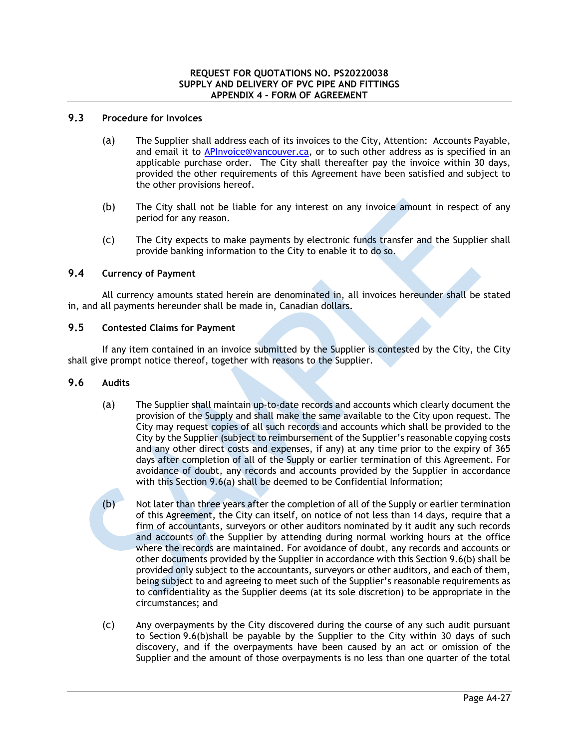## **9.3 Procedure for Invoices**

- (a) The Supplier shall address each of its invoices to the City, Attention: Accounts Payable, and email it to APInvoice@vancouver.ca, or to such other address as is specified in an applicable purchase order. The City shall thereafter pay the invoice within 30 days, provided the other requirements of this Agreement have been satisfied and subject to the other provisions hereof.
- (b) The City shall not be liable for any interest on any invoice amount in respect of any period for any reason.
- (c) The City expects to make payments by electronic funds transfer and the Supplier shall provide banking information to the City to enable it to do so.

# **9.4 Currency of Payment**

All currency amounts stated herein are denominated in, all invoices hereunder shall be stated in, and all payments hereunder shall be made in, Canadian dollars.

# **9.5 Contested Claims for Payment**

If any item contained in an invoice submitted by the Supplier is contested by the City, the City shall give prompt notice thereof, together with reasons to the Supplier.

### **9.6 Audits**

- (a) The Supplier shall maintain up-to-date records and accounts which clearly document the provision of the Supply and shall make the same available to the City upon request. The City may request copies of all such records and accounts which shall be provided to the City by the Supplier (subject to reimbursement of the Supplier's reasonable copying costs and any other direct costs and expenses, if any) at any time prior to the expiry of 365 days after completion of all of the Supply or earlier termination of this Agreement. For avoidance of doubt, any records and accounts provided by the Supplier in accordance with this Section 9.6(a) shall be deemed to be Confidential Information;
- (b) Not later than three years after the completion of all of the Supply or earlier termination of this Agreement, the City can itself, on notice of not less than 14 days, require that a firm of accountants, surveyors or other auditors nominated by it audit any such records and accounts of the Supplier by attending during normal working hours at the office where the records are maintained. For avoidance of doubt, any records and accounts or other documents provided by the Supplier in accordance with this Section 9.6(b) shall be provided only subject to the accountants, surveyors or other auditors, and each of them, being subject to and agreeing to meet such of the Supplier's reasonable requirements as to confidentiality as the Supplier deems (at its sole discretion) to be appropriate in the circumstances; and
- (c) Any overpayments by the City discovered during the course of any such audit pursuant to Section 9.6(b)shall be payable by the Supplier to the City within 30 days of such discovery, and if the overpayments have been caused by an act or omission of the Supplier and the amount of those overpayments is no less than one quarter of the total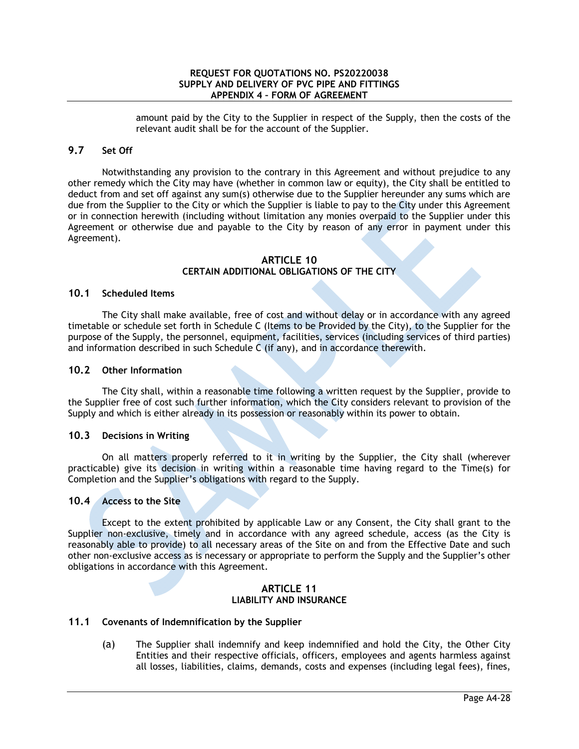amount paid by the City to the Supplier in respect of the Supply, then the costs of the relevant audit shall be for the account of the Supplier.

# **9.7 Set Off**

Notwithstanding any provision to the contrary in this Agreement and without prejudice to any other remedy which the City may have (whether in common law or equity), the City shall be entitled to deduct from and set off against any sum(s) otherwise due to the Supplier hereunder any sums which are due from the Supplier to the City or which the Supplier is liable to pay to the City under this Agreement or in connection herewith (including without limitation any monies overpaid to the Supplier under this Agreement or otherwise due and payable to the City by reason of any error in payment under this Agreement).

### **ARTICLE 10 CERTAIN ADDITIONAL OBLIGATIONS OF THE CITY**

## **10.1 Scheduled Items**

The City shall make available, free of cost and without delay or in accordance with any agreed timetable or schedule set forth in Schedule C (Items to be Provided by the City), to the Supplier for the purpose of the Supply, the personnel, equipment, facilities, services (including services of third parties) and information described in such Schedule C (if any), and in accordance therewith.

### **10.2 Other Information**

The City shall, within a reasonable time following a written request by the Supplier, provide to the Supplier free of cost such further information, which the City considers relevant to provision of the Supply and which is either already in its possession or reasonably within its power to obtain.

### **10.3 Decisions in Writing**

On all matters properly referred to it in writing by the Supplier, the City shall (wherever practicable) give its decision in writing within a reasonable time having regard to the Time(s) for Completion and the Supplier's obligations with regard to the Supply.

### **10.4 Access to the Site**

Except to the extent prohibited by applicable Law or any Consent, the City shall grant to the Supplier non-exclusive, timely and in accordance with any agreed schedule, access (as the City is reasonably able to provide) to all necessary areas of the Site on and from the Effective Date and such other non-exclusive access as is necessary or appropriate to perform the Supply and the Supplier's other obligations in accordance with this Agreement.

#### **ARTICLE 11 LIABILITY AND INSURANCE**

### **11.1 Covenants of Indemnification by the Supplier**

(a) The Supplier shall indemnify and keep indemnified and hold the City, the Other City Entities and their respective officials, officers, employees and agents harmless against all losses, liabilities, claims, demands, costs and expenses (including legal fees), fines,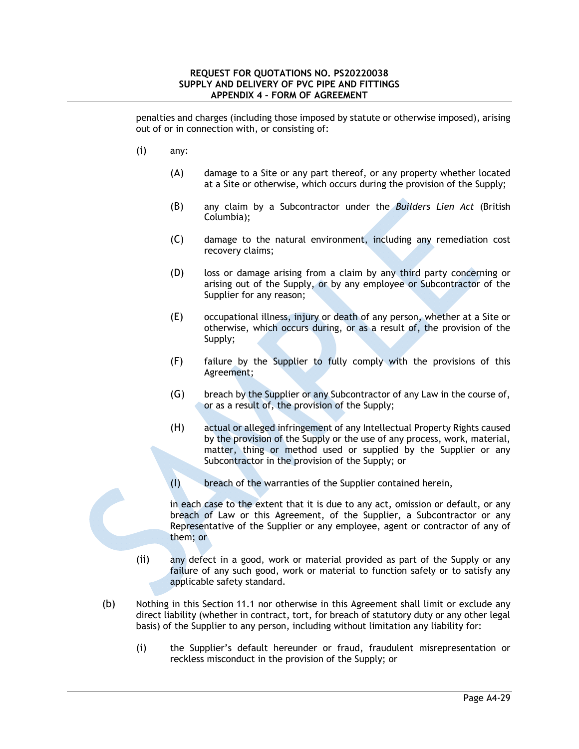penalties and charges (including those imposed by statute or otherwise imposed), arising out of or in connection with, or consisting of:

- (i) any:
	- (A) damage to a Site or any part thereof, or any property whether located at a Site or otherwise, which occurs during the provision of the Supply;
	- (B) any claim by a Subcontractor under the *Builders Lien Act* (British Columbia);
	- (C) damage to the natural environment, including any remediation cost recovery claims;
	- (D) loss or damage arising from a claim by any third party concerning or arising out of the Supply, or by any employee or Subcontractor of the Supplier for any reason;
	- (E) occupational illness, injury or death of any person, whether at a Site or otherwise, which occurs during, or as a result of, the provision of the Supply;
	- (F) failure by the Supplier to fully comply with the provisions of this Agreement;
	- (G) breach by the Supplier or any Subcontractor of any Law in the course of, or as a result of, the provision of the Supply;
	- (H) actual or alleged infringement of any Intellectual Property Rights caused by the provision of the Supply or the use of any process, work, material, matter, thing or method used or supplied by the Supplier or any Subcontractor in the provision of the Supply; or
	- (I) breach of the warranties of the Supplier contained herein,

in each case to the extent that it is due to any act, omission or default, or any breach of Law or this Agreement, of the Supplier, a Subcontractor or any Representative of the Supplier or any employee, agent or contractor of any of them; or

- (ii) any defect in a good, work or material provided as part of the Supply or any failure of any such good, work or material to function safely or to satisfy any applicable safety standard.
- (b) Nothing in this Section 11.1 nor otherwise in this Agreement shall limit or exclude any direct liability (whether in contract, tort, for breach of statutory duty or any other legal basis) of the Supplier to any person, including without limitation any liability for:
	- (i) the Supplier's default hereunder or fraud, fraudulent misrepresentation or reckless misconduct in the provision of the Supply; or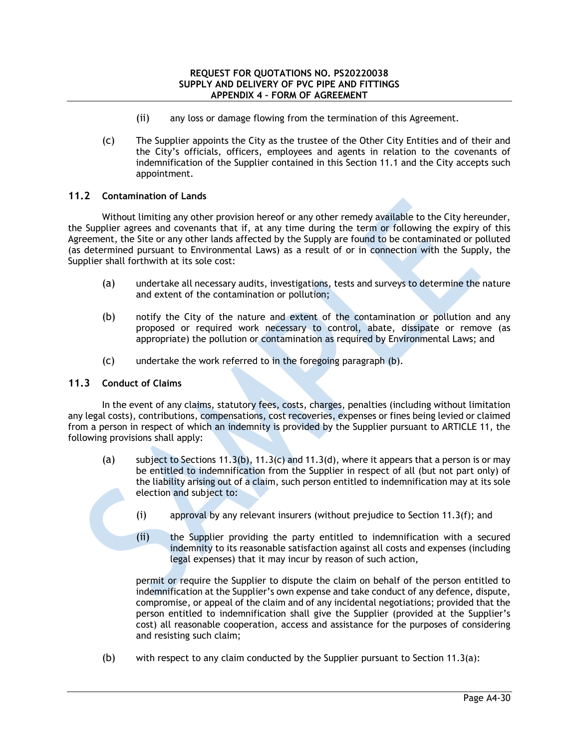- (ii) any loss or damage flowing from the termination of this Agreement.
- (c) The Supplier appoints the City as the trustee of the Other City Entities and of their and the City's officials, officers, employees and agents in relation to the covenants of indemnification of the Supplier contained in this Section 11.1 and the City accepts such appointment.

### **11.2 Contamination of Lands**

Without limiting any other provision hereof or any other remedy available to the City hereunder, the Supplier agrees and covenants that if, at any time during the term or following the expiry of this Agreement, the Site or any other lands affected by the Supply are found to be contaminated or polluted (as determined pursuant to Environmental Laws) as a result of or in connection with the Supply, the Supplier shall forthwith at its sole cost:

- (a) undertake all necessary audits, investigations, tests and surveys to determine the nature and extent of the contamination or pollution;
- (b) notify the City of the nature and extent of the contamination or pollution and any proposed or required work necessary to control, abate, dissipate or remove (as appropriate) the pollution or contamination as required by Environmental Laws; and
- (c) undertake the work referred to in the foregoing paragraph (b).

### **11.3 Conduct of Claims**

In the event of any claims, statutory fees, costs, charges, penalties (including without limitation any legal costs), contributions, compensations, cost recoveries, expenses or fines being levied or claimed from a person in respect of which an indemnity is provided by the Supplier pursuant to ARTICLE 11, the following provisions shall apply:

- (a) subject to Sections 11.3(b), 11.3(c) and 11.3(d), where it appears that a person is or may be entitled to indemnification from the Supplier in respect of all (but not part only) of the liability arising out of a claim, such person entitled to indemnification may at its sole election and subject to:
	- (i) approval by any relevant insurers (without prejudice to Section  $11.3(f)$ ; and
	- (ii) the Supplier providing the party entitled to indemnification with a secured indemnity to its reasonable satisfaction against all costs and expenses (including legal expenses) that it may incur by reason of such action,

permit or require the Supplier to dispute the claim on behalf of the person entitled to indemnification at the Supplier's own expense and take conduct of any defence, dispute, compromise, or appeal of the claim and of any incidental negotiations; provided that the person entitled to indemnification shall give the Supplier (provided at the Supplier's cost) all reasonable cooperation, access and assistance for the purposes of considering and resisting such claim;

(b) with respect to any claim conducted by the Supplier pursuant to Section 11.3(a):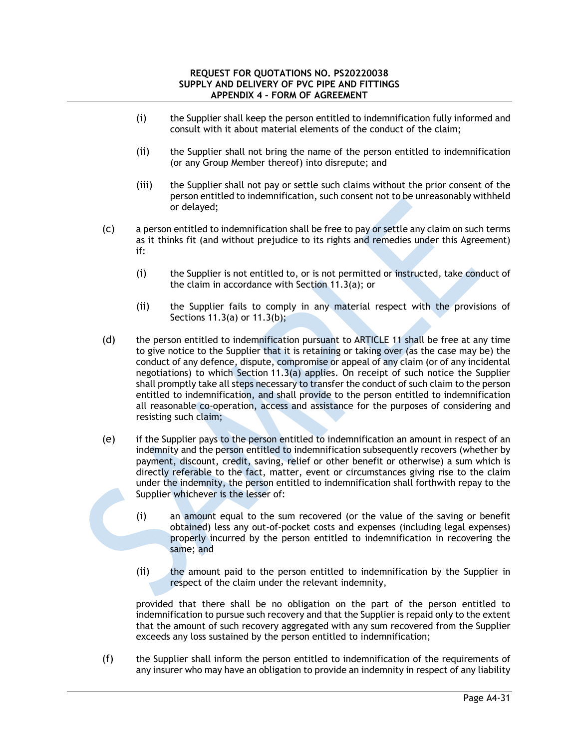- (i) the Supplier shall keep the person entitled to indemnification fully informed and consult with it about material elements of the conduct of the claim;
- (ii) the Supplier shall not bring the name of the person entitled to indemnification (or any Group Member thereof) into disrepute; and
- (iii) the Supplier shall not pay or settle such claims without the prior consent of the person entitled to indemnification, such consent not to be unreasonably withheld or delayed;
- (c) a person entitled to indemnification shall be free to pay or settle any claim on such terms as it thinks fit (and without prejudice to its rights and remedies under this Agreement) if:
	- (i) the Supplier is not entitled to, or is not permitted or instructed, take conduct of the claim in accordance with Section 11.3(a); or
	- (ii) the Supplier fails to comply in any material respect with the provisions of Sections 11.3(a) or 11.3(b);
- (d) the person entitled to indemnification pursuant to ARTICLE 11 shall be free at any time to give notice to the Supplier that it is retaining or taking over (as the case may be) the conduct of any defence, dispute, compromise or appeal of any claim (or of any incidental negotiations) to which Section 11.3(a) applies. On receipt of such notice the Supplier shall promptly take all steps necessary to transfer the conduct of such claim to the person entitled to indemnification, and shall provide to the person entitled to indemnification all reasonable co-operation, access and assistance for the purposes of considering and resisting such claim;
- (e) if the Supplier pays to the person entitled to indemnification an amount in respect of an indemnity and the person entitled to indemnification subsequently recovers (whether by payment, discount, credit, saving, relief or other benefit or otherwise) a sum which is directly referable to the fact, matter, event or circumstances giving rise to the claim under the indemnity, the person entitled to indemnification shall forthwith repay to the Supplier whichever is the lesser of:
	- (i) an amount equal to the sum recovered (or the value of the saving or benefit obtained) less any out-of-pocket costs and expenses (including legal expenses) properly incurred by the person entitled to indemnification in recovering the same; and
	- (ii) the amount paid to the person entitled to indemnification by the Supplier in respect of the claim under the relevant indemnity,

provided that there shall be no obligation on the part of the person entitled to indemnification to pursue such recovery and that the Supplier is repaid only to the extent that the amount of such recovery aggregated with any sum recovered from the Supplier exceeds any loss sustained by the person entitled to indemnification;

(f) the Supplier shall inform the person entitled to indemnification of the requirements of any insurer who may have an obligation to provide an indemnity in respect of any liability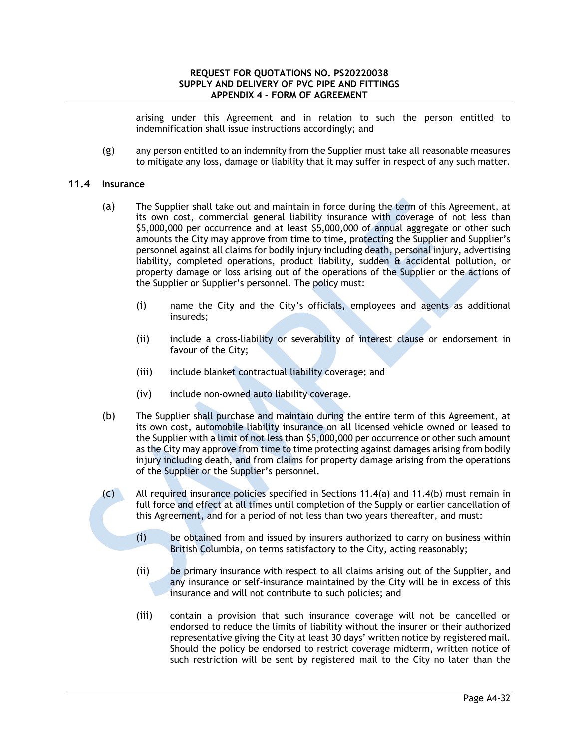arising under this Agreement and in relation to such the person entitled to indemnification shall issue instructions accordingly; and

(g) any person entitled to an indemnity from the Supplier must take all reasonable measures to mitigate any loss, damage or liability that it may suffer in respect of any such matter.

### **11.4 Insurance**

- (a) The Supplier shall take out and maintain in force during the term of this Agreement, at its own cost, commercial general liability insurance with coverage of not less than \$5,000,000 per occurrence and at least \$5,000,000 of annual aggregate or other such amounts the City may approve from time to time, protecting the Supplier and Supplier's personnel against all claims for bodily injury including death, personal injury, advertising liability, completed operations, product liability, sudden & accidental pollution, or property damage or loss arising out of the operations of the Supplier or the actions of the Supplier or Supplier's personnel. The policy must:
	- (i) name the City and the City's officials, employees and agents as additional insureds;
	- (ii) include a cross-liability or severability of interest clause or endorsement in favour of the City;
	- (iii) include blanket contractual liability coverage; and
	- (iv) include non-owned auto liability coverage.
- (b) The Supplier shall purchase and maintain during the entire term of this Agreement, at its own cost, automobile liability insurance on all licensed vehicle owned or leased to the Supplier with a limit of not less than \$5,000,000 per occurrence or other such amount as the City may approve from time to time protecting against damages arising from bodily injury including death, and from claims for property damage arising from the operations of the Supplier or the Supplier's personnel.
- (c) All required insurance policies specified in Sections 11.4(a) and 11.4(b) must remain in full force and effect at all times until completion of the Supply or earlier cancellation of this Agreement, and for a period of not less than two years thereafter, and must:
	- (i) be obtained from and issued by insurers authorized to carry on business within British Columbia, on terms satisfactory to the City, acting reasonably;
	- (ii) be primary insurance with respect to all claims arising out of the Supplier, and any insurance or self-insurance maintained by the City will be in excess of this insurance and will not contribute to such policies; and
	- (iii) contain a provision that such insurance coverage will not be cancelled or endorsed to reduce the limits of liability without the insurer or their authorized representative giving the City at least 30 days' written notice by registered mail. Should the policy be endorsed to restrict coverage midterm, written notice of such restriction will be sent by registered mail to the City no later than the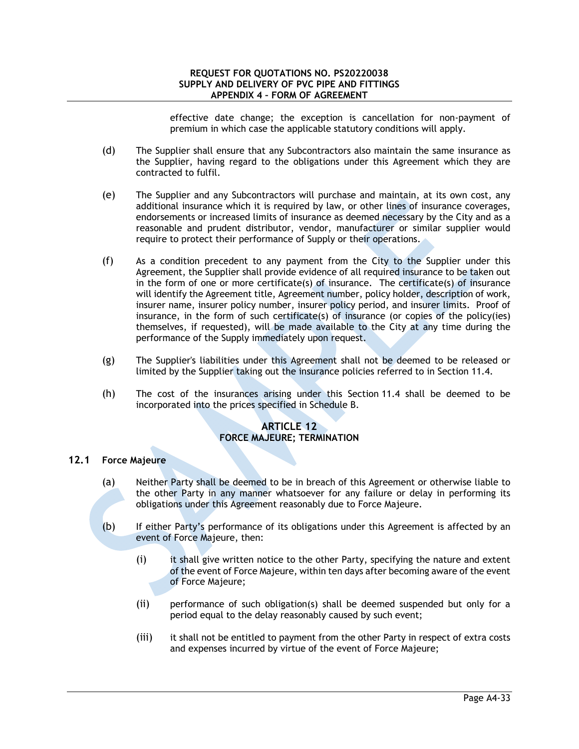effective date change; the exception is cancellation for non-payment of premium in which case the applicable statutory conditions will apply.

- (d) The Supplier shall ensure that any Subcontractors also maintain the same insurance as the Supplier, having regard to the obligations under this Agreement which they are contracted to fulfil.
- (e) The Supplier and any Subcontractors will purchase and maintain, at its own cost, any additional insurance which it is required by law, or other lines of insurance coverages, endorsements or increased limits of insurance as deemed necessary by the City and as a reasonable and prudent distributor, vendor, manufacturer or similar supplier would require to protect their performance of Supply or their operations.
- (f) As a condition precedent to any payment from the City to the Supplier under this Agreement, the Supplier shall provide evidence of all required insurance to be taken out in the form of one or more certificate(s) of insurance. The certificate(s) of insurance will identify the Agreement title, Agreement number, policy holder, description of work, insurer name, insurer policy number, insurer policy period, and insurer limits. Proof of insurance, in the form of such certificate(s) of insurance (or copies of the policy(ies) themselves, if requested), will be made available to the City at any time during the performance of the Supply immediately upon request.
- (g) The Supplier's liabilities under this Agreement shall not be deemed to be released or limited by the Supplier taking out the insurance policies referred to in Section 11.4.
- (h) The cost of the insurances arising under this Section 11.4 shall be deemed to be incorporated into the prices specified in Schedule B.

### **ARTICLE 12 FORCE MAJEURE; TERMINATION**

# **12.1 Force Majeure**

- (a) Neither Party shall be deemed to be in breach of this Agreement or otherwise liable to the other Party in any manner whatsoever for any failure or delay in performing its obligations under this Agreement reasonably due to Force Majeure.
- (b) If either Party's performance of its obligations under this Agreement is affected by an event of Force Majeure, then:
	- (i) it shall give written notice to the other Party, specifying the nature and extent of the event of Force Majeure, within ten days after becoming aware of the event of Force Majeure;
	- (ii) performance of such obligation(s) shall be deemed suspended but only for a period equal to the delay reasonably caused by such event;
	- (iii) it shall not be entitled to payment from the other Party in respect of extra costs and expenses incurred by virtue of the event of Force Majeure;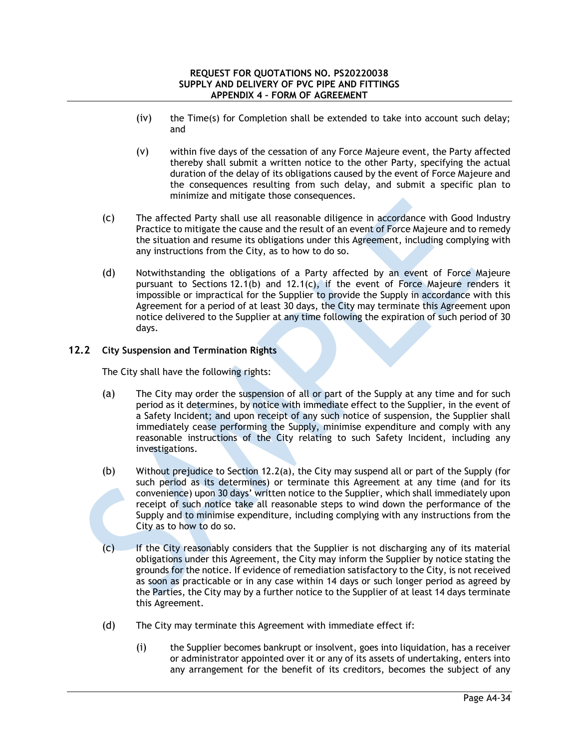- (iv) the Time(s) for Completion shall be extended to take into account such delay; and
- (v) within five days of the cessation of any Force Majeure event, the Party affected thereby shall submit a written notice to the other Party, specifying the actual duration of the delay of its obligations caused by the event of Force Majeure and the consequences resulting from such delay, and submit a specific plan to minimize and mitigate those consequences.
- (c) The affected Party shall use all reasonable diligence in accordance with Good Industry Practice to mitigate the cause and the result of an event of Force Majeure and to remedy the situation and resume its obligations under this Agreement, including complying with any instructions from the City, as to how to do so.
- (d) Notwithstanding the obligations of a Party affected by an event of Force Majeure pursuant to Sections 12.1(b) and 12.1(c), if the event of Force Majeure renders it impossible or impractical for the Supplier to provide the Supply in accordance with this Agreement for a period of at least 30 days, the City may terminate this Agreement upon notice delivered to the Supplier at any time following the expiration of such period of 30 days.

# **12.2 City Suspension and Termination Rights**

The City shall have the following rights:

- (a) The City may order the suspension of all or part of the Supply at any time and for such period as it determines, by notice with immediate effect to the Supplier, in the event of a Safety Incident; and upon receipt of any such notice of suspension, the Supplier shall immediately cease performing the Supply, minimise expenditure and comply with any reasonable instructions of the City relating to such Safety Incident, including any investigations.
- (b) Without prejudice to Section 12.2(a), the City may suspend all or part of the Supply (for such period as its determines) or terminate this Agreement at any time (and for its convenience) upon 30 days' written notice to the Supplier, which shall immediately upon receipt of such notice take all reasonable steps to wind down the performance of the Supply and to minimise expenditure, including complying with any instructions from the City as to how to do so.
- (c) If the City reasonably considers that the Supplier is not discharging any of its material obligations under this Agreement, the City may inform the Supplier by notice stating the grounds for the notice. If evidence of remediation satisfactory to the City, is not received as soon as practicable or in any case within 14 days or such longer period as agreed by the Parties, the City may by a further notice to the Supplier of at least 14 days terminate this Agreement.
- (d) The City may terminate this Agreement with immediate effect if:
	- (i) the Supplier becomes bankrupt or insolvent, goes into liquidation, has a receiver or administrator appointed over it or any of its assets of undertaking, enters into any arrangement for the benefit of its creditors, becomes the subject of any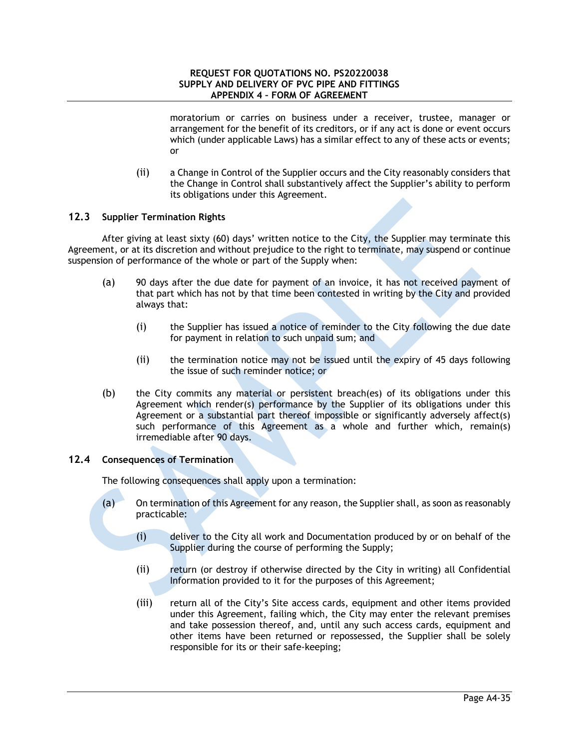moratorium or carries on business under a receiver, trustee, manager or arrangement for the benefit of its creditors, or if any act is done or event occurs which (under applicable Laws) has a similar effect to any of these acts or events; or

(ii) a Change in Control of the Supplier occurs and the City reasonably considers that the Change in Control shall substantively affect the Supplier's ability to perform its obligations under this Agreement.

## **12.3 Supplier Termination Rights**

After giving at least sixty (60) days' written notice to the City, the Supplier may terminate this Agreement, or at its discretion and without prejudice to the right to terminate, may suspend or continue suspension of performance of the whole or part of the Supply when:

- (a) 90 days after the due date for payment of an invoice, it has not received payment of that part which has not by that time been contested in writing by the City and provided always that:
	- (i) the Supplier has issued a notice of reminder to the City following the due date for payment in relation to such unpaid sum; and
	- (ii) the termination notice may not be issued until the expiry of 45 days following the issue of such reminder notice; or
- (b) the City commits any material or persistent breach(es) of its obligations under this Agreement which render(s) performance by the Supplier of its obligations under this Agreement or a substantial part thereof impossible or significantly adversely affect(s) such performance of this Agreement as a whole and further which, remain(s) irremediable after 90 days.

### **12.4 Consequences of Termination**

The following consequences shall apply upon a termination:

- (a) On termination of this Agreement for any reason, the Supplier shall, as soon as reasonably practicable:
	- (i) deliver to the City all work and Documentation produced by or on behalf of the Supplier during the course of performing the Supply;
	- (ii) return (or destroy if otherwise directed by the City in writing) all Confidential Information provided to it for the purposes of this Agreement;
	- (iii) return all of the City's Site access cards, equipment and other items provided under this Agreement, failing which, the City may enter the relevant premises and take possession thereof, and, until any such access cards, equipment and other items have been returned or repossessed, the Supplier shall be solely responsible for its or their safe-keeping;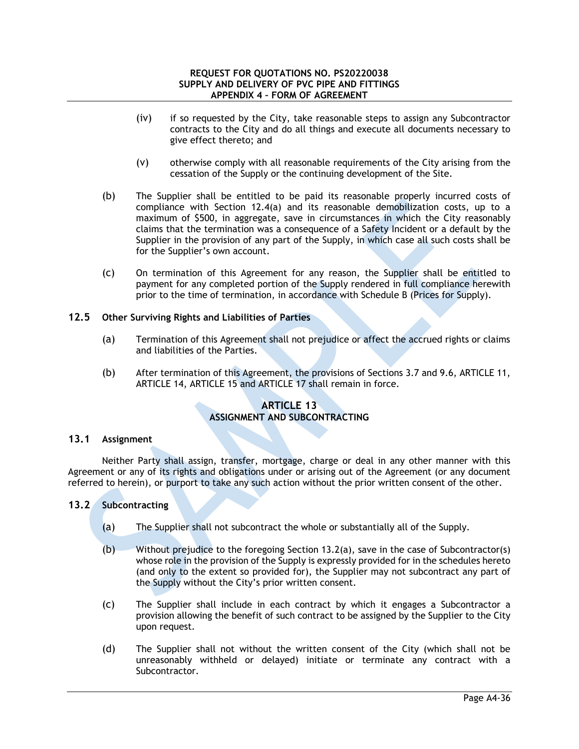- (iv) if so requested by the City, take reasonable steps to assign any Subcontractor contracts to the City and do all things and execute all documents necessary to give effect thereto; and
- (v) otherwise comply with all reasonable requirements of the City arising from the cessation of the Supply or the continuing development of the Site.
- (b) The Supplier shall be entitled to be paid its reasonable properly incurred costs of compliance with Section 12.4(a) and its reasonable demobilization costs, up to a maximum of \$500, in aggregate, save in circumstances in which the City reasonably claims that the termination was a consequence of a Safety Incident or a default by the Supplier in the provision of any part of the Supply, in which case all such costs shall be for the Supplier's own account.
- (c) On termination of this Agreement for any reason, the Supplier shall be entitled to payment for any completed portion of the Supply rendered in full compliance herewith prior to the time of termination, in accordance with Schedule B (Prices for Supply).

# **12.5 Other Surviving Rights and Liabilities of Parties**

- (a) Termination of this Agreement shall not prejudice or affect the accrued rights or claims and liabilities of the Parties.
- (b) After termination of this Agreement, the provisions of Sections 3.7 and 9.6, ARTICLE 11, ARTICLE 14, ARTICLE 15 and ARTICLE 17 shall remain in force.

# **ARTICLE 13 ASSIGNMENT AND SUBCONTRACTING**

## **13.1 Assignment**

Neither Party shall assign, transfer, mortgage, charge or deal in any other manner with this Agreement or any of its rights and obligations under or arising out of the Agreement (or any document referred to herein), or purport to take any such action without the prior written consent of the other.

### **13.2 Subcontracting**

- (a) The Supplier shall not subcontract the whole or substantially all of the Supply.
- $(b)$  Without prejudice to the foregoing Section 13.2(a), save in the case of Subcontractor(s) whose role in the provision of the Supply is expressly provided for in the schedules hereto (and only to the extent so provided for), the Supplier may not subcontract any part of the Supply without the City's prior written consent.
- (c) The Supplier shall include in each contract by which it engages a Subcontractor a provision allowing the benefit of such contract to be assigned by the Supplier to the City upon request.
- (d) The Supplier shall not without the written consent of the City (which shall not be unreasonably withheld or delayed) initiate or terminate any contract with a Subcontractor.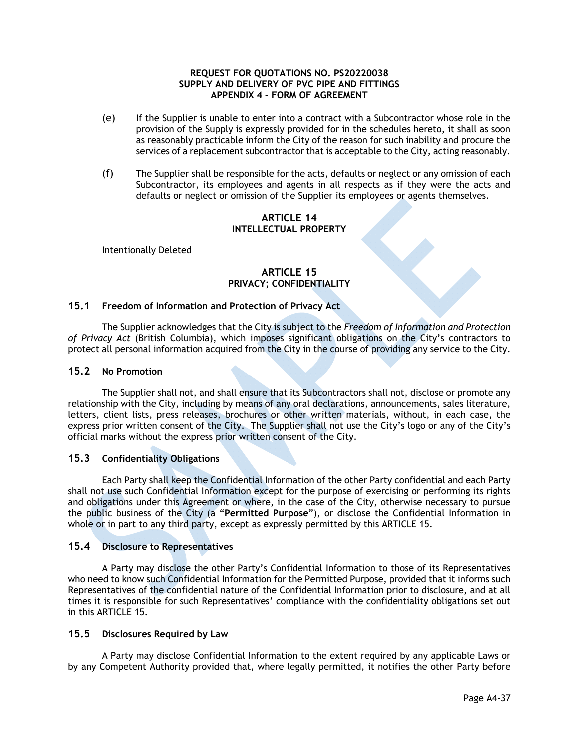- (e) If the Supplier is unable to enter into a contract with a Subcontractor whose role in the provision of the Supply is expressly provided for in the schedules hereto, it shall as soon as reasonably practicable inform the City of the reason for such inability and procure the services of a replacement subcontractor that is acceptable to the City, acting reasonably.
- (f) The Supplier shall be responsible for the acts, defaults or neglect or any omission of each Subcontractor, its employees and agents in all respects as if they were the acts and defaults or neglect or omission of the Supplier its employees or agents themselves.

## **ARTICLE 14 INTELLECTUAL PROPERTY**

Intentionally Deleted

# **ARTICLE 15 PRIVACY; CONFIDENTIALITY**

# **15.1 Freedom of Information and Protection of Privacy Act**

The Supplier acknowledges that the City is subject to the *Freedom of Information and Protection of Privacy Act* (British Columbia), which imposes significant obligations on the City's contractors to protect all personal information acquired from the City in the course of providing any service to the City.

# **15.2 No Promotion**

The Supplier shall not, and shall ensure that its Subcontractors shall not, disclose or promote any relationship with the City, including by means of any oral declarations, announcements, sales literature, letters, client lists, press releases, brochures or other written materials, without, in each case, the express prior written consent of the City. The Supplier shall not use the City's logo or any of the City's official marks without the express prior written consent of the City.

# **15.3 Confidentiality Obligations**

Each Party shall keep the Confidential Information of the other Party confidential and each Party shall not use such Confidential Information except for the purpose of exercising or performing its rights and obligations under this Agreement or where, in the case of the City, otherwise necessary to pursue the public business of the City (a "**Permitted Purpose**"), or disclose the Confidential Information in whole or in part to any third party, except as expressly permitted by this ARTICLE 15.

# **15.4 Disclosure to Representatives**

A Party may disclose the other Party's Confidential Information to those of its Representatives who need to know such Confidential Information for the Permitted Purpose, provided that it informs such Representatives of the confidential nature of the Confidential Information prior to disclosure, and at all times it is responsible for such Representatives' compliance with the confidentiality obligations set out in this ARTICLE 15.

# **15.5 Disclosures Required by Law**

A Party may disclose Confidential Information to the extent required by any applicable Laws or by any Competent Authority provided that, where legally permitted, it notifies the other Party before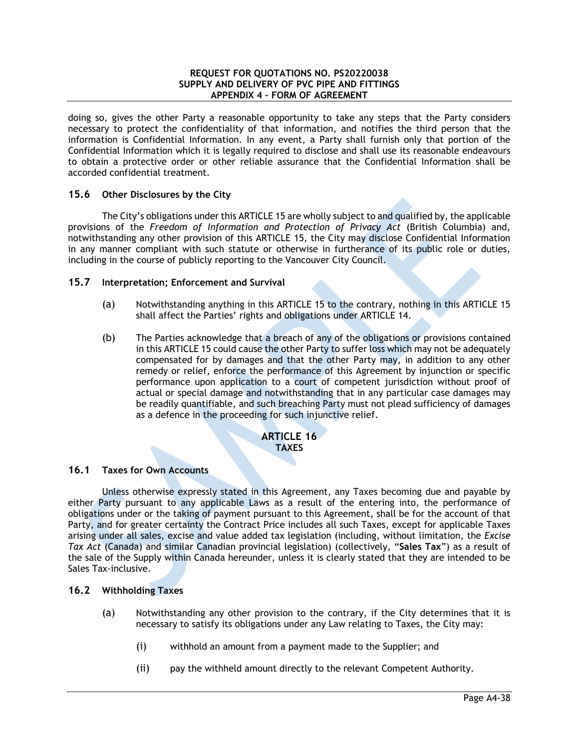doing so, gives the other Party a reasonable opportunity to take any steps that the Party considers necessary to protect the confidentiality of that information, and notifies the third person that the information is Confidential Information. In any event, a Party shall furnish only that portion of the Confidential Information which it is legally required to disclose and shall use its reasonable endeavours to obtain a protective order or other reliable assurance that the Confidential Information shall be accorded confidential treatment.

# **15.6 Other Disclosures by the City**

The City's obligations under this ARTICLE 15 are wholly subject to and qualified by, the applicable provisions of the *Freedom of Information and Protection of Privacy Act* (British Columbia) and, notwithstanding any other provision of this ARTICLE 15, the City may disclose Confidential Information in any manner compliant with such statute or otherwise in furtherance of its public role or duties, including in the course of publicly reporting to the Vancouver City Council.

## **15.7 Interpretation; Enforcement and Survival**

- (a) Notwithstanding anything in this ARTICLE 15 to the contrary, nothing in this ARTICLE 15 shall affect the Parties' rights and obligations under ARTICLE 14.
- (b) The Parties acknowledge that a breach of any of the obligations or provisions contained in this ARTICLE 15 could cause the other Party to suffer loss which may not be adequately compensated for by damages and that the other Party may, in addition to any other remedy or relief, enforce the performance of this Agreement by injunction or specific performance upon application to a court of competent jurisdiction without proof of actual or special damage and notwithstanding that in any particular case damages may be readily quantifiable, and such breaching Party must not plead sufficiency of damages as a defence in the proceeding for such injunctive relief.

## **ARTICLE 16 TAXES**

### **16.1 Taxes for Own Accounts**

Unless otherwise expressly stated in this Agreement, any Taxes becoming due and payable by either Party pursuant to any applicable Laws as a result of the entering into, the performance of obligations under or the taking of payment pursuant to this Agreement, shall be for the account of that Party, and for greater certainty the Contract Price includes all such Taxes, except for applicable Taxes arising under all sales, excise and value added tax legislation (including, without limitation, the *Excise Tax Act* (Canada) and similar Canadian provincial legislation) (collectively, "**Sales Tax**") as a result of the sale of the Supply within Canada hereunder, unless it is clearly stated that they are intended to be Sales Tax-inclusive.

### **16.2 Withholding Taxes**

- (a) Notwithstanding any other provision to the contrary, if the City determines that it is necessary to satisfy its obligations under any Law relating to Taxes, the City may:
	- (i) withhold an amount from a payment made to the Supplier; and
	- (ii) pay the withheld amount directly to the relevant Competent Authority.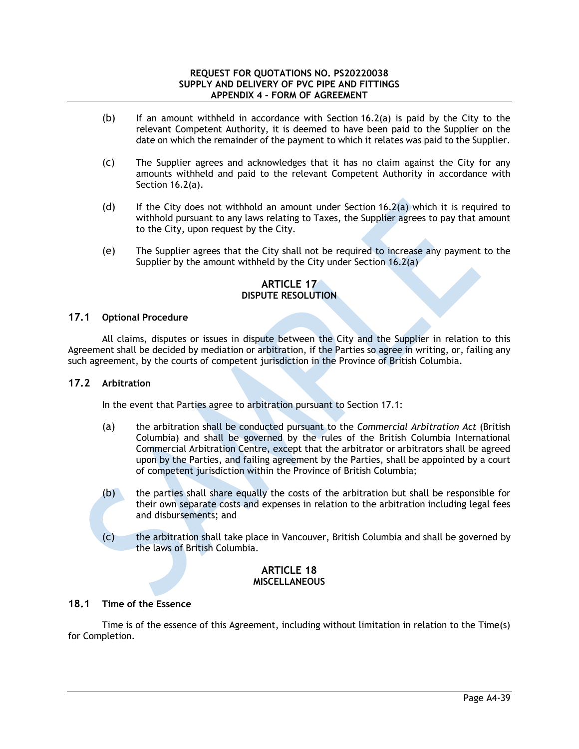- (b) If an amount withheld in accordance with Section  $16.2(a)$  is paid by the City to the relevant Competent Authority, it is deemed to have been paid to the Supplier on the date on which the remainder of the payment to which it relates was paid to the Supplier.
- (c) The Supplier agrees and acknowledges that it has no claim against the City for any amounts withheld and paid to the relevant Competent Authority in accordance with Section 16.2(a).
- (d) If the City does not withhold an amount under Section 16.2(a) which it is required to withhold pursuant to any laws relating to Taxes, the Supplier agrees to pay that amount to the City, upon request by the City.
- (e) The Supplier agrees that the City shall not be required to increase any payment to the Supplier by the amount withheld by the City under Section 16.2(a)

# **ARTICLE 17 DISPUTE RESOLUTION**

## **17.1 Optional Procedure**

All claims, disputes or issues in dispute between the City and the Supplier in relation to this Agreement shall be decided by mediation or arbitration, if the Parties so agree in writing, or, failing any such agreement, by the courts of competent jurisdiction in the Province of British Columbia.

### **17.2 Arbitration**

In the event that Parties agree to arbitration pursuant to Section 17.1:

- (a) the arbitration shall be conducted pursuant to the *Commercial Arbitration Act* (British Columbia) and shall be governed by the rules of the British Columbia International Commercial Arbitration Centre, except that the arbitrator or arbitrators shall be agreed upon by the Parties, and failing agreement by the Parties, shall be appointed by a court of competent jurisdiction within the Province of British Columbia;
- (b) the parties shall share equally the costs of the arbitration but shall be responsible for their own separate costs and expenses in relation to the arbitration including legal fees and disbursements; and
- (c) the arbitration shall take place in Vancouver, British Columbia and shall be governed by the laws of British Columbia.

# **ARTICLE 18 MISCELLANEOUS**

# **18.1 Time of the Essence**

Time is of the essence of this Agreement, including without limitation in relation to the Time(s) for Completion.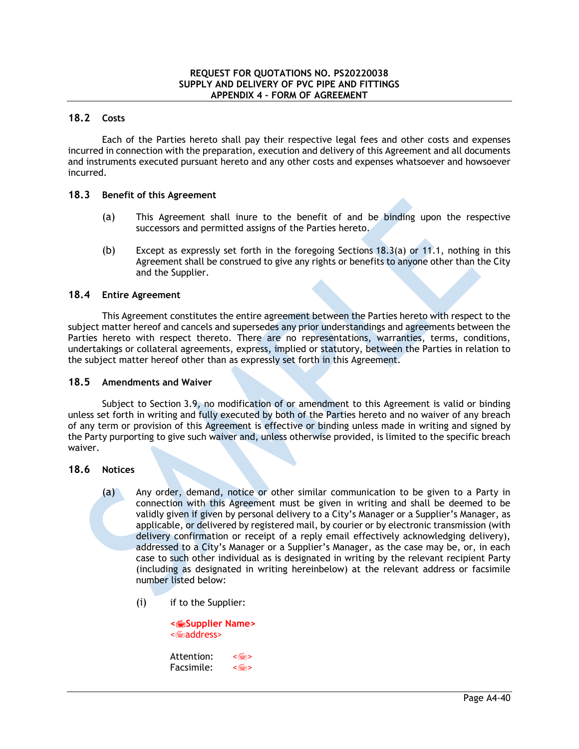# **18.2 Costs**

Each of the Parties hereto shall pay their respective legal fees and other costs and expenses incurred in connection with the preparation, execution and delivery of this Agreement and all documents and instruments executed pursuant hereto and any other costs and expenses whatsoever and howsoever incurred.

## **18.3 Benefit of this Agreement**

- (a) This Agreement shall inure to the benefit of and be binding upon the respective successors and permitted assigns of the Parties hereto.
- (b) Except as expressly set forth in the foregoing Sections 18.3(a) or 11.1, nothing in this Agreement shall be construed to give any rights or benefits to anyone other than the City and the Supplier.

## **18.4 Entire Agreement**

This Agreement constitutes the entire agreement between the Parties hereto with respect to the subject matter hereof and cancels and supersedes any prior understandings and agreements between the Parties hereto with respect thereto. There are no representations, warranties, terms, conditions, undertakings or collateral agreements, express, implied or statutory, between the Parties in relation to the subject matter hereof other than as expressly set forth in this Agreement.

### **18.5 Amendments and Waiver**

Subject to Section 3.9, no modification of or amendment to this Agreement is valid or binding unless set forth in writing and fully executed by both of the Parties hereto and no waiver of any breach of any term or provision of this Agreement is effective or binding unless made in writing and signed by the Party purporting to give such waiver and, unless otherwise provided, is limited to the specific breach waiver.

### **18.6 Notices**

- (a) Any order, demand, notice or other similar communication to be given to a Party in connection with this Agreement must be given in writing and shall be deemed to be validly given if given by personal delivery to a City's Manager or a Supplier's Manager, as applicable, or delivered by registered mail, by courier or by electronic transmission (with delivery confirmation or receipt of a reply email effectively acknowledging delivery), addressed to a City's Manager or a Supplier's Manager, as the case may be, or, in each case to such other individual as is designated in writing by the relevant recipient Party (including as designated in writing hereinbelow) at the relevant address or facsimile number listed below:
	- (i) if to the Supplier:

| < m Supplier Name><br>< <b>legia address</b> |
|----------------------------------------------|
|                                              |

| Attention: | ≺⊯≫   |
|------------|-------|
| Facsimile: | ≺ा‱ > |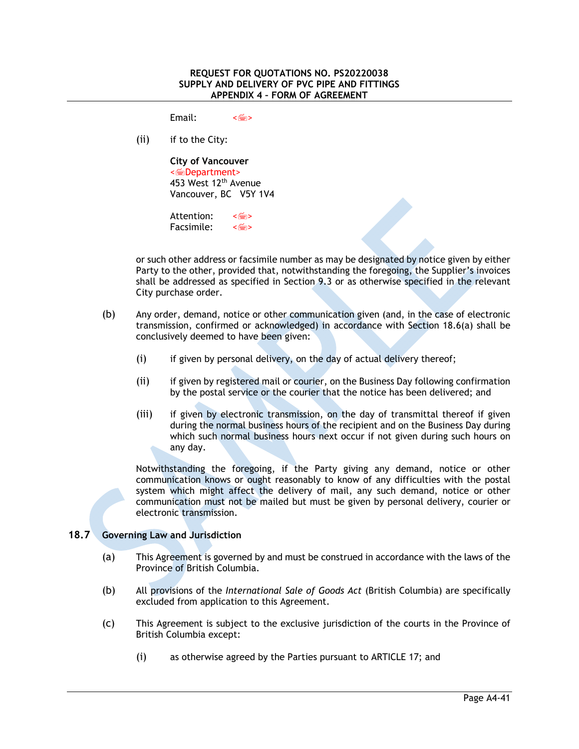$F$ mail:  $\leq$ 

(ii) if to the City:

**City of Vancouver**  <Department> 453 West 12th Avenue Vancouver, BC V5Y 1V4

Attention: < Facsimile:  $\leq$   $\leq$   $\leq$   $\leq$   $\leq$   $\leq$   $\leq$   $\leq$   $\leq$   $\leq$   $\leq$   $\leq$   $\leq$   $\leq$   $\leq$   $\leq$   $\leq$   $\leq$   $\leq$   $\leq$   $\leq$   $\leq$   $\leq$   $\leq$   $\leq$   $\leq$   $\leq$   $\leq$   $\leq$   $\leq$   $\leq$   $\leq$   $\leq$   $\leq$   $\leq$ 

or such other address or facsimile number as may be designated by notice given by either Party to the other, provided that, notwithstanding the foregoing, the Supplier's invoices shall be addressed as specified in Section 9.3 or as otherwise specified in the relevant City purchase order.

- (b) Any order, demand, notice or other communication given (and, in the case of electronic transmission, confirmed or acknowledged) in accordance with Section 18.6(a) shall be conclusively deemed to have been given:
	- (i) if given by personal delivery, on the day of actual delivery thereof;
	- (ii) if given by registered mail or courier, on the Business Day following confirmation by the postal service or the courier that the notice has been delivered; and
	- (iii) if given by electronic transmission, on the day of transmittal thereof if given during the normal business hours of the recipient and on the Business Day during which such normal business hours next occur if not given during such hours on any day.

Notwithstanding the foregoing, if the Party giving any demand, notice or other communication knows or ought reasonably to know of any difficulties with the postal system which might affect the delivery of mail, any such demand, notice or other communication must not be mailed but must be given by personal delivery, courier or electronic transmission.

# **18.7 Governing Law and Jurisdiction**

- (a) This Agreement is governed by and must be construed in accordance with the laws of the Province of British Columbia.
- (b) All provisions of the *International Sale of Goods Act* (British Columbia) are specifically excluded from application to this Agreement.
- (c) This Agreement is subject to the exclusive jurisdiction of the courts in the Province of British Columbia except:
	- (i) as otherwise agreed by the Parties pursuant to ARTICLE 17; and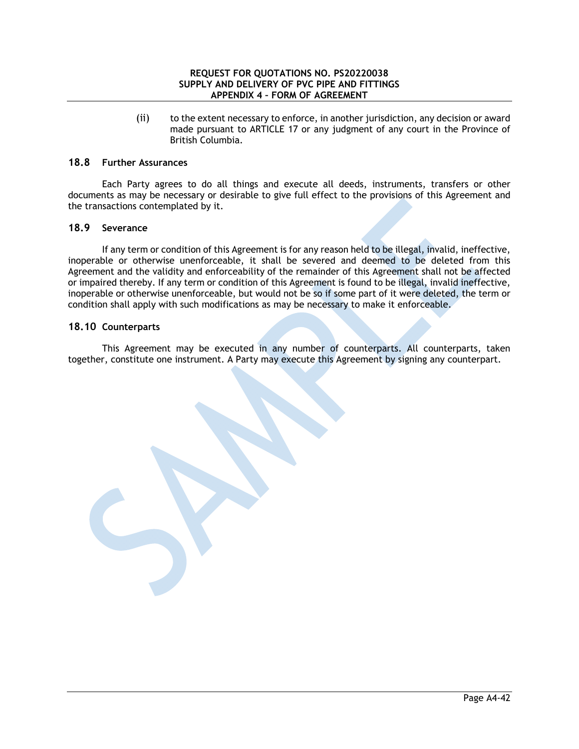(ii) to the extent necessary to enforce, in another jurisdiction, any decision or award made pursuant to ARTICLE 17 or any judgment of any court in the Province of British Columbia.

### **18.8 Further Assurances**

Each Party agrees to do all things and execute all deeds, instruments, transfers or other documents as may be necessary or desirable to give full effect to the provisions of this Agreement and the transactions contemplated by it.

# **18.9 Severance**

If any term or condition of this Agreement is for any reason held to be illegal, invalid, ineffective, inoperable or otherwise unenforceable, it shall be severed and deemed to be deleted from this Agreement and the validity and enforceability of the remainder of this Agreement shall not be affected or impaired thereby. If any term or condition of this Agreement is found to be illegal, invalid ineffective, inoperable or otherwise unenforceable, but would not be so if some part of it were deleted, the term or condition shall apply with such modifications as may be necessary to make it enforceable.

## **18.10 Counterparts**

This Agreement may be executed in any number of counterparts. All counterparts, taken together, constitute one instrument. A Party may execute this Agreement by signing any counterpart.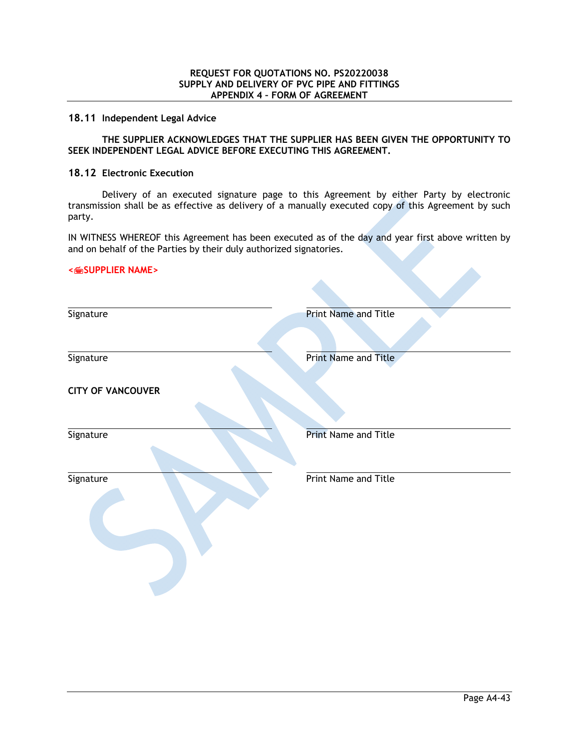#### **18.11 Independent Legal Advice**

## **THE SUPPLIER ACKNOWLEDGES THAT THE SUPPLIER HAS BEEN GIVEN THE OPPORTUNITY TO SEEK INDEPENDENT LEGAL ADVICE BEFORE EXECUTING THIS AGREEMENT.**

#### **18.12 Electronic Execution**

Delivery of an executed signature page to this Agreement by either Party by electronic transmission shall be as effective as delivery of a manually executed copy of this Agreement by such party.

IN WITNESS WHEREOF this Agreement has been executed as of the day and year first above written by and on behalf of the Parties by their duly authorized signatories.

### **<SUPPLIER NAME>**

| Signature                | <b>Print Name and Title</b> |
|--------------------------|-----------------------------|
|                          |                             |
| Signature                | Print Name and Title        |
| <b>CITY OF VANCOUVER</b> |                             |
| Signature                | <b>Print Name and Title</b> |
| Signature                | Print Name and Title        |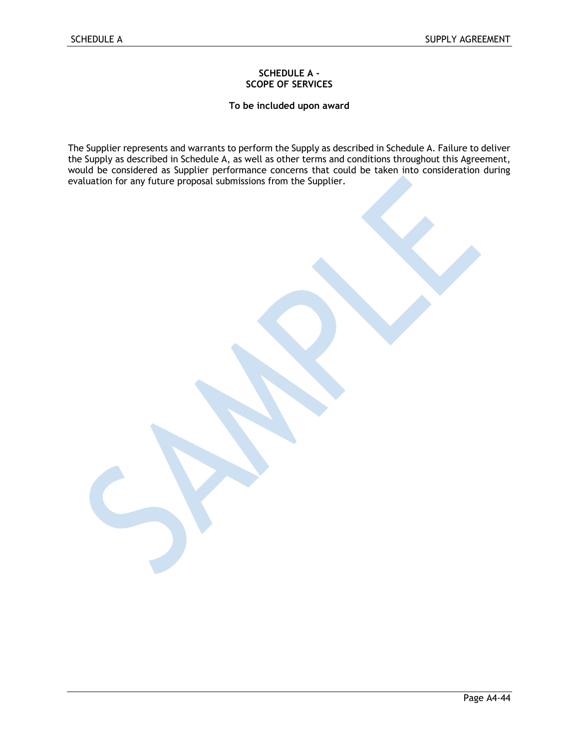### **SCHEDULE A - SCOPE OF SERVICES**

**To be included upon award** 

The Supplier represents and warrants to perform the Supply as described in Schedule A. Failure to deliver the Supply as described in Schedule A, as well as other terms and conditions throughout this Agreement, would be considered as Supplier performance concerns that could be taken into consideration during evaluation for any future proposal submissions from the Supplier.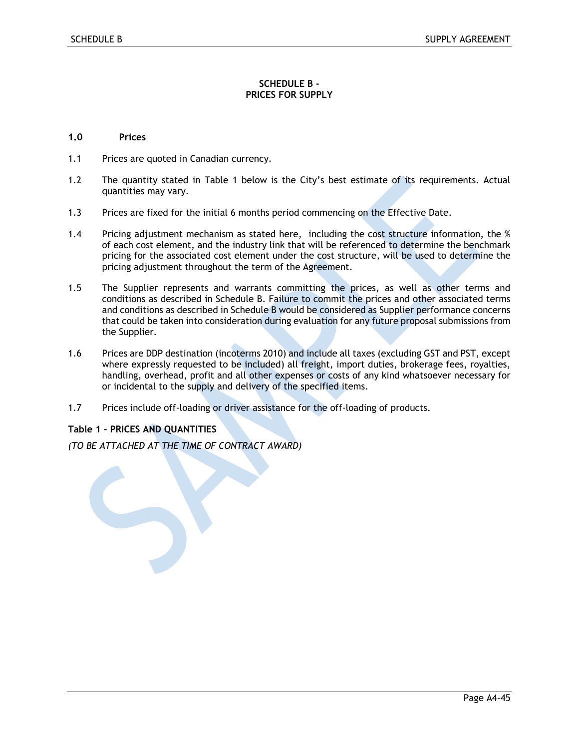### **SCHEDULE B - PRICES FOR SUPPLY**

### **1.0 Prices**

- 1.1 Prices are quoted in Canadian currency.
- 1.2 The quantity stated in Table 1 below is the City's best estimate of its requirements. Actual quantities may vary.
- 1.3 Prices are fixed for the initial 6 months period commencing on the Effective Date.
- 1.4 Pricing adjustment mechanism as stated here, including the cost structure information, the % of each cost element, and the industry link that will be referenced to determine the benchmark pricing for the associated cost element under the cost structure, will be used to determine the pricing adjustment throughout the term of the Agreement.
- 1.5 The Supplier represents and warrants committing the prices, as well as other terms and conditions as described in Schedule B. Failure to commit the prices and other associated terms and conditions as described in Schedule B would be considered as Supplier performance concerns that could be taken into consideration during evaluation for any future proposal submissions from the Supplier.
- 1.6 Prices are DDP destination (incoterms 2010) and include all taxes (excluding GST and PST, except where expressly requested to be included) all freight, import duties, brokerage fees, royalties, handling, overhead, profit and all other expenses or costs of any kind whatsoever necessary for or incidental to the supply and delivery of the specified items.
- 1.7 Prices include off-loading or driver assistance for the off-loading of products.

### **Table 1 – PRICES AND QUANTITIES**

*(TO BE ATTACHED AT THE TIME OF CONTRACT AWARD)*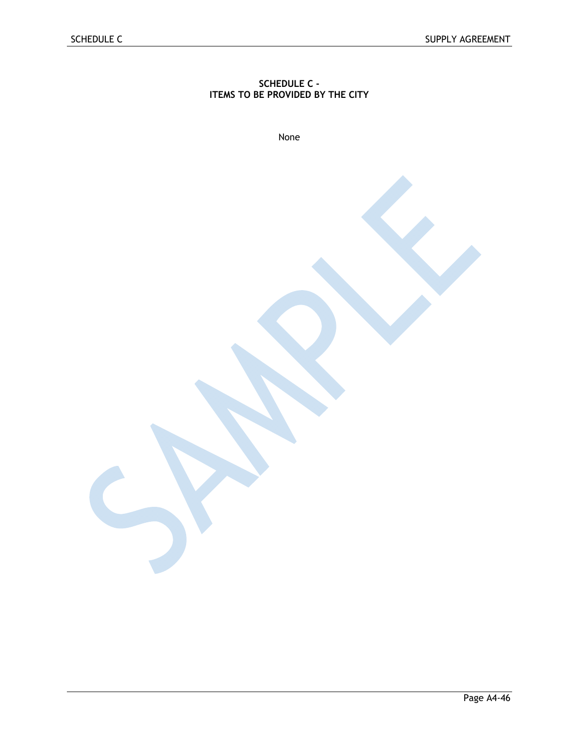# **SCHEDULE C - ITEMS TO BE PROVIDED BY THE CITY**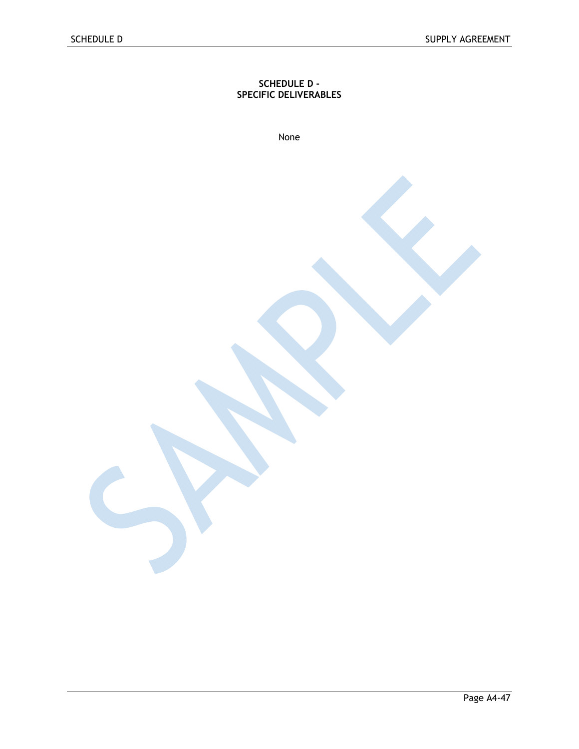### **SCHEDULE D - SPECIFIC DELIVERABLES**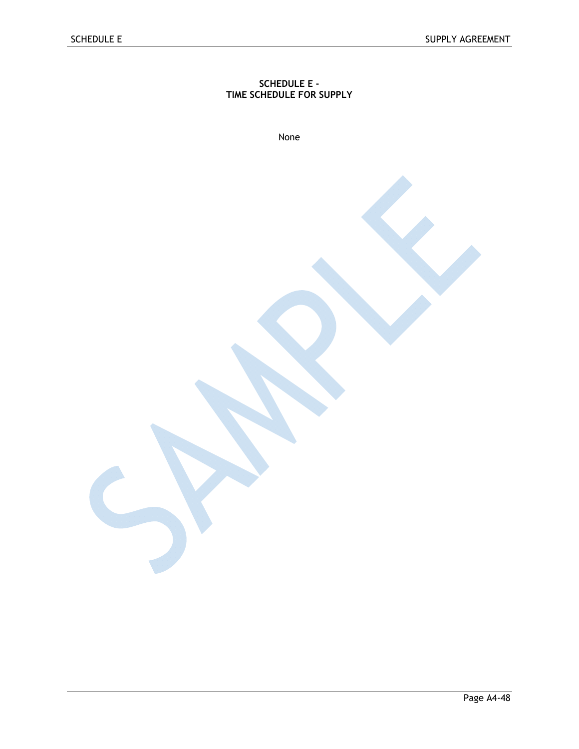## **SCHEDULE E - TIME SCHEDULE FOR SUPPLY**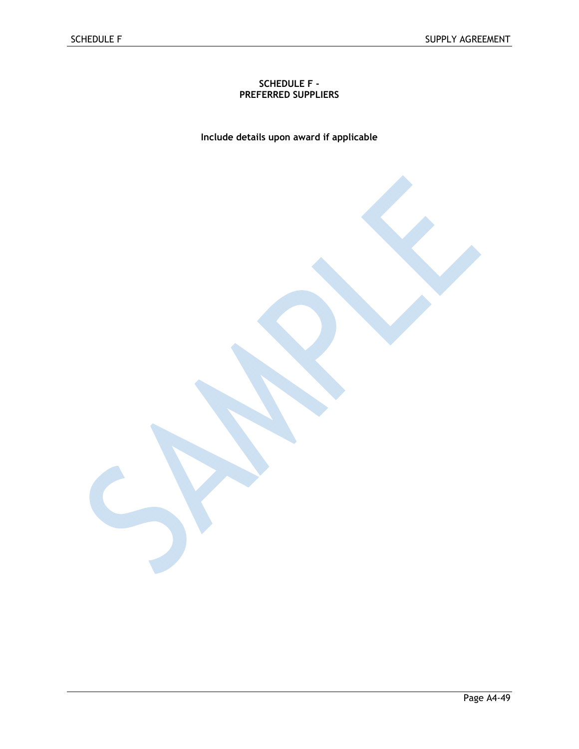## **SCHEDULE F - PREFERRED SUPPLIERS**

**Include details upon award if applicable**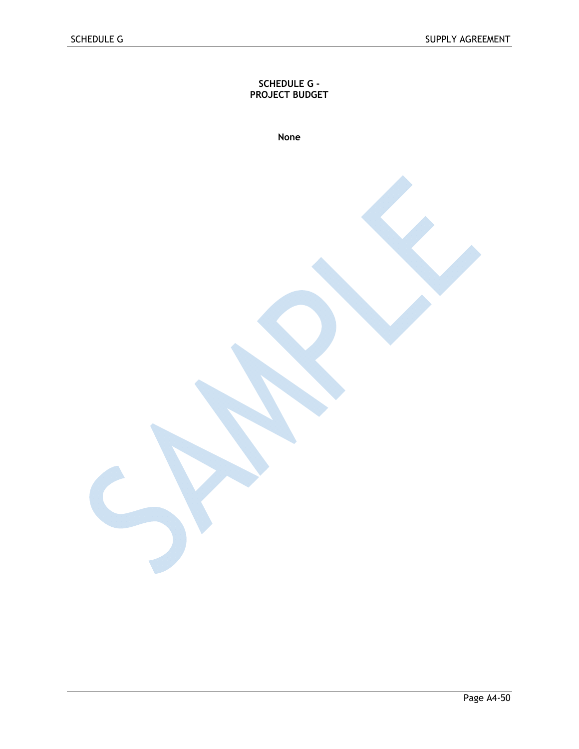**SCHEDULE G - PROJECT BUDGET**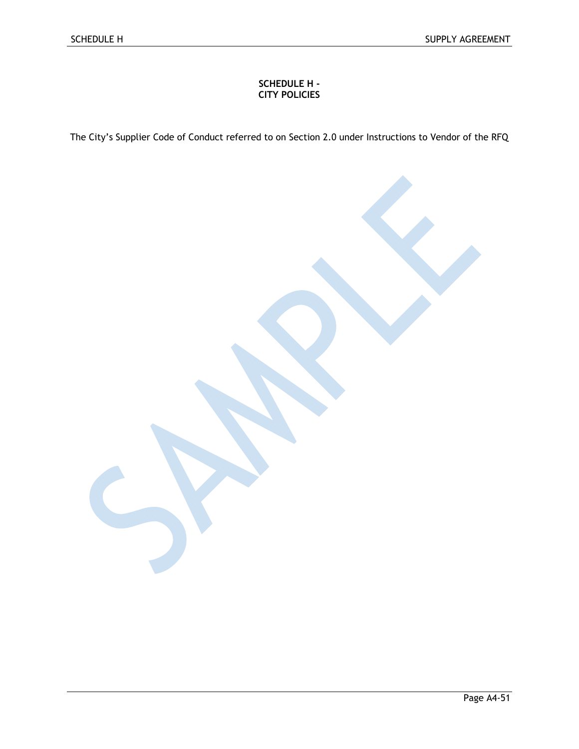# **SCHEDULE H - CITY POLICIES**

The City's Supplier Code of Conduct referred to on Section 2.0 under Instructions to Vendor of the RFQ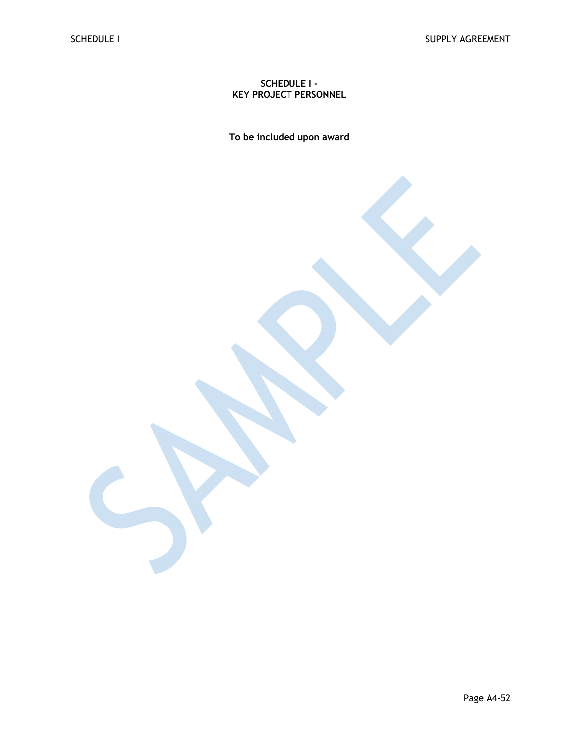### **SCHEDULE I - KEY PROJECT PERSONNEL**

**To be included upon award**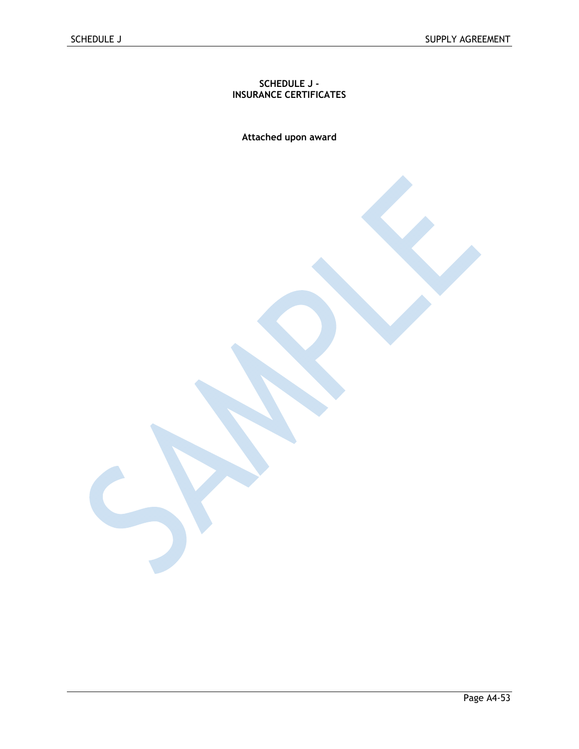## **SCHEDULE J - INSURANCE CERTIFICATES**

**Attached upon award**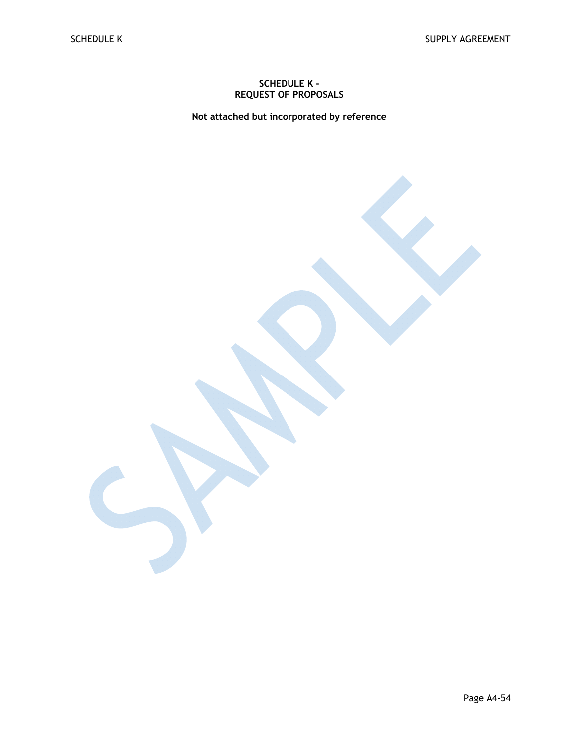### **SCHEDULE K - REQUEST OF PROPOSALS**

**Not attached but incorporated by reference**